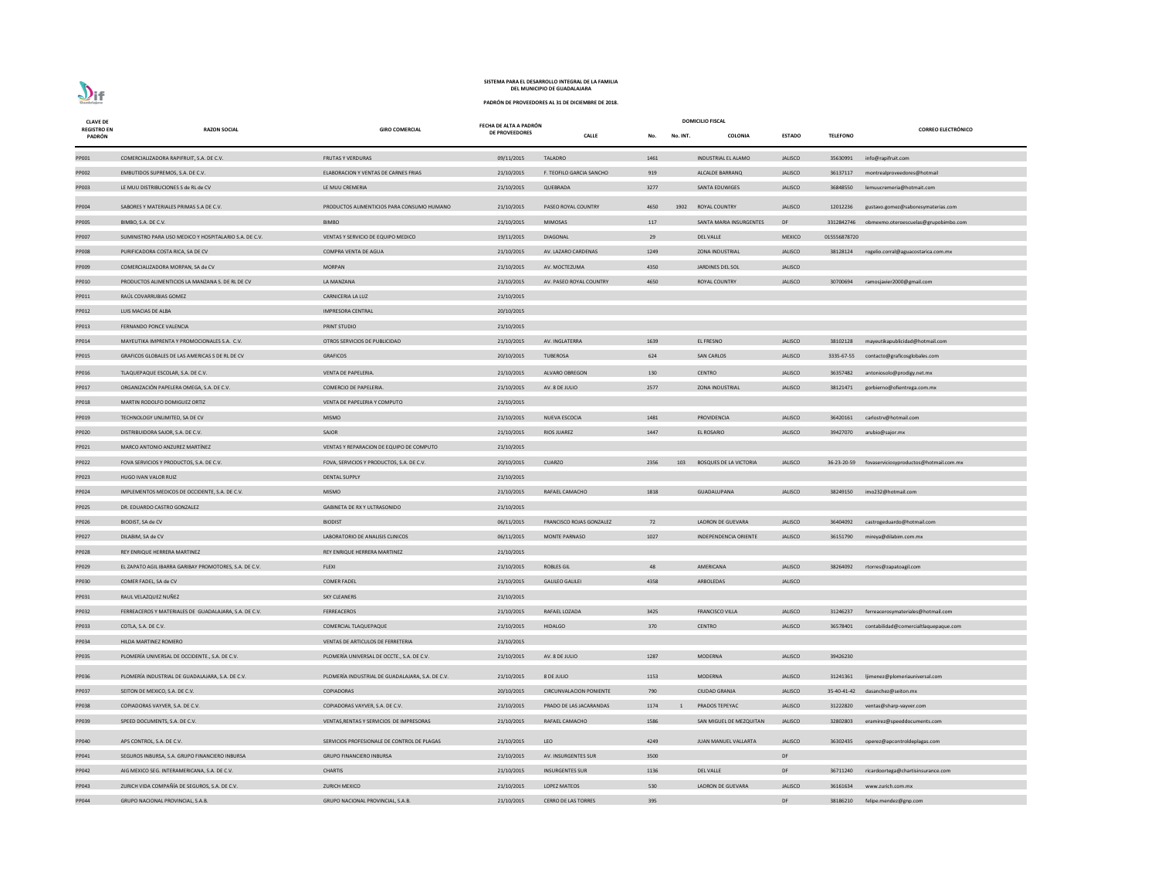| <b>CLAVE DE</b>              | <b>DOMICILIO FISCAL</b><br>FECHA DE ALTA A PADRÓN      |                                                  |                       |                                |      |          |                               |                |                 |                                                    |
|------------------------------|--------------------------------------------------------|--------------------------------------------------|-----------------------|--------------------------------|------|----------|-------------------------------|----------------|-----------------|----------------------------------------------------|
| <b>REGISTRO EN</b><br>PADRÓN | <b>RAZON SOCIAL</b>                                    | <b>GIRO COMERCIAL</b>                            | <b>DE PROVEEDORES</b> | <b>CALLE</b>                   | No.  | No. INT. | COLONIA                       | <b>ESTADO</b>  | <b>TELEFONO</b> | <b>CORREO ELECTRÓNICO</b>                          |
| PP001                        | COMERCIALIZADORA RAPIFRUIT, S.A. DE C.V.               | <b>FRUTAS Y VERDURAS</b>                         | 09/11/2015            | <b>TALADRO</b>                 | 1461 |          | INDUSTRIAL EL ALAMO           | <b>JALISCO</b> | 35630991        | info@rapifruit.com                                 |
| PP002                        | EMBUTIDOS SUPREMOS, S.A. DE C.V.                       | ELABORACION Y VENTAS DE CARNES FRIAS             | 21/10/2015            | F. TEOFILO GARCIA SANCHO       | 919  |          | ALCALDE BARRANQ               | <b>JALISCO</b> | 36137117        | montrealproveedores@hotmail                        |
| PP003                        | LE MUU DISTRIBUCIONES S de RL de CV                    | LE MUU CREMERIA                                  | 21/10/2015            | QUEBRADA                       | 3277 |          | SANTA EDUWIGES                | <b>JALISCO</b> | 36848550        | lemuucremeria@hotmait.com                          |
| PP004                        | SABORES Y MATERIALES PRIMAS S.A DE C.V.                | PRODUCTOS ALIMENTICIOS PARA CONSUMO HUMANO       | 21/10/2015            | PASEO ROYAL COUNTRY            | 4650 | 1902     | ROYAL COUNTRY                 | <b>JALISCO</b> | 12012236        | gustavo.gomez@saboresymaterias.com                 |
| <b>PP005</b>                 | BIMBO, S.A. DE C.V.                                    | <b>BIMBO</b>                                     | 21/10/2015            | <b>MIMOSAS</b>                 | 117  |          | SANTA MARIA INSURGENTES       | DF             |                 | 3312842746 obmexmo.oteroescuelas@grupobimbo.com    |
| PP007                        | SUMINISTRO PARA USO MEDICO Y HOSPITALARIO S.A. DE C.V. | VENTAS Y SERVICIO DE EQUIPO MEDICO               | 19/11/2015            | DIAGONAL                       | 29   |          | <b>DEL VALLE</b>              | <b>MEXICO</b>  | 015556878720    |                                                    |
| <b>PP008</b>                 | PURIFICADORA COSTA RICA, SA DE CV                      | COMPRA VENTA DE AGUA                             | 21/10/2015            | AV. LAZARO CARDENAS            | 1249 |          | <b>ZONA INDUSTRIAL</b>        | <b>JALISCO</b> |                 | 38128124 rogelio.corral@aguacostarica.com.mx       |
| PP009                        | COMERCIALIZADORA MORPAN, SA de CV                      | <b>MORPAN</b>                                    | 21/10/2015            | AV. MOCTEZUMA                  | 4350 |          | JARDINES DEL SOL              | <b>JALISCO</b> |                 |                                                    |
| PP010                        | PRODUCTOS ALIMENTICIOS LA MANZANA S. DE RL DE CV       | LA MANZANA                                       | 21/10/2015            | AV. PASEO ROYAL COUNTRY        | 4650 |          | ROYAL COUNTRY                 | <b>JALISCO</b> | 30700694        | ramosjavier2000@gmail.com                          |
| PP011                        | RAÚL COVARRUBIAS GOMEZ                                 | <b>CARNICERIA LA LUZ</b>                         | 21/10/2015            |                                |      |          |                               |                |                 |                                                    |
| PP012                        | LUIS MACIAS DE ALBA                                    | IMPRESORA CENTRAL                                | 20/10/2015            |                                |      |          |                               |                |                 |                                                    |
| PP013                        | FERNANDO PONCE VALENCIA                                | PRINT STUDIO                                     | 21/10/2015            |                                |      |          |                               |                |                 |                                                    |
| PP014                        | MAYEUTIKA IMPRENTA Y PROMOCIONALES S.A. C.V.           | OTROS SERVICIOS DE PUBLICIDAD                    | 21/10/2015            | AV. INGLATERRA                 | 1639 |          | EL FRESNO                     | <b>JALISCO</b> | 38102128        | mayeutikapublicidad@hotmail.com                    |
| PP015                        | GRAFICOS GLOBALES DE LAS AMERICAS S DE RL DE CV        | <b>GRAFICOS</b>                                  | 20/10/2015            | <b>TUBEROSA</b>                | 624  |          | <b>SAN CARLOS</b>             | <b>JALISCO</b> |                 | 3335-67-55 contacto@graficosglobales.com           |
| PP016                        | TLAQUEPAQUE ESCOLAR, S.A. DE C.V.                      | VENTA DE PAPELERIA.                              | 21/10/2015            | ALVARO OBREGON                 | 130  |          | CENTRO                        | <b>JALISCO</b> | 36357482        | antoniosolo@prodigy.net.mx                         |
| PP017                        | ORGANIZACIÓN PAPELERA OMEGA, S.A. DE C.V.              | COMERCIO DE PAPELERIA.                           | 21/10/2015            | AV. 8 DE JULIO                 | 2577 |          | <b>ZONA INDUSTRIAL</b>        | <b>JALISCO</b> | 38121471        | gorbierno@ofientrega.com.mx                        |
| PP018                        | MARTIN RODOLFO DOMIGUEZ ORTIZ                          | VENTA DE PAPELERIA Y COMPUTO                     | 21/10/2015            |                                |      |          |                               |                |                 |                                                    |
| PP019                        | TECHNOLOGY UNLIMITED, SA DE CV                         | <b>MISMO</b>                                     | 21/10/2015            | NUEVA ESCOCIA                  | 1481 |          | PROVIDENCIA                   | <b>JALISCO</b> | 36420161        | carlostrv@hotmail.com                              |
| PP020                        | DISTRIBUIDORA SAJOR, S.A. DE C.V.                      | SAJOR                                            | 21/10/2015            | <b>RIOS JUAREZ</b>             | 1447 |          | EL ROSARIO                    | <b>JALISCO</b> |                 | 39427070 arubio@sajor.mx                           |
| PP021                        | MARCO ANTONIO ANZUREZ MARTÍNEZ                         | VENTAS Y REPARACION DE EQUIPO DE COMPUTO         | 21/10/2015            |                                |      |          |                               |                |                 |                                                    |
| PP022                        | FOVA SERVICIOS Y PRODUCTOS, S.A. DE C.V.               | FOVA, SERVICIOS Y PRODUCTOS, S.A. DE C.V.        | 20/10/2015            | <b>CUARZO</b>                  | 2356 | 103      | <b>BOSQUES DE LA VICTORIA</b> | <b>JALISCO</b> |                 | 36-23-20-59 fovaserviciosyproductos@hotmail.com.mx |
| PP023                        | HUGO IVAN VALOR RUIZ                                   | <b>DENTAL SUPPLY</b>                             | 21/10/2015            |                                |      |          |                               |                |                 |                                                    |
| PP024                        | IMPLEMENTOS MEDICOS DE OCCIDENTE, S.A. DE C.V.         | <b>MISMO</b>                                     | 21/10/2015            | RAFAEL CAMACHO                 | 1818 |          | GUADALUPANA                   | <b>JALISCO</b> | 38249150        | imo232@hotmail.com                                 |
| PP025                        | DR. EDUARDO CASTRO GONZALEZ                            | <b>GABINETA DE RX Y ULTRASONIDO</b>              | 21/10/2015            |                                |      |          |                               |                |                 |                                                    |
| PP026                        | BIODIST, SA de CV                                      | <b>BIODIST</b>                                   | 06/11/2015            | FRANCISCO ROJAS GONZALEZ       | 72   |          | LADRON DE GUEVARA             | <b>JALISCO</b> | 36404092        | castrogeduardo@hotmail.com                         |
| PP027                        | DILABIM, SA de CV                                      | LABORATORIO DE ANALISIS CLINICOS                 | 06/11/2015            | <b>MONTE PARNASO</b>           | 1027 |          | INDEPENDENCIA ORIENTE         | <b>JALISCO</b> | 36151790        | mireya@dilabim.com.mx                              |
| PP028                        | REY ENRIQUE HERRERA MARTINEZ                           | REY ENRIQUE HERRERA MARTINEZ                     | 21/10/2015            |                                |      |          |                               |                |                 |                                                    |
| PP029                        | EL ZAPATO AGIL IBARRA GARIBAY PROMOTORES, S.A. DE C.V. | <b>FLEXI</b>                                     | 21/10/2015            | <b>ROBLES GIL</b>              | 48   |          | AMERICANA                     | <b>JALISCO</b> | 38264092        | rtorres@zapatoagil.com                             |
| PP030                        | COMER FADEL, SA de CV                                  | <b>COMER FADEL</b>                               | 21/10/2015            | <b>GALILEO GALILEI</b>         | 4358 |          | ARBOLEDAS                     | <b>JALISCO</b> |                 |                                                    |
| PP031                        | RAUL VELAZQUEZ NUÑEZ                                   | <b>SKY CLEANERS</b>                              | 21/10/2015            |                                |      |          |                               |                |                 |                                                    |
| PP032                        | FERREACEROS Y MATERIALES DE GUADALAJARA, S.A. DE C.V.  | <b>FERREACEROS</b>                               | 21/10/2015            | RAFAEL LOZADA                  | 3425 |          | <b>FRANCISCO VILLA</b>        | <b>JALISCO</b> | 31246237        | ferreacerosymateriales@hotmail.com                 |
| PP033                        | COTLA, S.A. DE C.V.                                    | COMERCIAL TLAQUEPAQUE                            | 21/10/2015            | <b>HIDALGO</b>                 | 370  |          | <b>CENTRO</b>                 | <b>JALISCO</b> | 36578401        | contabilidad@comercialtlaquepaque.com              |
| PP034                        | HILDA MARTINEZ ROMERO                                  | VENTAS DE ARTICULOS DE FERRETERIA                | 21/10/2015            |                                |      |          |                               |                |                 |                                                    |
| PP035                        | PLOMERÍA UNIVERSAL DE OCCIDENTE., S.A. DE C.V.         | PLOMERÍA UNIVERSAL DE OCCTE., S.A. DE C.V.       | 21/10/2015            | AV. 8 DE JULIO                 | 1287 |          | <b>MODERNA</b>                | <b>JALISCO</b> | 39426230        |                                                    |
| PP036                        | PLOMERÍA INDUSTRIAL DE GUADALAJARA, S.A. DE C.V.       | PLOMERÍA INDUSTRIAL DE GUADALAJARA, S.A. DE C.V. | 21/10/2015            | 8 DE JULIO                     | 1153 |          | MODERNA                       | <b>JALISCO</b> | 31241361        | ljimenez@plomeriauniversal.com                     |
| PP037                        | SEITON DE MEXICO, S.A. DE C.V.                         | COPIADORAS                                       | 20/10/2015            | <b>CIRCUNVALACION PONIENTE</b> | 790  |          | <b>CIUDAD GRANJA</b>          | <b>JALISCO</b> |                 | 35-40-41-42 dasanchez@seiton.mx                    |
| PP038                        | COPIADORAS VAYVER, S.A. DE C.V.                        | COPIADORAS VAYVER, S.A. DE C.V.                  | 21/10/2015            | PRADO DE LAS JACARANDAS        | 1174 |          | PRADOS TEPEYAC                | <b>JALISCO</b> | 31222820        | ventas@sharp-vayver.com                            |
| PP039                        | SPEED DOCUMENTS, S.A. DE C.V.                          | VENTAS, RENTAS Y SERVICIOS DE IMPRESORAS         | 21/10/2015            | RAFAEL CAMACHO                 | 1586 |          | SAN MIGUEL DE MEZQUITAN       | <b>JALISCO</b> | 32802803        | eramirez@speeddocuments.com                        |
| PP040                        | APS CONTROL, S.A. DE C.V.                              | SERVICIOS PROFESIONALE DE CONTROL DE PLAGAS      | 21/10/2015            | LEO                            | 4249 |          | JUAN MANUEL VALLARTA          | <b>JALISCO</b> | 36302435        | operez@apcontroldeplagas.com                       |
| PP041                        | SEGUROS INBURSA, S.A. GRUPO FINANCIERO INBURSA         | <b>GRUPO FINANCIERO INBURSA</b>                  | 21/10/2015            | AV. INSURGENTES SUR            | 3500 |          |                               | DF             |                 |                                                    |
| PP042                        | AIG MEXICO SEG. INTERAMERICANA, S.A. DE C.V.           | <b>CHARTIS</b>                                   | 21/10/2015            | <b>INSURGENTES SUR</b>         | 1136 |          | <b>DEL VALLE</b>              | DF             | 36711240        | ricardoortega@chartisinsurance.com                 |
| PP043                        | ZURICH VIDA COMPAÑÍA DE SEGUROS, S.A. DE C.V.          | <b>ZURICH MEXICO</b>                             | 21/10/2015            | LOPEZ MATEOS                   | 530  |          | LADRON DE GUEVARA             | <b>JALISCO</b> | 36161634        | www.zurich.com.mx                                  |
| PP044                        | GRUPO NACIONAL PROVINCIAL, S.A.B.                      | GRUPO NACIONAL PROVINCIAL, S.A.B.                | 21/10/2015            | <b>CERRO DE LAS TORRES</b>     | 395  |          |                               | DF             | 38186210        | felipe.mendez@gnp.com                              |

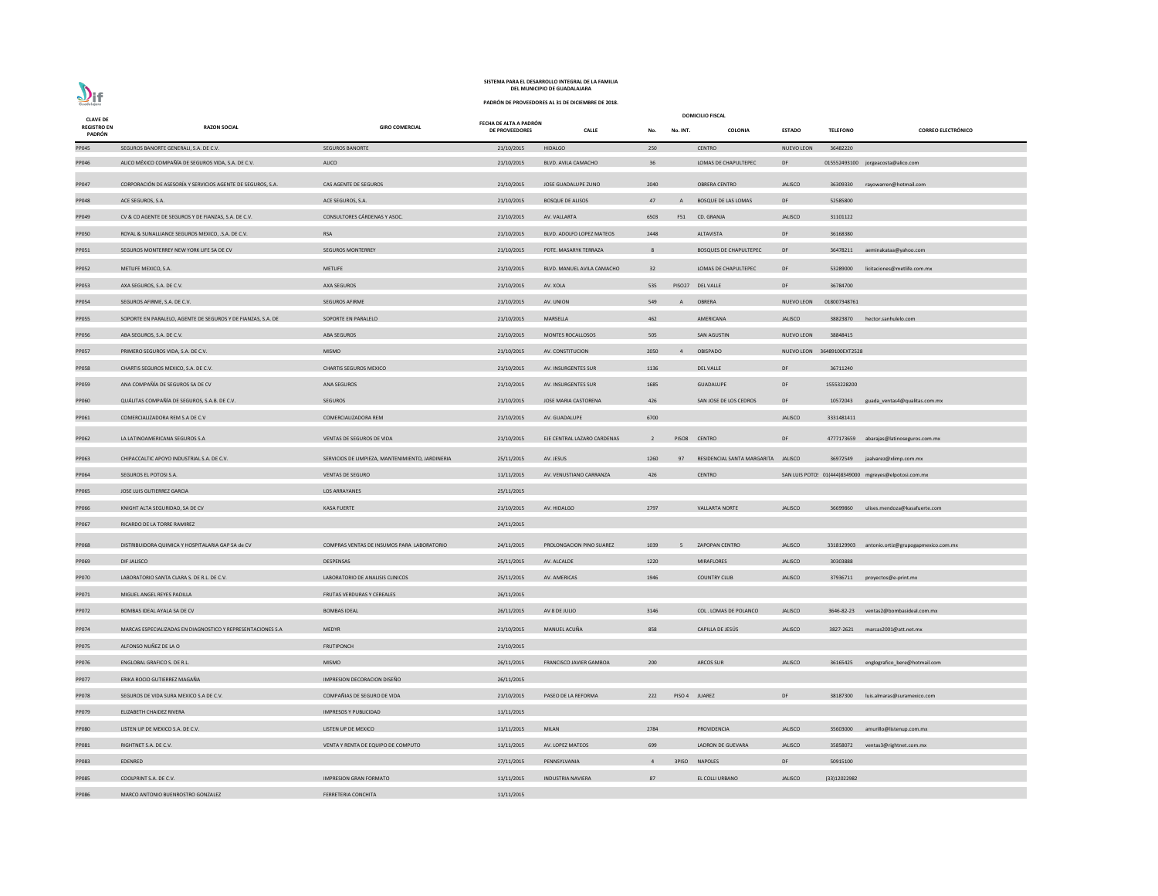**PADRÓN DE PROVEEDORES AL 31 DE DICIEMBRE DE 2018.**

| <b>CLAVE DE</b><br><b>REGISTRO EN</b><br>PADRÓN | <b>RAZON SOCIAL</b>                                          | <b>GIRO COMERCIAL</b>                            | FECHA DE ALTA A PADRÓN<br><b>DE PROVEEDORES</b> | <b>CALLE</b>                   | No.            | No. INT.       | <b>DOMICILIO FISCAL</b><br><b>COLONIA</b> | <b>ESTADO</b>              | <b>TELEFONO</b> | <b>CORREO ELECTRÓNICO</b>                             |
|-------------------------------------------------|--------------------------------------------------------------|--------------------------------------------------|-------------------------------------------------|--------------------------------|----------------|----------------|-------------------------------------------|----------------------------|-----------------|-------------------------------------------------------|
| PP045                                           | SEGUROS BANORTE GENERALI, S.A. DE C.V.                       | <b>SEGUROS BANORTE</b>                           | 21/10/2015                                      | <b>HIDALGO</b>                 | 250            |                | <b>CENTRO</b>                             | <b>NUEVO LEON</b>          | 36482220        |                                                       |
| PP046                                           | ALICO MÉXICO COMPAÑÍA DE SEGUROS VIDA, S.A. DE C.V.          | ALICO                                            | 21/10/2015                                      | BLVD. AVILA CAMACHO            | 36             |                | LOMAS DE CHAPULTEPEC                      | DF                         |                 | 015552493100 jorgeacosta@alico.com                    |
| PP047                                           | CORPORACIÓN DE ASESORÍA Y SERVICIOS AGENTE DE SEGUROS, S.A.  | CAS AGENTE DE SEGUROS                            | 21/10/2015                                      | JOSE GUADALUPE ZUNO            | 2040           |                | <b>OBRERA CENTRO</b>                      | <b>JALISCO</b>             |                 | 36309330 rayowarren@hotmail.com                       |
| PP048                                           | ACE SEGUROS, S.A.                                            | ACE SEGUROS, S.A.                                | 21/10/2015                                      | <b>BOSQUE DE ALISOS</b>        | 47             | $\overline{A}$ | BOSQUE DE LAS LOMAS                       | DF                         | 52585800        |                                                       |
| PP049                                           | CV & CO AGENTE DE SEGUROS Y DE FIANZAS, S.A. DE C.V.         | CONSULTORES CÁRDENAS Y ASOC.                     | 21/10/2015                                      | AV. VALLARTA                   | 6503           |                | F51 CD. GRANJA                            | <b>JALISCO</b>             | 31101122        |                                                       |
| <b>PP050</b>                                    | ROYAL & SUNALLIANCE SEGUROS MEXICO, .S.A. DE C.V.            | <b>RSA</b>                                       | 21/10/2015                                      | BLVD. ADOLFO LOPEZ MATEOS      | 2448           |                | ALTAVISTA                                 | DF                         | 36168380        |                                                       |
| PP051                                           | SEGUROS MONTERREY NEW YORK LIFE SA DE CV                     | <b>SEGUROS MONTERREY</b>                         | 21/10/2015                                      | PDTE. MASARYK TERRAZA          | 8              |                | <b>BOSQUES DE CHAPULTEPEC</b>             | DF                         |                 | 36478211 aeminakataa@yahoo.com                        |
| PP052                                           | METLIFE MEXICO, S.A.                                         | <b>METLIFE</b>                                   | 21/10/2015                                      | BLVD. MANUEL AVILA CAMACHO     | 32             |                | LOMAS DE CHAPULTEPEC                      | DF                         |                 | 53289000 licitaciones@metlife.com.mx                  |
| PP053                                           | AXA SEGUROS, S.A. DE C.V.                                    | <b>AXA SEGUROS</b>                               | 21/10/2015                                      | AV. XOLA                       | 535            |                | PISO27 DEL VALLE                          | DF                         | 36784700        |                                                       |
| PP054                                           | SEGUROS AFIRME, S.A. DE C.V.                                 | SEGUROS AFIRME                                   | 21/10/2015                                      | AV. UNION                      | 549            | $\mathsf{A}$   | OBRERA                                    | <b>NUEVO LEON</b>          | 018007348761    |                                                       |
| PP055                                           | SOPORTE EN PARALELO, AGENTE DE SEGUROS Y DE FIANZAS, S.A. DE | SOPORTE EN PARALELO                              | 21/10/2015                                      | MARSELLA                       | 462            |                | AMERICANA                                 | <b>JALISCO</b>             |                 | 38823870 hector.sanhulelo.com                         |
| PP056                                           | ABA SEGUROS, S.A. DE C.V.                                    | <b>ABA SEGUROS</b>                               | 21/10/2015                                      | MONTES ROCALLOSOS              | 505            |                | <b>SAN AGUSTIN</b>                        | <b>NUEVO LEON</b>          | 38848415        |                                                       |
| PP057                                           | PRIMERO SEGUROS VIDA, S.A. DE C.V.                           | <b>MISMO</b>                                     | 21/10/2015                                      | AV. CONSTITUCION               | 2050           | $\overline{4}$ | <b>OBISPADO</b>                           | NUEVO LEON 36489100EXT2528 |                 |                                                       |
| PP058                                           | CHARTIS SEGUROS MEXICO, S.A. DE C.V.                         | <b>CHARTIS SEGUROS MEXICO</b>                    | 21/10/2015                                      | AV. INSURGENTES SUR            | 1136           |                | <b>DEL VALLE</b>                          | DF                         | 36711240        |                                                       |
| PP059                                           | ANA COMPAÑÍA DE SEGUROS SA DE CV                             | <b>ANA SEGUROS</b>                               | 21/10/2015                                      | AV. INSURGENTES SUR            | 1685           |                | <b>GUADALUPE</b>                          | DF                         | 15553228200     |                                                       |
| PP060                                           | QUÁLITAS COMPAÑÍA DE SEGUROS, S.A.B. DE C.V.                 | <b>SEGUROS</b>                                   | 21/10/2015                                      | JOSE MARIA CASTORENA           | 426            |                | SAN JOSE DE LOS CEDROS                    | DF                         |                 | 10572043 guada_ventas4@qualitas.com.mx                |
| PP061                                           | COMERCIALIZADORA REM S.A DE C.V                              | COMERCIALIZADORA REM                             | 21/10/2015                                      | AV. GUADALUPE                  | 6700           |                |                                           | <b>JALISCO</b>             | 3331481411      |                                                       |
| PP062                                           | LA LATINOAMERICANA SEGUROS S.A                               | VENTAS DE SEGUROS DE VIDA                        | 21/10/2015                                      | EJE CENTRAL LAZARO CARDENAS    | $\overline{2}$ |                | PISO8 CENTRO                              | DF                         |                 | 4777173659 abarajas@latinoseguros.com.mx              |
| PP063                                           | CHIPACCALTIC APOYO INDUSTRIAL S.A. DE C.V.                   | SERVICIOS DE LIMPIEZA, MANTENIMIENTO, JARDINERIA | 25/11/2015                                      | AV. JESUS                      | 1260           | 97             | RESIDENCIAL SANTA MARGARITA JALISCO       |                            |                 | 36972549 jaalvarez@xlimp.com.mx                       |
| PP064                                           | SEGUROS EL POTOSI S.A.                                       | <b>VENTAS DE SEGURO</b>                          | 11/11/2015                                      | AV. VENUSTIANO CARRANZA        | 426            |                | <b>CENTRO</b>                             |                            |                 | SAN LUIS POTO: 01(444)8349000 mgreyes@elpotosi.com.mx |
| PP065                                           | JOSE LUIS GUTIERREZ GARCIA                                   | <b>LOS ARRAYANES</b>                             | 25/11/2015                                      |                                |                |                |                                           |                            |                 |                                                       |
| PP066                                           | KNIGHT ALTA SEGURIDAD, SA DE CV                              | <b>KASA FUERTE</b>                               | 21/10/2015                                      | AV. HIDALGO                    | 2797           |                | <b>VALLARTA NORTE</b>                     | <b>JALISCO</b>             | 36699860        | ulises.mendoza@kasafuerte.com                         |
| PP067                                           | RICARDO DE LA TORRE RAMIREZ                                  |                                                  | 24/11/2015                                      |                                |                |                |                                           |                            |                 |                                                       |
| PP068                                           | DISTRIBUIDORA QUIMICA Y HOSPITALARIA GAP SA de CV            | COMPRAS VENTAS DE INSUMOS PARA LABORATORIO       | 24/11/2015                                      | PROLONGACION PINO SUAREZ       | 1039           | 5              | <b>ZAPOPAN CENTRO</b>                     | <b>JALISCO</b>             |                 | 3318129903 antonio.ortiz@grupogapmexico.com.mx        |
| PP069                                           | DIF JALISCO                                                  | DESPENSAS                                        | 25/11/2015                                      | AV. ALCALDE                    | 1220           |                | <b>MIRAFLORES</b>                         | <b>JALISCO</b>             | 30303888        |                                                       |
| <b>PP070</b>                                    | LABORATORIO SANTA CLARA S. DE R.L. DE C.V.                   | LABORATORIO DE ANALISIS CLINICOS                 | 25/11/2015                                      | AV. AMERICAS                   | 1946           |                | <b>COUNTRY CLUB</b>                       | <b>JALISCO</b>             |                 | 37936711 proyectos@e-print.mx                         |
| PP071                                           | MIGUEL ANGEL REYES PADILLA                                   | FRUTAS VERDURAS Y CEREALES                       | 26/11/2015                                      |                                |                |                |                                           |                            |                 |                                                       |
| PP072                                           | BOMBAS IDEAL AYALA SA DE CV                                  | <b>BOMBAS IDEAL</b>                              | 26/11/2015                                      | AV 8 DE JULIO                  | 3146           |                | COL. LOMAS DE POLANCO                     | <b>JALISCO</b>             |                 | 3646-82-23 ventas2@bombasideal.com.mx                 |
| PP074                                           | MARCAS ESPECIALIZADAS EN DIAGNOSTICO Y REPRESENTACIONES S.A  | <b>MEDYR</b>                                     | 21/10/2015                                      | MANUEL ACUÑA                   | 858            |                | CAPILLA DE JESÚS                          | <b>JALISCO</b>             |                 | 3827-2621 marcas2001@att.net.mx                       |
| PP075                                           | ALFONSO NUÑEZ DE LA O                                        | <b>FRUTIPONCH</b>                                | 21/10/2015                                      |                                |                |                |                                           |                            |                 |                                                       |
| PP076                                           | <b>ENGLOBAL GRAFICO S. DE R.L.</b>                           | <b>MISMO</b>                                     | 26/11/2015                                      | <b>FRANCISCO JAVIER GAMBOA</b> | 200            |                | <b>ARCOS SUR</b>                          | <b>JALISCO</b>             |                 | 36165425 englografico_bere@hotmail.com                |
| <b>PP077</b>                                    | ERIKA ROCIO GUTIERREZ MAGAÑA                                 | IMPRESION DECORACION DISEÑO                      | 26/11/2015                                      |                                |                |                |                                           |                            |                 |                                                       |
| <b>PP078</b>                                    | SEGUROS DE VIDA SURA MEXICO S.A DE C.V.                      | COMPAÑIAS DE SEGURO DE VIDA                      | 21/10/2015                                      | PASEO DE LA REFORMA            | 222            |                | PISO 4 JUAREZ                             | DF                         |                 | 38187300 luis.almaras@suramexico.com                  |
| PP079                                           | ELIZABETH CHAIDEZ RIVERA                                     | <b>IMPRESOS Y PUBLICIDAD</b>                     | 11/11/2015                                      |                                |                |                |                                           |                            |                 |                                                       |
| <b>PP080</b>                                    | LISTEN UP DE MEXICO S.A. DE C.V.                             | LISTEN UP DE MEXICO                              | 11/11/2015                                      | <b>MILAN</b>                   | 2784           |                | PROVIDENCIA                               | <b>JALISCO</b>             | 35603000        | amurillo@listenup.com.mx                              |
| PP081                                           | RIGHTNET S.A. DE C.V.                                        | VENTA Y RENTA DE EQUIPO DE COMPUTO               | 11/11/2015                                      | AV. LOPEZ MATEOS               | 699            |                | LADRON DE GUEVARA                         | <b>JALISCO</b>             | 35858072        | ventas3@rightnet.com.mx                               |
| PP083                                           | EDENRED                                                      |                                                  | 27/11/2015                                      | PENNSYLVANIA                   | $\overline{4}$ | 3PISO          | <b>NAPOLES</b>                            | DF                         | 50915100        |                                                       |
| <b>PP085</b>                                    | COOLPRINT S.A. DE C.V.                                       | <b>IMPRESION GRAN FORMATO</b>                    | 11/11/2015                                      | <b>INDUSTRIA NAVIERA</b>       | 87             |                | EL COLLI URBANO                           | <b>JALISCO</b>             | (33)12022982    |                                                       |
| <b>PP086</b>                                    | MARCO ANTONIO BUENROSTRO GONZALEZ                            | FERRETERIA CONCHITA                              | 11/11/2015                                      |                                |                |                |                                           |                            |                 |                                                       |



### **SISTEMA PARA EL DESARROLLO INTEGRAL DE LA FAMILIA DEL MUNICIPIO DE GUADALAJARA**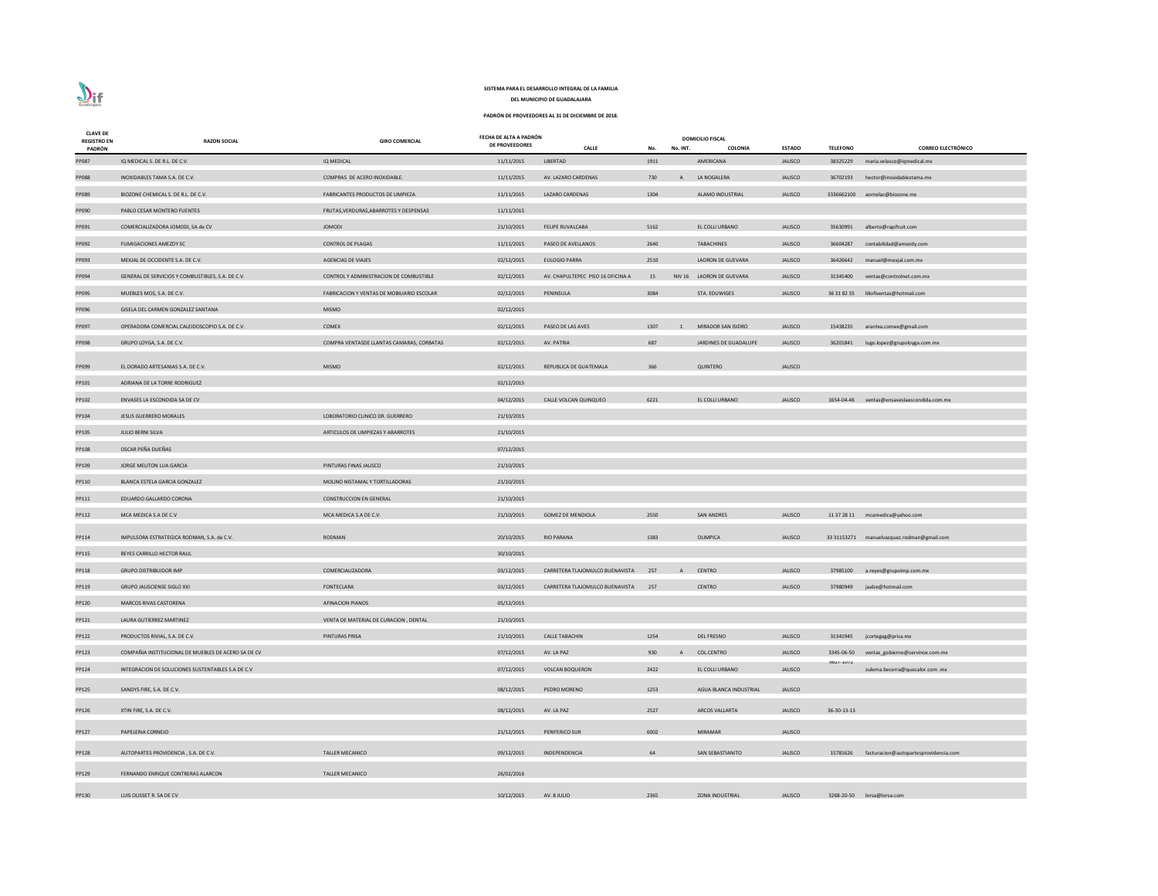| <b>CLAVE DE</b><br><b>REGISTRO EN</b> | <b>RAZON SOCIAL</b>                                 | <b>GIRO COMERCIAL</b>                      | FECHA DE ALTA A PADRÓN<br>DE PROVEEDORES | <b>CALLE</b>                        | No.  | No. INT.     | <b>DOMICILIO FISCAL</b><br>COLONIA | <b>ESTADO</b>  | <b>TELEFONO</b>  | <b>CORREO ELECTRÓNICO</b>                  |
|---------------------------------------|-----------------------------------------------------|--------------------------------------------|------------------------------------------|-------------------------------------|------|--------------|------------------------------------|----------------|------------------|--------------------------------------------|
| PADRÓN<br><b>PP087</b>                | IQ MEDICAL S. DE R.L. DE C.V.                       | IQ MEDICAL                                 | 11/11/2015                               | LIBERTAD                            | 1911 |              | AMERICANA                          | <b>JALISCO</b> | 38325229         | maria.velasco@iqmedical.mx                 |
| <b>PP088</b>                          | INOXIDABLES TAMA S.A. DE C.V.                       | COMPRAS DE ACERO INOXIDABLE.               | 11/11/2015                               | AV. LAZARO CARDENAS                 | 730  | $\mathsf{A}$ | LA NOGALERA                        | <b>JALISCO</b> | 36702193         | hector@inoxidablestama.mx                  |
| PP089                                 | BIOZONE CHEMICAL S. DE R.L. DE C.V.                 | FABRICANTES PRODUCTOS DE LIMPIEZA          | 11/11/2015                               | LAZARO CARDENAS                     | 1304 |              | ALAMO INDUSTRIAL                   | <b>JALISCO</b> |                  | 3336662100 aornelas@biozone.mx             |
| PP090                                 | PABLO CESAR MONTERO FUENTES                         | FRUTAS, VERDURAS, ABARROTES Y DESPENSAS    | 11/11/2015                               |                                     |      |              |                                    |                |                  |                                            |
| PP091                                 | COMERCIALIZADORA JOMODI, SA de CV                   | <b>JOMODI</b>                              | 21/10/2015                               | <b>FELIPE RUVALCABA</b>             | 5162 |              | EL COLLI URBANO                    | <b>JALISCO</b> | 35630991         | alberto@rapifruit.com                      |
| PP092                                 | <b>FUMIGACIONES AMEZDY SC</b>                       | <b>CONTROL DE PLAGAS</b>                   | 11/11/2015                               | PASEO DE AVELLANOS                  | 2640 |              | <b>TABACHINES</b>                  | <b>JALISCO</b> | 36604287         | contabilidad@amezdy.com                    |
| PP093                                 | MEXJAL DE OCCIDENTE S.A. DE C.V.                    | <b>AGENCIAS DE VIAJES</b>                  | 02/12/2015                               | <b>EULOGIO PARRA</b>                | 2510 |              | LADRON DE GUEVARA                  | <b>JALISCO</b> | 36426642         | manuel@mexjal.com.mx                       |
| PP094                                 | GENERAL DE SERVICIOS Y COMBUSTIBLES, S.A. DE C.V.   | CONTROL Y ADMINISTRACION DE COMBUSTIBLE    | 02/12/2015                               | AV. CHAPULTEPEC PISO 16 OFICINA A   | 15   |              | NIV 16 LADRON DE GUEVARA           | <b>JALISCO</b> | 31345400         | ventas@controlnet.com.mx                   |
| PP095                                 | MUEBLES MOS, S.A. DE C.V.                           | FABRICACION Y VENTAS DE MOBILIARIO ESCOLAR | 02/12/2015                               | PENINSULA                           | 3084 |              | STA. EDUWIGES                      | <b>JALISCO</b> |                  | 36 31 82 35 liliofiventas@hotmail.com      |
| PP096                                 | GISELA DEL CARMEN GONZALEZ SANTANA                  | <b>MISMO</b>                               | 02/12/2015                               |                                     |      |              |                                    |                |                  |                                            |
| PP097                                 | OPERADORA COMERCIAL CALEIDOSCOPIO S.A. DE C.V.      | <b>COMEX</b>                               | 02/12/2015                               | PASEO DE LAS AVES                   | 1307 | 1            | MIRADOR SAN ISIDRO                 | <b>JALISCO</b> | 15438235         | arantxa.comex@gmail.com                    |
| PP098                                 | GRUPO LOYGA, S.A. DE C.V.                           | COMPRA VENTASDE LLANTAS CAMARAS, CORBATAS  | 02/12/2015                               | AV. PATRIA                          | 687  |              | JARDINES DE GUADALUPE              | JALISCO        | 36201841         | lugo.lopez@grupoloyga.com.mx               |
|                                       |                                                     |                                            |                                          |                                     |      |              |                                    |                |                  |                                            |
| PP099                                 | EL DORADO ARTESANIAS S.A. DE C.V.                   | <b>MISMO</b>                               | 02/12/2015                               | REPUBLICA DE GUATEMALA              | 366  |              | QUINTERO                           | <b>JALISCO</b> |                  |                                            |
| PP101                                 | ADRIANA DE LA TORRE RODRIGUEZ                       |                                            | 02/12/2015                               |                                     |      |              |                                    |                |                  |                                            |
| PP102                                 | ENVASES LA ESCONDIDA SA DE CV                       |                                            | 04/12/2015                               | CALLE VOLCAN QUINQUEO               | 6221 |              | EL COLLI URBANO                    | <b>JALISCO</b> | 1654-04-46       | ventas@ensaveslaescondida.com.mx           |
| PP104                                 | JESUS GUERRERO MORALES                              | LOBORATORIO CLINICO DR. GUERRERO           | 21/10/2015                               |                                     |      |              |                                    |                |                  |                                            |
| PP105                                 | JULIO BERNI SILVA                                   | ARTICULOS DE LIMPIEZAS Y ABARROTES         | 21/10/2015                               |                                     |      |              |                                    |                |                  |                                            |
| PP108                                 | OSCAR PEÑA DUEÑAS                                   |                                            | 07/12/2015                               |                                     |      |              |                                    |                |                  |                                            |
| PP109                                 | JORGE MELITON LUA GARCIA                            | PINTURAS FINAS JALISCO                     | 21/10/2015                               |                                     |      |              |                                    |                |                  |                                            |
| PP110                                 | BLANCA ESTELA GARCIA GONZALEZ                       | MOLINO NISTAMAL Y TORTILLADORAS            | 21/10/2015                               |                                     |      |              |                                    |                |                  |                                            |
| PP111                                 | EDUARDO GALLARDO CORONA                             | <b>CONSTRUCCION EN GENERAL</b>             | 21/10/2015                               |                                     |      |              |                                    |                |                  |                                            |
| PP112                                 | MCA MEDICA S.A DE C.V                               | MCA MEDICA S.A DE C.V.                     | 21/10/2015                               | <b>GOMEZ DE MENDIOLA</b>            | 2550 |              | <b>SAN ANDRES</b>                  | <b>JALISCO</b> |                  | 11 37 28 11 mcamedica@yahoo.com            |
| PP114                                 | IMPULSORA ESTRATEGICA RODMAN, S.A. de C.V.          | RODMAN                                     | 20/10/2015                               | <b>RIO PARANA</b>                   | 1383 |              | OLIMPICA                           | <b>JALISCO</b> |                  | 33 31153271 manuelvazquez.rodman@gmail.com |
| PP115                                 | REYES CARRILLO HECTOR RAUL                          |                                            | 30/10/2015                               |                                     |      |              |                                    |                |                  |                                            |
| PP118                                 | <b>GRUPO DISTRIBUIDOR IMP</b>                       | COMERCIALIZADORA                           | 03/12/2015                               | CARRETERA TLAJOMULCO BUENAVISTA     | 257  | $\mathsf{A}$ | CENTRO                             | <b>JALISCO</b> |                  | 37985100 a.reyes@grupoimp.com.mx           |
| PP119                                 | <b>GRUPO JALISCIENSE SIGLO XXI</b>                  | FONTECLARA                                 | 03/12/2015                               | CARRETERA TLAJOMULCO BUENAVISTA 257 |      |              | <b>CENTRO</b>                      | <b>JALISCO</b> | 37980949         | jaalze@hotmail.com                         |
| PP120                                 | <b>MARCOS RIVAS CASTORENA</b>                       | <b>AFINACION PIANOS</b>                    | 05/12/2015                               |                                     |      |              |                                    |                |                  |                                            |
| PP121                                 | LAURA GUTIERREZ MARTINEZ                            | VENTA DE MATERIAL DE CURACION, DENTAL      | 21/10/2015                               |                                     |      |              |                                    |                |                  |                                            |
| PP122                                 | PRODUCTOS RIVIAL, S.A. DE C.V.                      | PINTURAS PRISA                             | 21/10/2015                               | <b>CALLE TABACHIN</b>               | 1254 |              | <b>DEL FRESNO</b>                  | <b>JALISCO</b> | 31341945         | jcortegag@prisa.mx                         |
| PP123                                 | COMPAÑIA INSTITUCIONAL DE MUEBLES DE ACERO SA DE CV |                                            | 07/12/2015                               | AV. LA PAZ                          | 930  | A            | <b>COL.CENTRO</b>                  | <b>JALISCO</b> | 3345-06-50       | ventas_gobierno@servinox.com.mx            |
| PP124                                 | INTEGRACION DE SOLUCIONES SUSTENTABLES S.A DE C.V   |                                            | 07/12/2015                               | <b>VOLCAN BOQUERON</b>              | 2422 |              | EL COLLI URBANO                    | <b>JALISCO</b> | <b>7071-TOIT</b> | zulema.becerra@quecalor.com .mx            |
| PP125                                 | SANDYS FIRE, S.A. DE C.V.                           |                                            | 08/12/2015                               | PEDRO MORENO                        | 1253 |              | AGUA BLANCA INDUSTRIAL             | <b>JALISCO</b> |                  |                                            |
| PP126                                 | XTIN FIRE, S.A. DE C.V.                             |                                            | 08/12/2015                               | AV. LA PAZ                          | 2527 |              | <b>ARCOS VALLARTA</b>              | <b>JALISCO</b> | 36-30-13-13      |                                            |
| PP127                                 | PAPELERIA CORNEJO                                   |                                            | 21/12/2015                               | PERIFERICO SUR                      | 6002 |              | <b>MIRAMAR</b>                     | <b>JALISCO</b> |                  |                                            |
| PP128                                 | AUTOPARTES PROVIDENCIA, S.A. DE C.V.                | <b>TALLER MECANICO</b>                     | 09/12/2015                               | INDEPENDENCIA                       | 64   |              | SAN SEBASTIANITO                   | <b>JALISCO</b> | 15781626         | facturacion@autopartesprovidencia.com      |
| PP129                                 | FERNANDO ENRIQUE CONTRERAS ALARCON                  | <b>TALLER MECANICO</b>                     | 26/02/2016                               |                                     |      |              |                                    |                |                  |                                            |
|                                       |                                                     |                                            |                                          |                                     |      |              |                                    |                |                  |                                            |
| PP130                                 | LUIS OUSSET R. SA DE CV                             |                                            | 10/12/2015                               | AV. 8 JULIO                         | 2365 |              | ZONA INDUSTRIAL                    | <b>JALISCO</b> |                  | 3268-20-50 lorsa@lorsa.com                 |

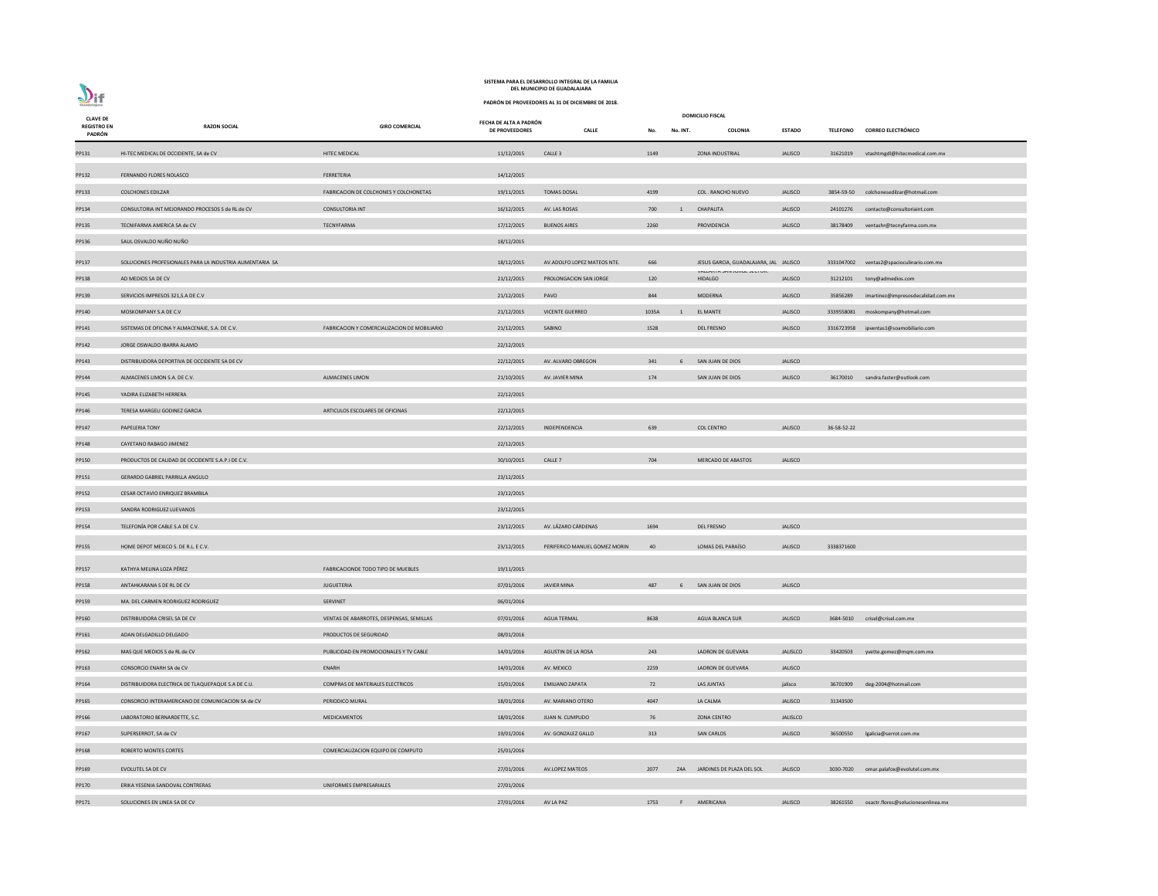

| <b>CLAVE DE</b>              |                                                           |                                              | FECHA DE ALTA A PADRÓN |                               |       |                | <b>DOMICILIO FISCAL</b>                      |                 |             |                                           |
|------------------------------|-----------------------------------------------------------|----------------------------------------------|------------------------|-------------------------------|-------|----------------|----------------------------------------------|-----------------|-------------|-------------------------------------------|
| <b>REGISTRO EN</b><br>PADRÓN | <b>RAZON SOCIAL</b>                                       | <b>GIRO COMERCIAL</b>                        | DE PROVEEDORES         | <b>CALLE</b>                  | No.   | No. INT.       | COLONIA                                      | <b>ESTADO</b>   |             | TELEFONO CORREO ELECTRÓNICO               |
| PP131                        | HI-TEC MEDICAL DE OCCIDENTE, SA de CV                     | <b>HITEC MEDICAL</b>                         | 11/12/2015             | CALLE <sub>3</sub>            | 1149  |                | <b>ZONA INDUSTRIAL</b>                       | <b>JALISCO</b>  |             | 31621019 vtashtmgdl@hitecmedical.com.mx   |
| PP132                        | FERNANDO FLORES NOLASCO                                   | FERRETERIA                                   | 14/12/2015             |                               |       |                |                                              |                 |             |                                           |
| PP133                        | <b>COLCHONES EDILZAR</b>                                  | FABRICACION DE COLCHONES Y COLCHONETAS       | 19/11/2015             | <b>TOMAS DOSAL</b>            | 4199  |                | COL. RANCHO NUEVO                            | <b>JALISCO</b>  |             | 3854-59-50 colchonesedilzar@hotmail.com   |
| PP134                        | CONSULTORIA INT MEJORANDO PROCESOS S de RL de CV          | <b>CONSULTORIA INT</b>                       | 16/12/2015             | AV. LAS ROSAS                 | 700   | $\overline{1}$ | CHAPALITA                                    | <b>JALISCO</b>  |             | 24101276 contacto@consultoriaint.com      |
| PP135                        | TECNIFARMA AMERICA SA de CV                               | TECNYFARMA                                   | 17/12/2015             | <b>BUENOS AIRES</b>           | 2260  |                | PROVIDENCIA                                  | <b>JALISCO</b>  | 38178409    | ventashr@tecnyfarma.com.mx                |
| PP136                        | SAUL OSVALDO NUÑO NUÑO                                    |                                              | 18/12/2015             |                               |       |                |                                              |                 |             |                                           |
| PP137                        | SOLUCIONES PROFESIONALES PARA LA INDUSTRIA ALIMENTARIA SA |                                              | 18/12/2015             | AV.ADOLFO LOPEZ MATEOS NTE.   | 666   |                | JESUS GARCIA, GUADALAJARA, JAL JALISCO       |                 |             | 3331047002 ventas2@spacioculinario.com.mx |
| PP138                        | AD MEDIOS SA DE CV                                        |                                              | 21/12/2015             | PROLONGACION SAN JORGE        | 120   |                | VALLANTA JAN JUNGE JEUTUN.<br><b>HIDALGO</b> | <b>JALISCO</b>  |             | 31212101 tony@admedios.com                |
| PP139                        | SERVICIOS IMPRESOS 321, S.A DE C.V                        |                                              | 21/12/2015             | PAVO                          | 844   |                | MODERNA                                      | <b>JALISCO</b>  | 35856289    | imartinez@impresosdecalidad.com.mx        |
| PP140                        | MOSKOMPANY S.A DE C.V                                     |                                              | 21/12/2015             | <b>VICENTE GUERREO</b>        | 1035A | $\overline{1}$ | <b>EL MANTE</b>                              | <b>JALISCO</b>  |             | 3339558081 moskompany@hotmail.com         |
| PP141                        | SISTEMAS DE OFICINA Y ALMACENAJE, S.A. DE C.V.            | FABRICACION Y COMERCIALIZACION DE MOBILIARIO | 21/12/2015             | SABINO                        | 1528  |                | DEL FRESNO                                   | <b>JALISCO</b>  |             | 3316723958 ipventas1@soamobiliario.com    |
| PP142                        | JORGE OSWALDO IBARRA ALAMO                                |                                              | 22/12/2015             |                               |       |                |                                              |                 |             |                                           |
| PP143                        | DISTRIBUIDORA DEPORTIVA DE OCCIDENTE SA DE CV             |                                              | 22/12/2015             | AV. ALVARO OBREGON            | 341   | 6              | SAN JUAN DE DIOS                             | <b>JALISCO</b>  |             |                                           |
| PP144                        | ALMACENES LIMON S.A. DE C.V.                              | <b>ALMACENES LIMON</b>                       | 21/10/2015             | AV. JAVIER MINA               | 174   |                | SAN JUAN DE DIOS                             | <b>JALISCO</b>  |             | 36170010 sandra.faster@outlook.com        |
| PP145                        | YADIRA ELIZABETH HERRERA                                  |                                              | 22/12/2015             |                               |       |                |                                              |                 |             |                                           |
| PP146                        | TERESA MARGELI GODINEZ GARCIA                             | ARTICULOS ESCOLARES DE OFICINAS              | 22/12/2015             |                               |       |                |                                              |                 |             |                                           |
| PP147                        | PAPELERIA TONY                                            |                                              | 22/12/2015             | INDEPENDENCIA                 | 639   |                | <b>COL CENTRO</b>                            | <b>JALISCO</b>  | 36-58-52-22 |                                           |
| PP148                        | CAYETANO RABAGO JIMENEZ                                   |                                              | 22/12/2015             |                               |       |                |                                              |                 |             |                                           |
| PP150                        | PRODUCTOS DE CALIDAD DE OCCIDENTE S.A.P.I DE C.V.         |                                              | 30/10/2015             | CALLE <sub>7</sub>            | 704   |                | <b>MERCADO DE ABASTOS</b>                    | <b>JALISCO</b>  |             |                                           |
| PP151                        | <b>GERARDO GABRIEL PARRILLA ANGULO</b>                    |                                              | 23/12/2015             |                               |       |                |                                              |                 |             |                                           |
| PP152                        | CESAR OCTAVIO ENRIQUEZ BRAMBILA                           |                                              | 23/12/2015             |                               |       |                |                                              |                 |             |                                           |
| PP153                        | SANDRA RODRIGUEZ LUEVANOS                                 |                                              | 23/12/2015             |                               |       |                |                                              |                 |             |                                           |
| PP154                        | TELEFONÍA POR CABLE S.A DE C.V.                           |                                              | 23/12/2015             | AV. LÁZARO CÁRDENAS           | 1694  |                | <b>DEL FRESNO</b>                            | <b>JALISCO</b>  |             |                                           |
| PP155                        | HOME DEPOT MEXICO S. DE R.L. E C.V.                       |                                              | 23/12/2015             | PERIFERICO MANUEL GOMEZ MORIN | 40    |                | LOMAS DEL PARAÍSO                            | <b>JALISCO</b>  | 3338371600  |                                           |
| PP157                        | KATHYA MELINA LOZA PÉREZ                                  | FABRICACIONDE TODO TIPO DE MUEBLES           | 19/11/2015             |                               |       |                |                                              |                 |             |                                           |
| PP158                        | ANTAHKARANA S DE RL DE CV                                 | <b>JUGUETERIA</b>                            | 07/01/2016             | <b>JAVIER MINA</b>            | 487   | 6              | SAN JUAN DE DIOS                             | <b>JALISCO</b>  |             |                                           |
| PP159                        | MA. DEL CARMEN RODRIGUEZ RODRIGUEZ                        | SERVINET                                     | 06/01/2016             |                               |       |                |                                              |                 |             |                                           |
| PP160                        | DISTRIBUIDORA CRISEL SA DE CV                             | VENTAS DE ABARROTES, DESPENSAS, SEMILLAS     | 07/01/2016             | <b>AGUA TERMAL</b>            | 8638  |                | AGUA BLANCA SUR                              | <b>JALISCO</b>  |             | 3684-5010 crisel@crisel.com.mx            |
| PP161                        | ADAN DELGADILLO DELGADO                                   | PRODUCTOS DE SEGURIDAD                       | 08/01/2016             |                               |       |                |                                              |                 |             |                                           |
| PP162                        | MAS QUE MEDIOS S de RL de CV                              | PUBLICIDAD EN PROMOCIONALES Y TV CABLE       | 14/01/2016             | AGUSTIN DE LA ROSA            | 243   |                | LADRON DE GUEVARA                            | <b>JALISLCO</b> | 33420503    | yvette.gomez@mqm.com.mx                   |
| PP163                        | CONSORCIO ENARH SA de CV                                  | ENARH                                        | 14/01/2016             | AV. MEXICO                    | 2259  |                | LADRON DE GUEVARA                            | <b>JALISCO</b>  |             |                                           |
| PP164                        | DISTRIBUIDORA ELECTRICA DE TLAQUEPAQUE S.A DE C.U.        | COMPRAS DE MATERIALES ELECTRICOS             | 15/01/2016             | <b>EMILIANO ZAPATA</b>        | 72    |                | LAS JUNTAS                                   | jalisco         | 36701909    | deg-2004@hotmail.com                      |
| PP165                        | CONSORCIO INTERAMERICANO DE COMUNICACION SA de CV         | PERIODICO MURAL                              | 18/01/2016             | AV. MARIANO OTERO             | 4047  |                | LA CALMA                                     | <b>JALISCO</b>  | 31343500    |                                           |
| PP166                        | LABORATORIO BERNARDETTE, S.C.                             | <b>MEDICAMENTOS</b>                          | 18/01/2016             | JUAN N. CUMPLIDO              | 76    |                | <b>ZONA CENTRO</b>                           | <b>JALISLCO</b> |             |                                           |
| PP167                        | SUPERSERROT, SA de CV                                     |                                              | 19/01/2016             | AV. GONZALEZ GALLO            | 313   |                | <b>SAN CARLOS</b>                            | <b>JALISCO</b>  | 36500550    | lgalicia@serrot.com.mx                    |
| PP168                        | ROBERTO MONTES CORTES                                     | COMERCIALIZACION EQUIPO DE COMPUTO           | 25/01/2016             |                               |       |                |                                              |                 |             |                                           |
| PP169                        | EVOLUTEL SA DE CV                                         |                                              | 27/01/2016             | AV.LOPEZ MATEOS               | 2077  | Z4A            | JARDINES DE PLAZA DEL SOL                    | <b>JALISCO</b>  | 3030-7020   | omar.palafox@evolutel.com.mx              |
| PP170                        | ERIKA YESENIA SANDOVAL CONTRERAS                          | UNIFORMES EMPRESARIALES                      | 27/01/2016             |                               |       |                |                                              |                 |             |                                           |
| PP171                        | SOLUCIONES EN LINEA SA DE CV                              |                                              | 27/01/2016             | AV LA PAZ                     | 1753  | F.             | AMERICANA                                    | <b>JALISCO</b>  | 38261550    | osactr.flores@solucionesenlinea.mx        |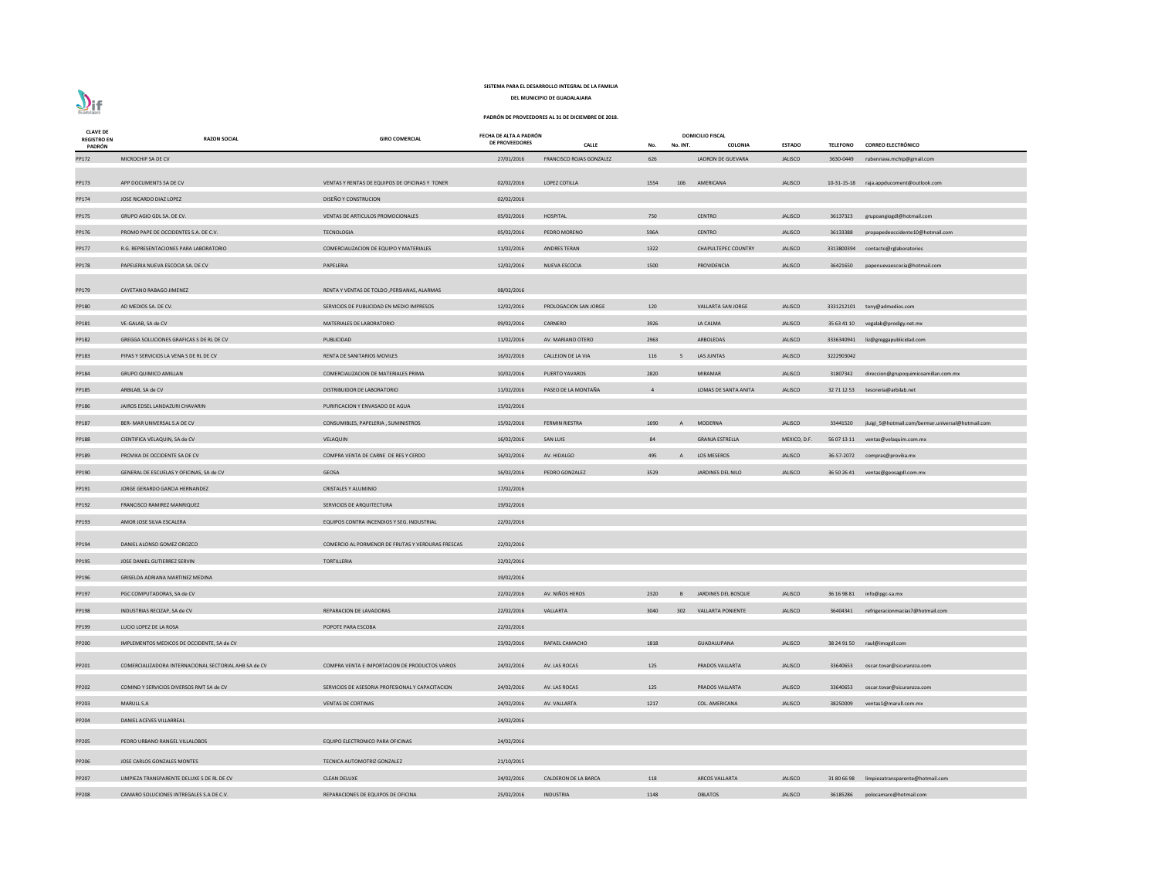| <b>CLAVE DE</b><br><b>REGISTRO EN</b> | <b>RAZON SOCIAL</b>                                   | <b>GIRO COMERCIAL</b>                             | FECHA DE ALTA A PADRÓN |                             |                |          | <b>DOMICILIO FISCAL</b>      |                |                 |                                                   |
|---------------------------------------|-------------------------------------------------------|---------------------------------------------------|------------------------|-----------------------------|----------------|----------|------------------------------|----------------|-----------------|---------------------------------------------------|
| PADRÓN                                |                                                       |                                                   | <b>DE PROVEEDORES</b>  | <b>CALLE</b>                | No.            | No. INT. | COLONIA                      | <b>ESTADO</b>  | <b>TELEFONO</b> | <b>CORREO ELECTRÓNICO</b>                         |
| PP172                                 | MICROCHIP SA DE CV                                    |                                                   | 27/01/2016             | FRANCISCO ROJAS GONZALEZ    | 626            |          | LADRON DE GUEVARA            | <b>JALISCO</b> |                 | 3630-0449 rubennava.mchip@gmail.com               |
| PP173                                 | APP DOCUMENTS SA DE CV                                | VENTAS Y RENTAS DE EQUIPOS DE OFICINAS Y TONER    | 02/02/2016             | LOPEZ COTILLA               | 1554           | 106      | AMERICANA                    | <b>JALISCO</b> |                 | 10-31-15-18 raja.appducoment@outlook.com          |
| PP174                                 | JOSE RICARDO DIAZ LOPEZ                               | DISEÑO Y CONSTRUCION                              | 02/02/2016             |                             |                |          |                              |                |                 |                                                   |
| PP175                                 | GRUPO AGIO GDL SA. DE CV.                             | VENTAS DE ARTICULOS PROMOCIONALES                 | 05/02/2016             | HOSPITAL                    | 750            |          | <b>CENTRO</b>                | JALISCO        | 36137323        | grupoangiogdl@hotmail.com                         |
| PP176                                 | PROMO PAPE DE OCCIDENTES S.A. DE C.V.                 | <b>TECNOLOGIA</b>                                 | 05/02/2016             | PEDRO MORENO                | 596A           |          | <b>CENTRO</b>                | <b>JALISCO</b> | 36133388        | propapedeoccidente10@hotmail.com                  |
| PP177                                 | R.G. REPRESENTACIONES PARA LABORATORIO                | COMERCIALIZACION DE EQUIPO Y MATERIALES           | 11/02/2016             | ANDRES TERAN                | 1322           |          | <b>CHAPULTEPEC COUNTRY</b>   | <b>JALISCO</b> |                 | 3313800394 contacto@rglaboratorios                |
| PP178                                 | PAPELERIA NUEVA ESCOCIA SA. DE CV                     | PAPELERIA                                         | 12/02/2016             | NUEVA ESCOCIA               | 1500           |          | PROVIDENCIA                  | <b>JALISCO</b> | 36421650        | papenuevaescocia@hotmail.com                      |
| PP179                                 | CAYETANO RABAGO JIMENEZ                               | RENTA Y VENTAS DE TOLDO , PERSIANAS, ALARMAS      | 08/02/2016             |                             |                |          |                              |                |                 |                                                   |
| PP180                                 | AD MEDIOS SA. DE CV.                                  | SERVICIOS DE PUBLICIDAD EN MEDIO IMPRESOS         | 12/02/2016             | PROLOGACION SAN JORGE       | 120            |          | VALLARTA SAN JORGE           | <b>JALISCO</b> |                 | 3331212101 tony@admedios.com                      |
| PP181                                 | VE-GALAB, SA de CV                                    | MATERIALES DE LABORATORIO                         | 09/02/2016             | CARNERO                     | 3926           |          | LA CALMA                     | <b>JALISCO</b> |                 | 35 63 41 10 vegalab@prodigy.net.mx                |
|                                       |                                                       |                                                   |                        |                             |                |          |                              |                |                 |                                                   |
| PP182                                 | GREGGA SOLUCIONES GRAFICAS S DE RL DE CV              | PUBLICIDAD                                        | 11/02/2016             | AV. MARIANO OTERO           | 2963           |          | ARBOLEDAS                    | <b>JALISCO</b> |                 | 3336340941 liz@greggapublicidad.com               |
| PP183                                 | PIPAS Y SERVICIOS LA VENA S DE RL DE CV               | RENTA DE SANITARIOS MOVILES                       | 16/02/2016             | CALLEJON DE LA VIA          | 116            |          | LAS JUNTAS                   | <b>JALISCO</b> | 3222903042      |                                                   |
| PP184                                 | <b>GRUPO QUIMICO AMILLAN</b>                          | COMERCIALIZACION DE MATERIALES PRIMA              | 10/02/2016             | PUERTO YAVAROS              | 2820           |          | <b>MIRAMAR</b>               | <b>JALISCO</b> | 31807342        | direccion@grupoquimicoamillan.com.mx              |
| PP185                                 | ARBILAB, SA de CV                                     | DISTRIBUIDOR DE LABORATORIO                       | 11/02/2016             | PASEO DE LA MONTAÑA         | $\overline{4}$ |          | LOMAS DE SANTA ANITA         | <b>JALISCO</b> |                 | 32 71 12 53 tesoreria@arbilab.net                 |
| PP186                                 | JAIROS EDSEL LANDAZURI CHAVARIN                       | PURIFICACION Y ENVASADO DE AGUA                   | 15/02/2016             |                             |                |          |                              |                |                 |                                                   |
| PP187                                 | BER- MAR UNIVERSAL S.A DE CV                          | CONSUMIBLES, PAPELERIA, SUMINISTROS               | 15/02/2016             | <b>FERMIN RIESTRA</b>       | 1690           | A        | MODERNA                      | <b>JALISCO</b> | 33441520        | jluigi_5@hotmail.com/bermar.universal@hotmail.com |
| PP188                                 | CIENTIFICA VELAQUIN, SA de CV                         | VELAQUIN                                          | 16/02/2016             | SAN LUIS                    | 84             |          | <b>GRANJA ESTRELLA</b>       | MEXICO, D.F.   |                 | 56 07 13 11 ventas@velaquim.com.mx                |
| PP189                                 | PROVIKA DE OCCIDENTE SA DE CV                         | COMPRA VENTA DE CARNE DE RES Y CERDO              | 16/02/2016             | AV. HIDALGO                 | 495            | A        | LOS MESEROS                  | <b>JALISCO</b> |                 | 36-57-2072 compras@provika.mx                     |
| PP190                                 | GENERAL DE ESCUELAS Y OFICINAS, SA de CV              | <b>GEOSA</b>                                      | 16/02/2016             | PEDRO GONZALEZ              | 3529           |          | JARDINES DEL NILO            | <b>JALISCO</b> |                 | 36 50 26 41 ventas@geosagdl.com.mx                |
| PP191                                 | JORGE GERARDO GARCIA HERNANDEZ                        | <b>CRISTALES Y ALUMINIO</b>                       | 17/02/2016             |                             |                |          |                              |                |                 |                                                   |
| PP192                                 | FRANCISCO RAMIREZ MANRIQUEZ                           | SERVICIOS DE ARQUITECTURA                         | 19/02/2016             |                             |                |          |                              |                |                 |                                                   |
| PP193                                 | AMOR JOSE SILVA ESCALERA                              | EQUIPOS CONTRA INCENDIOS Y SEG. INDUSTRIAL        | 22/02/2016             |                             |                |          |                              |                |                 |                                                   |
| PP194                                 | DANIEL ALONSO GOMEZ OROZCO                            | COMERCIO AL PORMENOR DE FRUTAS Y VERDURAS FRESCAS | 22/02/2016             |                             |                |          |                              |                |                 |                                                   |
|                                       |                                                       |                                                   |                        |                             |                |          |                              |                |                 |                                                   |
| PP195                                 | JOSE DANIEL GUTIERREZ SERVIN                          | <b>TORTILLERIA</b>                                | 22/02/2016             |                             |                |          |                              |                |                 |                                                   |
| PP196                                 | GRISELDA ADRIANA MARTINEZ MEDINA                      |                                                   | 19/02/2016             |                             |                |          |                              |                |                 |                                                   |
| PP197                                 | PGC COMPUTADORAS, SA de CV                            |                                                   | 22/02/2016             | AV. NIÑOS HEROS             | 2320           |          | <b>B</b> JARDINES DEL BOSQUE | <b>JALISCO</b> |                 | 36 16 98 81 info@pgc-sa.mx                        |
| PP198                                 | INDUSTRIAS RECIZAP, SA de CV                          | REPARACION DE LAVADORAS                           | 22/02/2016             | VALLARTA                    | 3040           |          | 302 VALLARTA PONIENTE        | <b>JALISCO</b> | 36404341        | refrigeracionmacias7@hotmail.com                  |
| PP199                                 | LUCIO LOPEZ DE LA ROSA                                | POPOTE PARA ESCOBA                                | 22/02/2016             |                             |                |          |                              |                |                 |                                                   |
| PP200                                 | IMPLEMENTOS MEDICOS DE OCCIDENTE, SA de CV            |                                                   | 23/02/2016             | RAFAEL CAMACHO              | 1818           |          | GUADALUPANA                  | <b>JALISCO</b> |                 | 38 24 91 50 raul@imogdl.com                       |
| PP201                                 | COMERCIALIZADORA INTERNACIONAL SECTORIAL AHB SA de CV | COMPRA VENTA E IMPORTACION DE PRODUCTOS VARIOS    | 24/02/2016             | AV. LAS ROCAS               | 125            |          | PRADOS VALLARTA              | <b>JALISCO</b> | 33640653        | oscar.tovar@sicuranzza.com                        |
| PP202                                 | COMIND Y SERVICIOS DIVERSOS RMT SA de CV              | SERVICIOS DE ASESORIA PROFESIONAL Y CAPACITACION  | 24/02/2016             | AV. LAS ROCAS               | 125            |          | PRADOS VALLARTA              | <b>JALISCO</b> | 33640653        | oscar.tovar@sicuranzza.com                        |
| PP203                                 | <b>MARULL S.A</b>                                     | <b>VENTAS DE CORTINAS</b>                         | 24/02/2016             | AV. VALLARTA                | 1217           |          | <b>COL. AMERICANA</b>        | <b>JALISCO</b> | 38250009        | ventas1@marull.com.mx                             |
| PP204                                 | DANIEL ACEVES VILLARREAL                              |                                                   | 24/02/2016             |                             |                |          |                              |                |                 |                                                   |
| PP205                                 | PEDRO URBANO RANGEL VILLALOBOS                        | EQUIPO ELECTRONICO PARA OFICINAS                  | 24/02/2016             |                             |                |          |                              |                |                 |                                                   |
| PP206                                 | JOSE CARLOS GONZALES MONTES                           | TECNICA AUTOMOTRIZ GONZALEZ                       | 21/10/2015             |                             |                |          |                              |                |                 |                                                   |
| PP207                                 | LIMPIEZA TRANSPARENTE DELUXE S DE RL DE CV            | <b>CLEAN DELUXE</b>                               | 24/02/2016             | <b>CALDERON DE LA BARCA</b> | 118            |          | <b>ARCOS VALLARTA</b>        | <b>JALISCO</b> | 31 80 66 98     | limpiezatransparente@hotmail.com                  |
| PP208                                 | CAMARO SOLUCIONES INTREGALES S.A DE C.V.              | REPARACIONES DE EQUIPOS DE OFICINA                | 25/02/2016             | <b>INDUSTRIA</b>            | 1148           |          | <b>OBLATOS</b>               | <b>JALISCO</b> | 36185286        | polocamaro@hotmail.com                            |
|                                       |                                                       |                                                   |                        |                             |                |          |                              |                |                 |                                                   |

# $\sum_{\text{Guedalign}}$

# **SISTEMA PARA EL DESARROLLO INTEGRAL DE LA FAMILIA**

**DEL MUNICIPIO DE GUADALAJARA**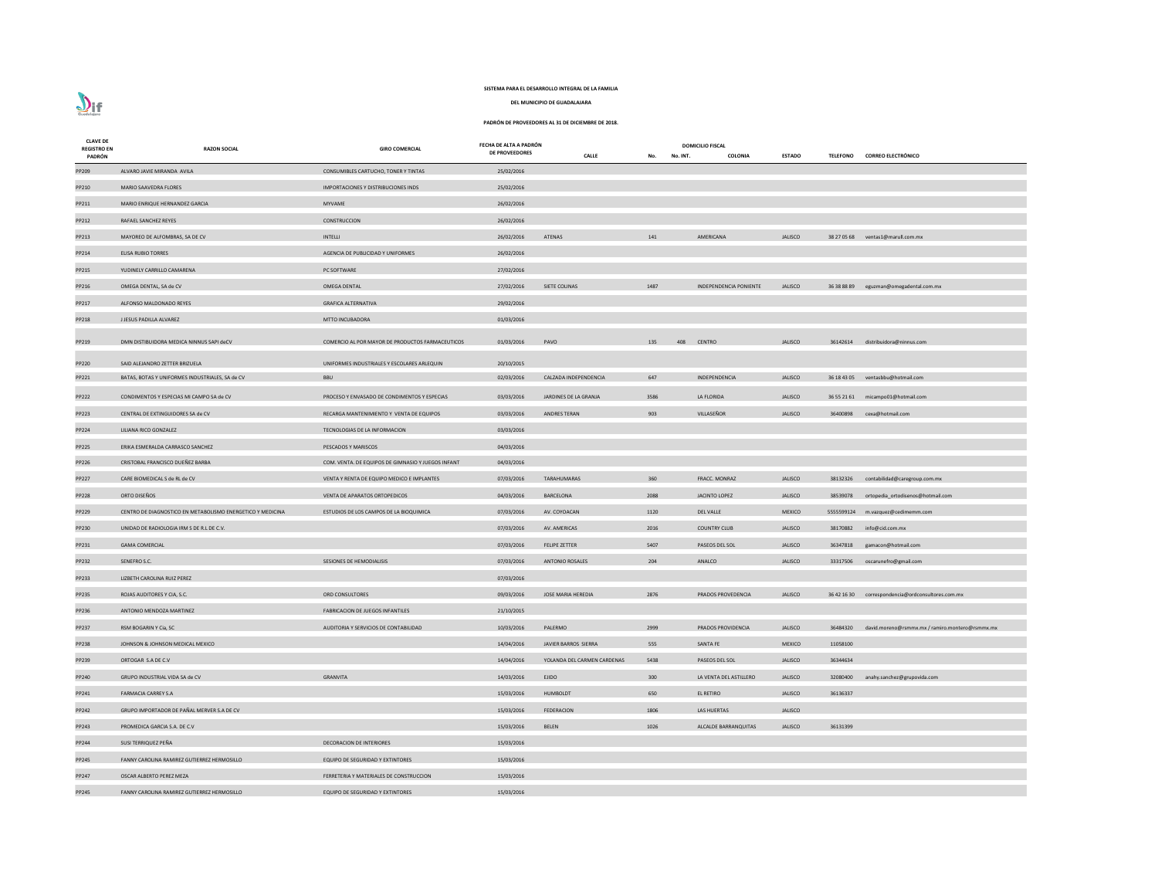# $\sum_{\text{Guedalign}}$

# **SISTEMA PARA EL DESARROLLO INTEGRAL DE LA FAMILIA**

**DEL MUNICIPIO DE GUADALAJARA**

| <b>CLAVE DE</b><br><b>REGISTRO EN</b><br>PADRÓN | <b>RAZON SOCIAL</b>                                                               | <b>GIRO COMERCIAL</b>                              | FECHA DE ALTA A PADRÓN<br><b>DE PROVEEDORES</b> | <b>CALLE</b>                | No. INT.<br>No. | <b>DOMICILIO FISCAL</b><br>COLONIA | <b>ESTADO</b>  |          | TELEFONO CORREO ELECTRÓNICO                       |
|-------------------------------------------------|-----------------------------------------------------------------------------------|----------------------------------------------------|-------------------------------------------------|-----------------------------|-----------------|------------------------------------|----------------|----------|---------------------------------------------------|
| PP209                                           | ALVARO JAVIE MIRANDA AVILA                                                        | CONSUMIBLES CARTUCHO, TONER Y TINTAS               | 25/02/2016                                      |                             |                 |                                    |                |          |                                                   |
| PP210                                           | MARIO SAAVEDRA FLORES                                                             | IMPORTACIONES Y DISTRIBUCIONES INDS                | 25/02/2016                                      |                             |                 |                                    |                |          |                                                   |
| PP211                                           | MARIO ENRIQUE HERNANDEZ GARCIA                                                    | MYVAME                                             | 26/02/2016                                      |                             |                 |                                    |                |          |                                                   |
| PP212                                           | RAFAEL SANCHEZ REYES                                                              | CONSTRUCCION                                       | 26/02/2016                                      |                             |                 |                                    |                |          |                                                   |
| PP213                                           | MAYOREO DE ALFOMBRAS, SA DE CV                                                    | INTELLI                                            | 26/02/2016                                      | ATENAS                      | 141             | AMERICANA                          | JALISCO        |          | 38 27 05 68 ventas1@marull.com.mx                 |
| PP214                                           | <b>ELISA RUBIO TORRES</b>                                                         | AGENCIA DE PUBLICIDAD Y UNIFORMES                  | 26/02/2016                                      |                             |                 |                                    |                |          |                                                   |
| PP215                                           | YUDINELY CARRILLO CAMARENA                                                        | PC SOFTWARE                                        | 27/02/2016                                      |                             |                 |                                    |                |          |                                                   |
| PP216                                           | OMEGA DENTAL, SA de CV                                                            | <b>OMEGA DENTAL</b>                                | 27/02/2016                                      | SIETE COLINAS               | 1487            | <b>INDEPENDENCIA PONIENTE</b>      | JALISCO        |          | 36 38 88 89 eguzman@omegadental.com.mx            |
| PP217                                           | ALFONSO MALDONADO REYES                                                           | <b>GRAFICA ALTERNATIVA</b>                         | 29/02/2016                                      |                             |                 |                                    |                |          |                                                   |
| PP218                                           | J JESUS PADILLA ALVAREZ                                                           | <b>MTTO INCUBADORA</b>                             | 01/03/2016                                      |                             |                 |                                    |                |          |                                                   |
| PP219                                           | DMN DISTIBUIDORA MEDICA NINNUS SAPI deCV                                          | COMERCIO AL POR MAYOR DE PRODUCTOS FARMACEUTICOS   | 01/03/2016                                      | PAVO                        | 135<br>408      | <b>CENTRO</b>                      | <b>JALISCO</b> |          | 36142614 distribuidora@ninnus.com                 |
|                                                 |                                                                                   |                                                    |                                                 |                             |                 |                                    |                |          |                                                   |
| PP220<br>PP221                                  | SAID ALEJANDRO ZETTER BRIZUELA<br>BATAS, BOTAS Y UNIFORMES INDUSTRIALES, SA de CV | UNIFORMES INDUSTRIALES Y ESCOLARES ARLEQUIN<br>BBU | 20/10/2015<br>02/03/2016                        | CALZADA INDEPENDENCIA       | 647             | INDEPENDENCIA                      | <b>JALISCO</b> |          | 36 18 43 05 ventasbbu@hotmail.com                 |
|                                                 |                                                                                   |                                                    |                                                 |                             |                 |                                    |                |          |                                                   |
| PP222                                           | CONDIMENTOS Y ESPECIAS MI CAMPO SA de CV                                          | PROCESO Y ENVASADO DE CONDIMENTOS Y ESPECIAS       | 03/03/2016                                      | JARDINES DE LA GRANJA       | 3586            | LA FLORIDA                         | <b>JALISCO</b> |          | 36 55 21 61 micampo01@hotmail.com                 |
| PP223                                           | CENTRAL DE EXTINGUIDORES SA de CV                                                 | RECARGA MANTENIMIENTO Y VENTA DE EQUIPOS           | 03/03/2016                                      | ANDRES TERAN                | 903             | VILLASEÑOR                         | <b>JALISCO</b> |          | 36400898 cexa@hotmail.com                         |
| PP224                                           | LILIANA RICO GONZALEZ                                                             | TECNOLOGIAS DE LA INFORMACION                      | 03/03/2016                                      |                             |                 |                                    |                |          |                                                   |
| PP225                                           | ERIKA ESMERALDA CARRASCO SANCHEZ                                                  | PESCADOS Y MARISCOS                                | 04/03/2016                                      |                             |                 |                                    |                |          |                                                   |
| PP226                                           | CRISTOBAL FRANCISCO DUEÑEZ BARBA                                                  | COM. VENTA. DE EQUIPOS DE GIMNASIO Y JUEGOS INFANT | 04/03/2016                                      |                             |                 |                                    |                |          |                                                   |
| PP227                                           | CARE BIOMEDICAL S de RL de CV                                                     | VENTA Y RENTA DE EQUIPO MEDICO E IMPLANTES         | 07/03/2016                                      | TARAHUMARAS                 | 360             | FRACC. MONRAZ                      | <b>JALISCO</b> |          | 38132326 contabilidad@caregroup.com.mx            |
| <b>PP228</b>                                    | ORTO DISEÑOS                                                                      | VENTA DE APARATOS ORTOPEDICOS                      | 04/03/2016                                      | BARCELONA                   | 2088            | JACINTO LOPEZ                      | <b>JALISCO</b> |          | 38539078 ortopedia_ortodisenos@hotmail.com        |
| PP229                                           | CENTRO DE DIAGNOSTICO EN METABOLISMO ENERGETICO Y MEDICINA                        | ESTUDIOS DE LOS CAMPOS DE LA BIOQUIMICA            | 07/03/2016                                      | AV. COYOACAN                | 1120            | <b>DEL VALLE</b>                   | <b>MEXICO</b>  |          | 5555599124 m.vazquez@cedimemm.com                 |
| PP230                                           | UNIDAD DE RADIOLOGIA IRM S DE R.L DE C.V.                                         |                                                    | 07/03/2016                                      | AV. AMERICAS                | 2016            | <b>COUNTRY CLUB</b>                | <b>JALISCO</b> | 38170882 | info@cid.com.mx                                   |
| PP231                                           | <b>GAMA COMERCIAL</b>                                                             |                                                    | 07/03/2016                                      | <b>FELIPE ZETTER</b>        | 5407            | PASEOS DEL SOL                     | <b>JALISCO</b> | 36347818 | gamacon@hotmail.com                               |
| PP232                                           | SENEFRO S.C.                                                                      | SESIONES DE HEMODIALISIS                           | 07/03/2016                                      | <b>ANTONIO ROSALES</b>      | 204             | ANALCO                             | <b>JALISCO</b> | 33317506 | oscarunefro@gmail.com                             |
| PP233                                           | LIZBETH CAROLINA RUIZ PEREZ                                                       |                                                    | 07/03/2016                                      |                             |                 |                                    |                |          |                                                   |
| PP235                                           | ROJAS AUDITORES Y CIA, S.C.                                                       | ORD CONSULTORES                                    | 09/03/2016                                      | JOSE MARIA HEREDIA          | 2876            | PRADOS PROVEDENCIA                 | <b>JALISCO</b> |          | 36 42 16 30 correspondencia@ordconsultores.com.mx |
| PP236                                           | ANTONIO MENDOZA MARTINEZ                                                          | FABRICACION DE JUEGOS INFANTILES                   | 21/10/2015                                      |                             |                 |                                    |                |          |                                                   |
| PP237                                           | RSM BOGARIN Y Cia, SC                                                             | AUDITORIA Y SERVICIOS DE CONTABILIDAD              | 10/03/2016                                      | PALERMO                     | 2999            | PRADOS PROVIDENCIA                 | <b>JALISCO</b> | 36484320 | david.moreno@rsmmx.mx / ramiro.montero@rsmmx.mx   |
| PP238                                           | JOHNSON & JOHNSON MEDICAL MEXICO                                                  |                                                    | 14/04/2016                                      | JAVIER BARROS SIERRA        | 555             | SANTA FE                           | <b>MEXICO</b>  | 11058100 |                                                   |
| PP239                                           | ORTOGAR S.A DE C.V                                                                |                                                    | 14/04/2016                                      | YOLANDA DEL CARMEN CARDENAS | 5438            | PASEOS DEL SOL                     | <b>JALISCO</b> | 36344634 |                                                   |
| PP240                                           | GRUPO INDUSTRIAL VIDA SA de CV                                                    | <b>GRANVITA</b>                                    | 14/03/2016                                      | <b>EJIDO</b>                | 300             | LA VENTA DEL ASTILLERO             | <b>JALISCO</b> | 32080400 | anahy.sanchez@grupovida.com                       |
| PP241                                           | <b>FARMACIA CARREY S.A</b>                                                        |                                                    | 15/03/2016                                      | <b>HUMBOLDT</b>             | 650             | EL RETIRO                          | <b>JALISCO</b> | 36136337 |                                                   |
| PP242                                           | GRUPO IMPORTADOR DE PAÑAL MERVER S.A DE CV                                        |                                                    | 15/03/2016                                      | <b>FEDERACION</b>           | 1806            | LAS HUERTAS                        | <b>JALISCO</b> |          |                                                   |
| PP243                                           | PROMEDICA GARCIA S.A. DE C.V                                                      |                                                    | 15/03/2016                                      | <b>BELEN</b>                | 1026            | <b>ALCALDE BARRANQUITAS</b>        | <b>JALISCO</b> | 36131399 |                                                   |
| PP244                                           | SUSI TERRIQUEZ PEÑA                                                               | <b>DECORACION DE INTERIORES</b>                    | 15/03/2016                                      |                             |                 |                                    |                |          |                                                   |
| PP245                                           | FANNY CAROLINA RAMIREZ GUTIERREZ HERMOSILLO                                       | EQUIPO DE SEGURIDAD Y EXTINTORES                   | 15/03/2016                                      |                             |                 |                                    |                |          |                                                   |
| PP247                                           | OSCAR ALBERTO PEREZ MEZA                                                          | FERRETERIA Y MATERIALES DE CONSTRUCCION            | 15/03/2016                                      |                             |                 |                                    |                |          |                                                   |
| PP245                                           | FANNY CAROLINA RAMIREZ GUTIERREZ HERMOSILLO                                       | EQUIPO DE SEGURIDAD Y EXTINTORES                   | 15/03/2016                                      |                             |                 |                                    |                |          |                                                   |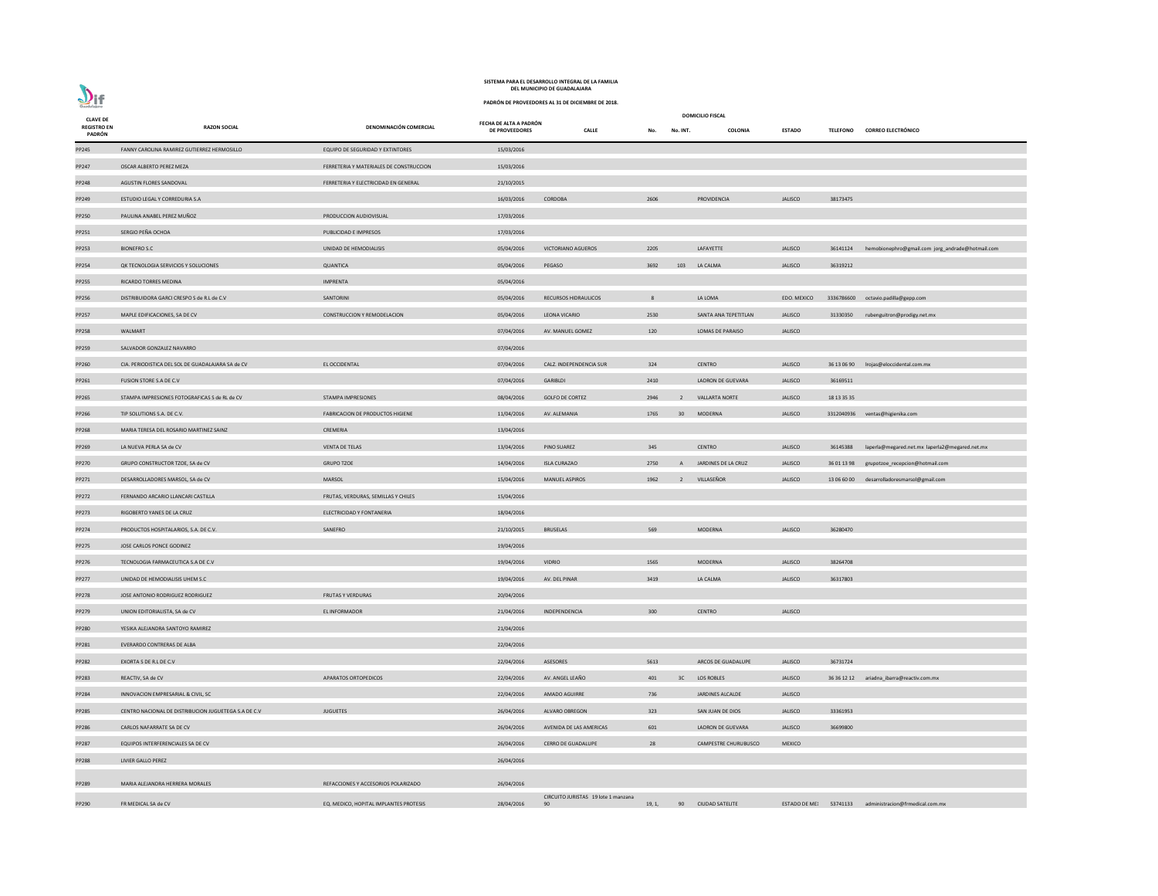**CALLE No. No. INT. COLONIA ESTADO TELEFONO CORREO ELECTRÓNICO** JALISCO 36141124 hemobionephro@gmail.com jorg\_andrade@hotmail.com EDO. MEXICO 3336786600 [octavio.padilla@gepp.com](mailto:octavio.padilla@gepp.com) NA TEPETITLAN PRAJACIONES, SA DE CONSTRUCCIONES, SA DE CONSTRUCCION ANA TEPETITLAN SANTA LEONA VICARIO 21330350 JALISCO 3613 06 90 [lrojas@eloccidental.com.mx](mailto:lrojas@eloccidental.com.mx) JALISCO 3312040936 [ventas@higienika.com](mailto:ventas@higienika.com) PP269 1453 Banda Sa Laperla Sa de Caraca Coventa 2016 2016 PINCO 36145388 laperla@megared.net.mx laperla2@megared.net.mx PP270 GRUPO CONSTRUCTOR TZOE, SA de CV GRUPO TZOE 14/04/2016 ISLA CURAZAO 2750 A JARDINES DE LA CRUZ JALISCO 36 01 13 98 [grupotzoe\\_recepcion@hotmail.com](mailto:grupotzoe_recepcion@hotmail.com) PP271 DESARROLLADORES MARSOL, SA DESARROLLADORES MANUEL ASPIROS 13/06/60/00 [desarrolladoresmarsol@gmail.com](mailto:desarrolladoresmarsol@gmail.com) PP283 REACTIV, SA DE COV APARATOS CORTOPEDICOS CONTRACTIV, SA DE COVERTE DE COVERTE DE COVERTE DE COVERTE DE CO<br>PERSONA EN ENFERAÑO 401 AV. ANGEL LEAÑO 401 AV. ANGEL LA CONTRACTIVA EN EL ANGEL DE COVERTE DE COVERTE DE CONT PP286 CARLOS NAFARRATE SA DE GUEVARA DE COVENIDA DE SA DE LA DE LA DE LA DE LA DRON DE LA DRON DE LA DRON DE L FRE CHURUBUSCO MEXICO 90 19, 1, 90 CIUDAD SATELITE ESTADO DE MEXICO 53741133 [administracion@frmedical.com.mx](mailto:administracion@frmedical.com.mx)

| <b>CLAVE DE</b>              |                                                      |                                         |                                          |                                           |        |                 | <b>DOMICILIO FISCAL</b> |                        |                 |
|------------------------------|------------------------------------------------------|-----------------------------------------|------------------------------------------|-------------------------------------------|--------|-----------------|-------------------------|------------------------|-----------------|
| <b>REGISTRO EN</b><br>PADRÓN | <b>RAZON SOCIAL</b>                                  | DENOMINACIÓN COMERCIAL                  | FECHA DE ALTA A PADRÓN<br>DE PROVEEDORES | <b>CALLE</b>                              | No.    | No. INT.        | <b>COLONIA</b>          | <b>ESTADO</b>          | <b>TELEFONO</b> |
| PP245                        | FANNY CAROLINA RAMIREZ GUTIERREZ HERMOSILLO          | EQUIPO DE SEGURIDAD Y EXTINTORES        | 15/03/2016                               |                                           |        |                 |                         |                        |                 |
| PP247                        | OSCAR ALBERTO PEREZ MEZA                             | FERRETERIA Y MATERIALES DE CONSTRUCCION | 15/03/2016                               |                                           |        |                 |                         |                        |                 |
| PP248                        | AGUSTIN FLORES SANDOVAL                              | FERRETERIA Y ELECTRICIDAD EN GENERAL    | 21/10/2015                               |                                           |        |                 |                         |                        |                 |
| PP249                        | ESTUDIO LEGAL Y CORREDURIA S.A                       |                                         | 16/03/2016                               | CORDOBA                                   | 2606   |                 | PROVIDENCIA             | <b>JALISCO</b>         | 38173475        |
| PP250                        | PAULINA ANABEL PEREZ MUÑOZ                           | PRODUCCION AUDIOVISUAL                  | 17/03/2016                               |                                           |        |                 |                         |                        |                 |
| PP251                        | SERGIO PEÑA OCHOA                                    | PUBLICIDAD E IMPRESOS                   | 17/03/2016                               |                                           |        |                 |                         |                        |                 |
| PP253                        | <b>BIONEFRO S.C</b>                                  | UNIDAD DE HEMODIALISIS                  | 05/04/2016                               | VICTORIANO AGUEROS                        | 2205   |                 | LAFAYETTE               | <b>JALISCO</b>         | 36141124        |
| PP254                        | QK TECNOLOGIA SERVICIOS Y SOLUCIONES                 | QUANTICA                                | 05/04/2016                               | PEGASO                                    | 3692   | 103             | LA CALMA                | <b>JALISCO</b>         | 36319212        |
| PP255                        | RICARDO TORRES MEDINA                                | <b>IMPRENTA</b>                         | 05/04/2016                               |                                           |        |                 |                         |                        |                 |
| PP256                        | DISTRIBUIDORA GARCI CRESPO S de R.L de C.V           | SANTORINI                               | 05/04/2016                               | <b>RECURSOS HIDRAULICOS</b>               | 8      |                 | LA LOMA                 | EDO. MEXICO            | 333678660       |
| PP257                        | MAPLE EDIFICACIONES, SA DE CV                        | <b>CONSTRUCCION Y REMODELACION</b>      | 05/04/2016                               | LEONA VICARIO                             | 2530   |                 | SANTA ANA TEPETITLAN    | <b>JALISCO</b>         | 31330350        |
| <b>PP258</b>                 | WALMART                                              |                                         | 07/04/2016                               | AV. MANUEL GOMEZ                          | 120    |                 | LOMAS DE PARAISO        | <b>JALISCO</b>         |                 |
| PP259                        | SALVADOR GONZALEZ NAVARRO                            |                                         | 07/04/2016                               |                                           |        |                 |                         |                        |                 |
| PP260                        | CIA. PERIODISTICA DEL SOL DE GUADALAJARA SA de CV    | EL OCCIDENTAL                           | 07/04/2016                               | CALZ. INDEPENDENCIA SUR                   | 324    |                 | <b>CENTRO</b>           | <b>JALISCO</b>         | 36 13 06 90     |
| PP261                        | FUSION STORE S.A DE C.V                              |                                         | 07/04/2016                               | GARIBLDI                                  | 2410   |                 | LADRON DE GUEVARA       | <b>JALISCO</b>         | 36169511        |
| PP265                        | STAMPA IMPRESIONES FOTOGRAFICAS S de RL de CV        | <b>STAMPA IMPRESIONES</b>               | 08/04/2016                               | <b>GOLFO DE CORTEZ</b>                    | 2946   | $\overline{2}$  | <b>VALLARTA NORTE</b>   | <b>JALISCO</b>         | 18 13 35 35     |
| PP266                        | TIP SOLUTIONS S.A. DE C.V.                           | <b>FABRICACION DE PRODUCTOS HIGIENE</b> | 11/04/2016                               | AV. ALEMANIA                              | 1765   | 30 <sup>2</sup> | MODERNA                 | <b>JALISCO</b>         | 331204093       |
| PP268                        | MARIA TERESA DEL ROSARIO MARTINEZ SAINZ              | CREMERIA                                | 13/04/2016                               |                                           |        |                 |                         |                        |                 |
| PP269                        | LA NUEVA PERLA SA de CV                              | <b>VENTA DE TELAS</b>                   | 13/04/2016                               | PINO SUAREZ                               | 345    |                 | <b>CENTRO</b>           | <b>JALISCO</b>         | 36145388        |
| PP270                        | GRUPO CONSTRUCTOR TZOE, SA de CV                     | <b>GRUPO TZOE</b>                       | 14/04/2016                               | <b>ISLA CURAZAO</b>                       | 2750   | $\mathsf{A}$    | JARDINES DE LA CRUZ     | <b>JALISCO</b>         | 36 01 13 98     |
| PP271                        | DESARROLLADORES MARSOL, SA de CV                     | <b>MARSOL</b>                           | 15/04/2016                               | <b>MANUEL ASPIROS</b>                     | 1962   |                 | 2 VILLASEÑOR            | <b>JALISCO</b>         | 13 06 60 00     |
| PP272                        | FERNANDO ARCARIO LLANCARI CASTILLA                   | FRUTAS, VERDURAS, SEMILLAS Y CHILES     | 15/04/2016                               |                                           |        |                 |                         |                        |                 |
| PP273                        | RIGOBERTO YANES DE LA CRUZ                           | ELECTRICIDAD Y FONTANERIA               | 18/04/2016                               |                                           |        |                 |                         |                        |                 |
| PP274                        | PRODUCTOS HOSPITALARIOS, S.A. DE C.V.                | SANEFRO                                 | 21/10/2015                               | <b>BRUSELAS</b>                           | 569    |                 | MODERNA                 | <b>JALISCO</b>         | 36280470        |
| PP275                        | JOSE CARLOS PONCE GODINEZ                            |                                         | 19/04/2016                               |                                           |        |                 |                         |                        |                 |
| PP276                        | TECNOLOGIA FARMACEUTICA S.A DE C.V                   |                                         | 19/04/2016                               | <b>VIDRIO</b>                             | 1565   |                 | MODERNA                 | <b>JALISCO</b>         | 38264708        |
| PP277                        | UNIDAD DE HEMODIALISIS UHEM S.C                      |                                         | 19/04/2016                               | AV. DEL PINAR                             | 3419   |                 | LA CALMA                | <b>JALISCO</b>         | 36317803        |
| <b>PP278</b>                 | JOSE ANTONIO RODRIGUEZ RODRIGUEZ                     | <b>FRUTAS Y VERDURAS</b>                | 20/04/2016                               |                                           |        |                 |                         |                        |                 |
| PP279                        | UNION EDITORIALISTA, SA de CV                        | EL INFORMADOR                           | 21/04/2016                               | INDEPENDENCIA                             | 300    |                 | <b>CENTRO</b>           | <b>JALISCO</b>         |                 |
| <b>PP280</b>                 | YESIKA ALEJANDRA SANTOYO RAMIREZ                     |                                         | 21/04/2016                               |                                           |        |                 |                         |                        |                 |
| PP281                        | EVERARDO CONTRERAS DE ALBA                           |                                         | 22/04/2016                               |                                           |        |                 |                         |                        |                 |
| PP282                        | EXORTA S DE R.L DE C.V                               |                                         | 22/04/2016                               | ASESORES                                  | 5613   |                 | ARCOS DE GUADALUPE      | <b>JALISCO</b>         | 36731724        |
| PP283                        | REACTIV, SA de CV                                    | APARATOS ORTOPEDICOS                    | 22/04/2016                               | AV. ANGEL LEAÑO                           | 401    | 3C              | <b>LOS ROBLES</b>       | <b>JALISCO</b>         | 36 36 12 12     |
| PP284                        | INNOVACION EMPRESARIAL & CIVIL, SC                   |                                         | 22/04/2016                               | <b>AMADO AGUIRRE</b>                      | 736    |                 | <b>JARDINES ALCALDE</b> | <b>JALISCO</b>         |                 |
| <b>PP285</b>                 | CENTRO NACIONAL DE DISTRIBUCION JUGUETEGA S.A DE C.V | <b>JUGUETES</b>                         | 26/04/2016                               | <b>ALVARO OBREGON</b>                     | 323    |                 | SAN JUAN DE DIOS        | <b>JALISCO</b>         | 33361953        |
| PP286                        | CARLOS NAFARRATE SA DE CV                            |                                         | 26/04/2016                               | AVENIDA DE LAS AMERICAS                   | 601    |                 | LADRON DE GUEVARA       | <b>JALISCO</b>         | 36699800        |
| PP287                        | EQUIPOS INTERFERENCIALES SA DE CV                    |                                         | 26/04/2016                               | <b>CERRO DE GUADALUPE</b>                 | 28     |                 | CAMPESTRE CHURUBUSCO    | <b>MEXICO</b>          |                 |
| <b>PP288</b>                 | LIVIER GALLO PEREZ                                   |                                         | 26/04/2016                               |                                           |        |                 |                         |                        |                 |
|                              |                                                      |                                         |                                          |                                           |        |                 |                         |                        |                 |
| PP289                        | MARIA ALEJANDRA HERRERA MORALES                      | REFACCIONES Y ACCESORIOS POLARIZADO     | 26/04/2016                               |                                           |        |                 |                         |                        |                 |
| PP290                        | FR MEDICAL SA de CV                                  | EQ. MEDICO, HOPITAL IMPLANTES PROTESIS  | 28/04/2016                               | CIRCUITO JURISTAS 19 lote 1 manzana<br>90 | 19, 1, |                 | 90 CIUDAD SATELITE      | ESTADO DE ME: 53741133 |                 |



# **PADRÓN DE PROVEEDORES AL 31 DE DICIEMBRE DE 2018.**

## **DEL MUNICIPIO DE GUADALAJARA SISTEMA PARA EL DESARROLLO INTEGRAL DE LA FAMILIA**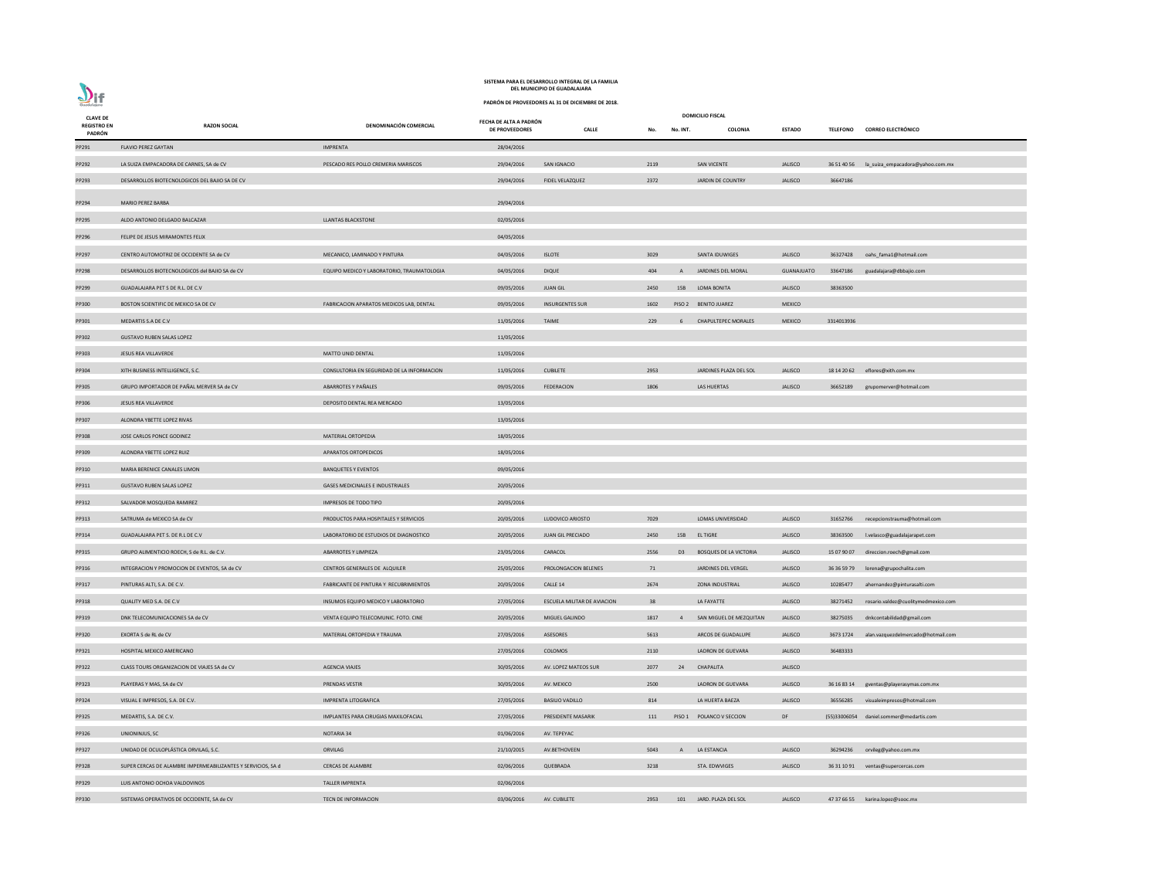| <b>CLAVE DE</b>              |                                                              |                                            |                                          |                                    |      |          | <b>DOMICILIO FISCAL</b>          |                |                 |                                              |
|------------------------------|--------------------------------------------------------------|--------------------------------------------|------------------------------------------|------------------------------------|------|----------|----------------------------------|----------------|-----------------|----------------------------------------------|
| <b>REGISTRO EN</b><br>PADRÓN | <b>RAZON SOCIAL</b>                                          | DENOMINACIÓN COMERCIAL                     | FECHA DE ALTA A PADRÓN<br>DE PROVEEDORES | <b>CALLE</b>                       | No.  | No. INT. | COLONIA                          | <b>ESTADO</b>  | <b>TELEFONO</b> | <b>CORREO ELECTRÓNICO</b>                    |
| PP291                        | <b>FLAVIO PEREZ GAYTAN</b>                                   | <b>IMPRENTA</b>                            | 28/04/2016                               |                                    |      |          |                                  |                |                 |                                              |
| PP292                        | LA SUIZA EMPACADORA DE CARNES, SA de CV                      | PESCADO RES POLLO CREMERIA MARISCOS        | 29/04/2016                               | SAN IGNACIO                        | 2119 |          | <b>SAN VICENTE</b>               | <b>JALISCO</b> |                 | 36 51 40 56 la_suiza_empacadora@yahoo.com.mx |
| PP293                        | DESARROLLOS BIOTECNOLOGICOS DEL BAJIO SA DE CV               |                                            | 29/04/2016                               | <b>FIDEL VELAZQUEZ</b>             | 2372 |          | JARDIN DE COUNTRY                | <b>JALISCO</b> | 36647186        |                                              |
| PP294                        | MARIO PEREZ BARBA                                            |                                            | 29/04/2016                               |                                    |      |          |                                  |                |                 |                                              |
| PP295                        | ALDO ANTONIO DELGADO BALCAZAR                                | <b>LLANTAS BLACKSTONE</b>                  | 02/05/2016                               |                                    |      |          |                                  |                |                 |                                              |
| PP296                        | FELIPE DE JESUS MIRAMONTES FELIX                             |                                            | 04/05/2016                               |                                    |      |          |                                  |                |                 |                                              |
| PP297                        | CENTRO AUTOMOTRIZ DE OCCIDENTE SA de CV                      | MECANICO, LAMINADO Y PINTURA               | 04/05/2016                               | <b>ISLOTE</b>                      | 3029 |          | SANTA IDUWIGES                   | <b>JALISCO</b> |                 | 36327428 oahs_fama1@hotmail.com              |
| PP298                        | DESARROLLOS BIOTECNOLOGICOS del BAJIO SA de CV               | EQUIPO MEDICO Y LABORATORIO, TRAUMATOLOGIA | 04/05/2016                               | <b>DIQUE</b>                       | 404  |          | A JARDINES DEL MORAL             | GUANAJUATO     | 33647186        | guadalajara@dbbajio.com                      |
| PP299                        | GUADALAJARA PET S DE R.L. DE C.V                             |                                            | 09/05/2016                               | <b>JUAN GIL</b>                    | 2450 |          | 15B LOMA BONITA                  | <b>JALISCO</b> | 38363500        |                                              |
| PP300                        | BOSTON SCIENTIFIC DE MEXICO SA DE CV                         | FABRICACION APARATOS MEDICOS LAB, DENTAL   | 09/05/2016                               | <b>INSURGENTES SUR</b>             | 1602 |          | PISO 2 BENITO JUAREZ             | <b>MEXICO</b>  |                 |                                              |
| PP301                        | MEDARTIS S.A DE C.V                                          |                                            | 11/05/2016                               | <b>TAIME</b>                       | 229  |          | 6 CHAPULTEPEC MORALES            | <b>MEXICO</b>  | 3314013936      |                                              |
| PP302                        | <b>GUSTAVO RUBEN SALAS LOPEZ</b>                             |                                            | 11/05/2016                               |                                    |      |          |                                  |                |                 |                                              |
| PP303                        | JESUS REA VILLAVERDE                                         | <b>MATTO UNID DENTAL</b>                   | 11/05/2016                               |                                    |      |          |                                  |                |                 |                                              |
| PP304                        | XITH BUSINESS INTELLIGENCE, S.C.                             | CONSULTORIA EN SEGURIDAD DE LA INFORMACION | 11/05/2016                               | <b>CUBILETE</b>                    | 2953 |          | JARDINES PLAZA DEL SOL           | <b>JALISCO</b> |                 | 18 14 20 62 eflores@xith.com.mx              |
| PP305                        | GRUPO IMPORTADOR DE PAÑAL MERVER SA de CV                    | ABARROTES Y PAÑALES                        | 09/05/2016                               | <b>FEDERACION</b>                  | 1806 |          | LAS HUERTAS                      | <b>JALISCO</b> |                 | 36652189 grupomerver@hotmail.com             |
| PP306                        | JESUS REA VILLAVERDE                                         | DEPOSITO DENTAL REA MERCADO                | 13/05/2016                               |                                    |      |          |                                  |                |                 |                                              |
| PP307                        | ALONDRA YBETTE LOPEZ RIVAS                                   |                                            | 13/05/2016                               |                                    |      |          |                                  |                |                 |                                              |
| PP308                        | JOSE CARLOS PONCE GODINEZ                                    | MATERIAL ORTOPEDIA                         | 18/05/2016                               |                                    |      |          |                                  |                |                 |                                              |
| PP309                        | ALONDRA YBETTE LOPEZ RUIZ                                    | <b>APARATOS ORTOPEDICOS</b>                | 18/05/2016                               |                                    |      |          |                                  |                |                 |                                              |
| PP310                        | MARIA BERENICE CANALES LIMON                                 | <b>BANQUETES Y EVENTOS</b>                 | 09/05/2016                               |                                    |      |          |                                  |                |                 |                                              |
| PP311                        | <b>GUSTAVO RUBEN SALAS LOPEZ</b>                             | <b>GASES MEDICINALES E INDUSTRIALES</b>    | 20/05/2016                               |                                    |      |          |                                  |                |                 |                                              |
| PP312                        | SALVADOR MOSQUEDA RAMIREZ                                    | IMPRESOS DE TODO TIPO                      | 20/05/2016                               |                                    |      |          |                                  |                |                 |                                              |
| PP313                        | SATRUMA de MEXICO SA de CV                                   | PRODUCTOS PARA HOSPITALES Y SERVICIOS      | 20/05/2016                               | LUDOVICO ARIOSTO                   | 7029 |          | <b>LOMAS UNIVERSIDAD</b>         | <b>JALISCO</b> | 31652766        | recepcionstrauma@hotmail.com                 |
| PP314                        | GUADALAJARA PET S. DE R.L DE C.V                             | LABORATORIO DE ESTUDIOS DE DIAGNOSTICO     | 20/05/2016                               | JUAN GIL PRECIADO                  | 2450 |          | 15B ELTIGRE                      | <b>JALISCO</b> | 38363500        | l.velasco@guadalajarapet.com                 |
| PP315                        | GRUPO ALIMENTICIO ROECH, S de R.L. de C.V.                   | <b>ABARROTES Y LIMPIEZA</b>                | 23/05/2016                               | CARACOL                            | 2556 |          | <b>D3</b> BOSQUES DE LA VICTORIA | <b>JALISCO</b> | 15 07 90 07     | direccion.roech@gmail.com                    |
| PP316                        | INTEGRACION Y PROMOCION DE EVENTOS, SA de CV                 | CENTROS GENERALES DE ALQUILER              | 25/05/2016                               | PROLONGACION BELENES               | 71   |          | JARDINES DEL VERGEL              | <b>JALISCO</b> |                 | 36 36 59 79  lorena@grupochalita.com         |
| PP317                        | PINTURAS ALTI, S.A. DE C.V.                                  | FABRICANTE DE PINTURA Y RECUBRIMIENTOS     | 20/05/2016                               | CALLE 14                           | 2674 |          | <b>ZONA INDUSTRIAL</b>           | <b>JALISCO</b> | 10285477        | ahernandez@pinturasalti.com                  |
| PP318                        | QUALITY MED S.A. DE C.V                                      | INSUMOS EQUIPO MEDICO Y LABORATORIO        | 27/05/2016                               | <b>ESCUELA MILITAR DE AVIACION</b> | 38   |          | LA FAYATTE                       | <b>JALISCO</b> | 38271452        | rosario.valdez@cuolitymedmexico.com          |
| PP319                        | DNK TELECOMUNICACIONES SA de CV                              | VENTA EQUIPO TELECOMUNIC. FOTO. CINE       | 20/05/2016                               | MIGUEL GALINDO                     | 1817 |          | SAN MIGUEL DE MEZQUITAN          | <b>JALISCO</b> | 38275035        | dnkcontabilidad@gmail.com                    |
| PP320                        | EXORTA S de RL de CV                                         | MATERIAL ORTOPEDIA Y TRAUMA                | 27/05/2016                               | ASESORES                           | 5613 |          | ARCOS DE GUADALUPE               | <b>JALISCO</b> | 3673 1724       | alan.vazquezdelmercado@hotmail.com           |
| PP321                        | HOSPITAL MEXICO AMERICANO                                    |                                            | 27/05/2016                               | COLOMOS                            | 2110 |          | LADRON DE GUEVARA                | <b>JALISCO</b> | 36483333        |                                              |
| PP322                        | CLASS TOURS ORGANIZACION DE VIAJES SA de CV                  | <b>AGENCIA VIAJES</b>                      | 30/05/2016                               | AV. LOPEZ MATEOS SUR               | 2077 | 24       | CHAPALITA                        | <b>JALISCO</b> |                 |                                              |
| PP323                        | PLAYERAS Y MAS, SA de CV                                     | PRENDAS VESTIR                             | 30/05/2016                               | AV. MEXICO                         | 2500 |          | LADRON DE GUEVARA                | <b>JALISCO</b> |                 | 36 16 83 14 gventas@playerasymas.com.mx      |
| PP324                        | VISUAL E IMPRESOS, S.A. DE C.V.                              | <b>IMPRENTA LITOGRAFICA</b>                | 27/05/2016                               | <b>BASILIO VADILLO</b>             | 814  |          | LA HUERTA BAEZA                  | <b>JALISCO</b> | 36556285        | visualeimpresos@hotmail.com                  |
| PP325                        | MEDARTIS, S.A. DE C.V.                                       | IMPLANTES PARA CIRUGIAS MAXILOFACIAL       | 27/05/2016                               | PRESIDENTE MASARIK                 | 111  |          | PISO 1 POLANCO V SECCION         | DF             |                 | (55)33006054 daniel.sommer@medartis.com      |
| PP326                        | UNIONINJUS, SC                                               | <b>NOTARIA 34</b>                          | 01/06/2016                               | AV. TEPEYAC                        |      |          |                                  |                |                 |                                              |
| PP327                        | UNIDAD DE OCULOPLÁSTICA ORVILAG, S.C.                        | ORVILAG                                    | 21/10/2015                               | AV.BETHOVEEN                       | 5043 | A        | LA ESTANCIA                      | <b>JALISCO</b> | 36294236        | orvileg@yahoo.com.mx                         |
| PP328                        | SUPER CERCAS DE ALAMBRE IMPERMEABILIZANTES Y SERVICIOS, SA d | <b>CERCAS DE ALAMBRE</b>                   | 02/06/2016                               | QUEBRADA                           | 3218 |          | STA. EDWVIGES                    | <b>JALISCO</b> |                 | 36 31 10 91 ventas@supercercas.com           |
| PP329                        | LUIS ANTONIO OCHOA VALDOVINOS                                | <b>TALLER IMPRENTA</b>                     | 02/06/2016                               |                                    |      |          |                                  |                |                 |                                              |
| PP330                        | SISTEMAS OPERATIVOS DE OCCIDENTE, SA de CV                   | TECN DE INFORMACION                        | 03/06/2016                               | AV. CUBILETE                       | 2953 |          | 101 JARD. PLAZA DEL SOL          | <b>JALISCO</b> |                 | 47 37 66 55 karina.lopez@sooc.mx             |

**PADRÓN DE PROVEEDORES AL 31 DE DICIEMBRE DE 2018.**



### **SISTEMA PARA EL DESARROLLO INTEGRAL DE LA FAMILIA DEL MUNICIPIO DE GUADALAJARA**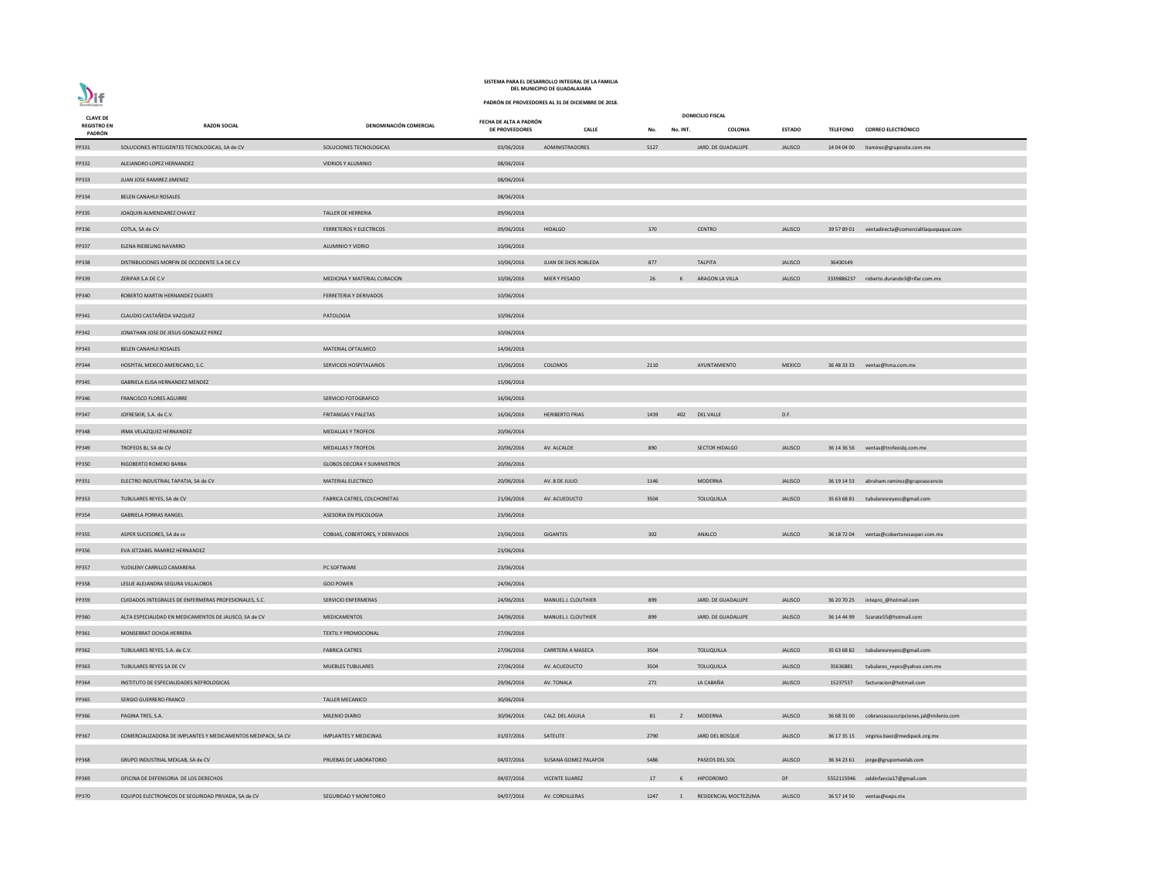| <b>CLAVE DE</b><br><b>REGISTRO EN</b> | <b>RAZON SOCIAL</b>                                          | DENOMINACIÓN COMERCIAL             | FECHA DE ALTA A PADRÓN |                          |      |              | <b>DOMICILIO FISCAL</b> |                |                 |                                                    |
|---------------------------------------|--------------------------------------------------------------|------------------------------------|------------------------|--------------------------|------|--------------|-------------------------|----------------|-----------------|----------------------------------------------------|
| PADRÓN                                |                                                              |                                    | DE PROVEEDORES         | <b>CALLE</b>             | No.  | No. INT.     | COLONIA                 | <b>ESTADO</b>  | <b>TELEFONO</b> | <b>CORREO ELECTRÓNICO</b>                          |
| PP331                                 | SOLUCIONES INTELIGENTES TECNOLOGICAS, SA de CV               | SOLUCIONES TECNOLOGICAS            | 03/06/2016             | ADMINISTRADORES          | 5127 |              | JARD. DE GUADALUPE      | <b>JALISCO</b> |                 | 14 04 04 00    Iramirez@gruposite.com.mx           |
| PP332                                 | ALEJANDRO LOPEZ HERNANDEZ                                    | VIDRIOS Y ALUMINIO                 | 08/06/2016             |                          |      |              |                         |                |                 |                                                    |
| PP333                                 | JUAN JOSE RAMIREZ JIMENEZ                                    |                                    | 08/06/2016             |                          |      |              |                         |                |                 |                                                    |
| PP334                                 | <b>BELEN CANAHUI ROSALES</b>                                 |                                    | 08/06/2016             |                          |      |              |                         |                |                 |                                                    |
| PP335                                 | JOAQUIN ALMENDAREZ CHAVEZ                                    | TALLER DE HERRERIA                 | 09/06/2016             |                          |      |              |                         |                |                 |                                                    |
| PP336                                 | COTLA, SA de CV                                              | <b>FERRETEROS Y ELECTRICOS</b>     | 09/06/2016             | <b>HIDALGO</b>           | 370  |              | <b>CENTRO</b>           | <b>JALISCO</b> |                 | 39 57 89 01 ventadirecta@comercialtlaquepaque.com  |
| PP337                                 | ELENA RIEBELING NAVARRO                                      | <b>ALUMINIO Y VIDRIO</b>           | 10/06/2016             |                          |      |              |                         |                |                 |                                                    |
| PP338                                 | DISTRIBUCIONES MORFIN DE OCCIDENTE S.A DE C.V                |                                    | 10/06/2016             | JUAN DE DIOS ROBLEDA     | 877  |              | <b>TALPITA</b>          | <b>JALISCO</b> | 36430149        |                                                    |
| PP339                                 | ZERIFAR S.A DE C.V                                           | MEDICINA Y MATERIAL CURACION       | 10/06/2016             | MIER Y PESADO            | 26   | $\mathsf{K}$ | ARAGON LA VILLA         | <b>JALISCO</b> |                 | 3339886237 roberto.durando3@rifar.com.mx           |
| PP340                                 | ROBERTO MARTIN HERNANDEZ DUARTE                              | FERRETERIA Y DERIVADOS             | 10/06/2016             |                          |      |              |                         |                |                 |                                                    |
| PP341                                 | CLAUDIO CASTAÑEDA VAZQUEZ                                    | PATOLOGIA                          | 10/06/2016             |                          |      |              |                         |                |                 |                                                    |
| PP342                                 | JONATHAN JOSE DE JESUS GONZALEZ PEREZ                        |                                    | 10/06/2016             |                          |      |              |                         |                |                 |                                                    |
| PP343                                 | BELEN CANAHUI ROSALES                                        | MATERIAL OFTALMICO                 | 14/06/2016             |                          |      |              |                         |                |                 |                                                    |
| PP344                                 | HOSPITAL MEXICO AMERICANO, S.C.                              | SERVICIOS HOSPITALARIOS            | 15/06/2016             | COLOMOS                  | 2110 |              | AYUNTAMIENTO            | <b>MEXICO</b>  |                 | 36 48 33 33 ventas@hma.com.mx                      |
| PP345                                 | GABRIELA ELISA HERNANDEZ MENDEZ                              |                                    | 15/06/2016             |                          |      |              |                         |                |                 |                                                    |
| PP346                                 | <b>FRANCISCO FLORES AGUIRRE</b>                              | SERVICIO FOTOGRAFICO               | 16/06/2016             |                          |      |              |                         |                |                 |                                                    |
| PP347                                 | JOFRESKIR, S.A. de C.V.                                      | <b>FRITANGAS Y PALETAS</b>         | 16/06/2016             | <b>HERIBERTO FRIAS</b>   | 1439 | 402          | DEL VALLE               | D.F.           |                 |                                                    |
| PP348                                 | IRMA VELAZQUEZ HERNANDEZ                                     | MEDALLAS Y TROFEOS                 | 20/06/2016             |                          |      |              |                         |                |                 |                                                    |
| PP349                                 | TROFEOS BJ, SA de CV                                         | MEDALLAS Y TROFEOS                 | 20/06/2016             | AV. ALCALDE              | 890  |              | SECTOR HIDALGO          | <b>JALISCO</b> |                 | 36 14 36 56 ventas@trofeosbj.com.mx                |
| PP350                                 | RIGOBERTO ROMERO BARBA                                       | <b>GLOBOS DECORA Y SUMINISTROS</b> | 20/06/2016             |                          |      |              |                         |                |                 |                                                    |
| PP351                                 | ELECTRO INDUSTRIAL TAPATIA, SA de CV                         | MATERIAL ELECTRICO                 | 20/06/2016             | AV. 8 DE JULIO           | 1146 |              | <b>MODERNA</b>          | <b>JALISCO</b> |                 | 36 19 14 53 abraham.ramirez@grupoascencio          |
| PP353                                 | TUBULARES REYES, SA de CV                                    | FABRICA CATRES, COLCHONETAS        | 21/06/2016             | AV. ACUEDUCTO            | 3504 |              | TOLUQUILLA              | <b>JALISCO</b> |                 | 35 63 68 81 tubularesreyess@gmail.com              |
| PP354                                 | <b>GABRIELA PORRAS RANGEL</b>                                | ASESORIA EN PSICOLOGIA             | 23/06/2016             |                          |      |              |                         |                |                 |                                                    |
| PP355                                 | ASPER SUCESORES, SA de cv                                    | COBIJAS, COBERTORES, Y DERIVADOS   | 23/06/2016             | GIGANTES                 | 302  |              | ANALCO                  | <b>JALISCO</b> |                 | 36 18 72 04 ventas@cobertoresasper.com.mx          |
| PP356                                 | EVA JETZABEL RAMIREZ HERNANDEZ                               |                                    | 23/06/2016             |                          |      |              |                         |                |                 |                                                    |
| PP357                                 | YUDILENY CARRILLO CAMARENA                                   | PC SOFTWARE                        | 23/06/2016             |                          |      |              |                         |                |                 |                                                    |
| PP358                                 | LESLIE ALEJANDRA SEGURA VILLALOBOS                           | <b>GOO POWER</b>                   | 24/06/2016             |                          |      |              |                         |                |                 |                                                    |
| PP359                                 | CUIDADOS INTEGRALES DE ENFERMERAS PROFESIONALES, S.C.        | SERVICIO ENFERMERAS                | 24/06/2016             | MANUEL J. CLOUTHIER      | 899  |              | JARD. DE GUADALUPE      | <b>JALISCO</b> |                 | 36 20 70 25 intepro_@hotmail.com                   |
| PP360                                 | ALTA ESPECIALIDAD EN MEDICAMENTOS DE JALISCO, SA de CV       | MEDICAMENTOS                       | 24/06/2016             | MANUEL J. CLOUTHIER      | 899  |              | JARD. DE GUADALUPE      | <b>JALISCO</b> |                 | 36 14 44 99 5zarate55@hotmail.com                  |
| PP361                                 | MONSERRAT OCHOA HERRERA                                      | <b>TEXTIL Y PROMOCIONAL</b>        | 27/06/2016             |                          |      |              |                         |                |                 |                                                    |
| PP362                                 | TUBULARES REYES, S.A. de C.V.                                | <b>FABRICA CATRES</b>              | 27/06/2016             | <b>CARRTERA A MASECA</b> | 3504 |              | <b>TOLUQUILLA</b>       | <b>JALISCO</b> |                 | 35 63 68 82 tubularesreyess@gmail.com              |
| PP363                                 | TUBULARES REYES SA DE CV                                     | <b>MUEBLES TUBULARES</b>           | 27/06/2016             | AV. ACUEDUCTO            | 3504 |              | <b>TOLUQUILLA</b>       | <b>JALISCO</b> | 35636881        | tubulares_reyes@yahoo.com.mx                       |
| PP364                                 | INSTITUTO DE ESPECIALIDADES NEFROLOGICAS                     |                                    | 29/06/2016             | AV. TONALA               | 271  |              | LA CABAÑA               | <b>JALISCO</b> | 15237537        | facturacion@hotmail.com                            |
| PP365                                 | SERGIO GUERRERO FRANCO                                       | <b>TALLER MECANICO</b>             | 30/06/2016             |                          |      |              |                         |                |                 |                                                    |
| PP366                                 | PAGINA TRES, S.A.                                            | MILENIO DIARIO                     | 30/06/2016             | CALZ. DEL AGUILA         | 81   | z            | MODERNA                 | <b>JALISCO</b> |                 | 36 68 31 00 cobranzassuscripciones.jal@milenio.com |
| PP367                                 | COMERCIALIZADORA DE IMPLANTES Y MEDICAMENTOS MEDIPACK, SA CV | <b>IMPLANTES Y MEDICINAS</b>       | 01/07/2016             | SATELITE                 | 2790 |              | JARD DEL BOSQUE         | <b>JALISCO</b> |                 | 36 17 35 15 virginia.baez@medipack.org.mx          |
|                                       |                                                              |                                    |                        |                          |      |              |                         |                |                 |                                                    |
| PP368                                 | GRUPO INDUSTRIAL MEXLAB, SA de CV                            | PRUEBAS DE LABORATORIO             | 04/07/2016             | SUSANA GOMEZ PALAFOX     | 5486 |              | PASEOS DEL SOL          | <b>JALISCO</b> |                 | 36 34 23 61 jorge@grupomexlab.com                  |
| PP369                                 | OFICINA DE DEFENSORIA DE LOS DERECHOS                        |                                    | 04/07/2016             | <b>VICENTE SUAREZ</b>    | 17   | -6           | <b>HIPODROMO</b>        | DF             |                 | 5552115946 oddinfancia17@gmail.com                 |
| PP370                                 | EQUIPOS ELECTRONICOS DE SEGURIDAD PRIVADA, SA de CV          | SEGURIDAD Y MONITOREO              | 04/07/2016             | AV. CORDILLERAS          | 1247 |              | RESIDENCIAL MOCTEZUMA   | <b>JALISCO</b> |                 | 36 57 14 50 ventas@eeps.mx                         |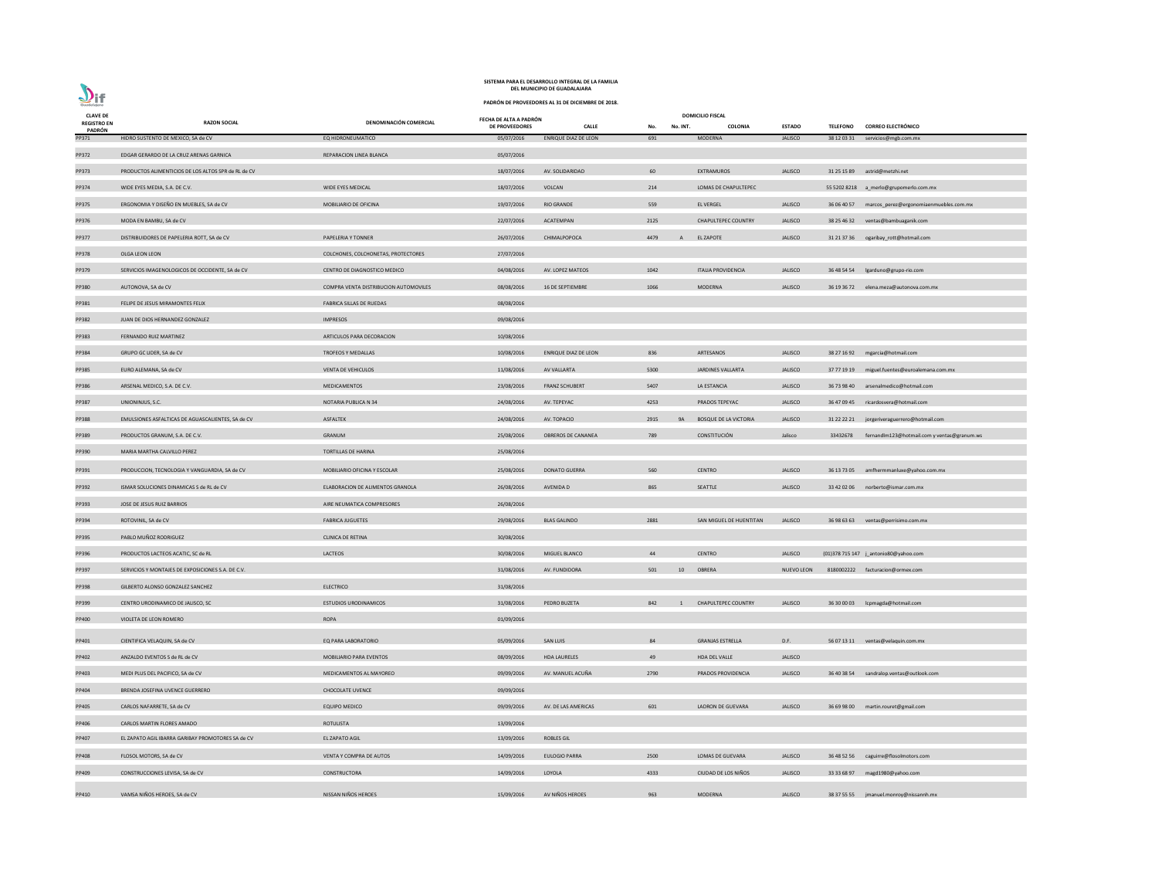| <b>CLAVE DE</b>                     |                                                     |                                       | FECHA DE ALTA A PADRÓN |                             |      |                | <b>DOMICILIO FISCAL</b>      |                   |                 |                                                    |
|-------------------------------------|-----------------------------------------------------|---------------------------------------|------------------------|-----------------------------|------|----------------|------------------------------|-------------------|-----------------|----------------------------------------------------|
| <b>REGISTRO EN</b><br><b>PADRÓN</b> | <b>RAZON SOCIAL</b>                                 | DENOMINACIÓN COMERCIAL                | <b>DE PROVEEDORES</b>  | <b>CALLE</b>                | No.  | No. INT.       | COLONIA                      | <b>ESTADO</b>     | <b>TELEFONO</b> | <b>CORREO ELECTRÓNICO</b>                          |
| PP371                               | HIDRO SUSTENTO DE MEXICO, SA de CV                  | EQ HIDRONEUMATICO                     | 05/07/2016             | <b>ENRIQUE DIAZ DE LEON</b> | 691  |                | <b>MODERNA</b>               | <b>JALISCO</b>    |                 | 38 12 03 31 servicios@mgb.com.mx                   |
| PP372                               | EDGAR GERARDO DE LA CRUZ ARENAS GARNICA             | REPARACION LINEA BLANCA               | 05/07/2016             |                             |      |                |                              |                   |                 |                                                    |
| PP373                               | PRODUCTOS ALIMENTICIOS DE LOS ALTOS SPR de RL de CV |                                       | 18/07/2016             | AV. SOLIDARIDAD             | 60   |                | EXTRAMUROS                   | <b>JALISCO</b>    |                 | 31 25 15 89 astrid@metzhi.net                      |
| PP374                               | WIDE EYES MEDIA, S.A. DE C.V.                       | WIDE EYES MEDICAL                     | 18/07/2016             | <b>VOLCAN</b>               | 214  |                | LOMAS DE CHAPULTEPEC         |                   |                 | 55 5202 8218 a_merlo@grupomerlo.com.mx             |
| PP375                               | ERGONOMIA Y DISEÑO EN MUEBLES, SA de CV             | MOBILIARIO DE OFICINA                 | 19/07/2016             | <b>RIO GRANDE</b>           | 559  |                | <b>EL VERGEL</b>             | <b>JALISCO</b>    |                 | 36 06 40 57 marcos_perez@ergonomiaenmuebles.com.mx |
| PP376                               | MODA EN BAMBU, SA de CV                             |                                       | 22/07/2016             | ACATEMPAN                   | 2125 |                | <b>CHAPULTEPEC COUNTRY</b>   | <b>JALISCO</b>    | 38 25 46 32     | ventas@bambuaganik.com                             |
| PP377                               | DISTRIBUIDORES DE PAPELERIA ROTT, SA de CV          | PAPELERIA Y TONNER                    | 26/07/2016             | CHIMALPOPOCA                | 4479 | A              | <b>EL ZAPOTE</b>             | <b>JALISCO</b>    |                 | 31 21 37 36 ogaribay_rott@hotmail.com              |
| PP378                               | OLGA LEON LEON                                      | COLCHONES, COLCHONETAS, PROTECTORES   | 27/07/2016             |                             |      |                |                              |                   |                 |                                                    |
| PP379                               | SERVICIOS IMAGENOLOGICOS DE OCCIDENTE, SA de CV     | CENTRO DE DIAGNOSTICO MEDICO          | 04/08/2016             | AV. LOPEZ MATEOS            | 1042 |                | <b>ITALIA PROVIDENCIA</b>    | <b>JALISCO</b>    |                 | 36 48 54 54   Igarduno@grupo-rio.com               |
| PP380                               | AUTONOVA, SA de CV                                  | COMPRA VENTA DISTRIBUCION AUTOMOVILES | 08/08/2016             | 16 DE SEPTIEMBRE            | 1066 |                | MODERNA                      | <b>JALISCO</b>    |                 | 36 19 36 72 elena.meza@autonova.com.mx             |
| PP381                               | FELIPE DE JESUS MIRAMONTES FELIX                    | FABRICA SILLAS DE RUEDAS              | 08/08/2016             |                             |      |                |                              |                   |                 |                                                    |
| PP382                               | JUAN DE DIOS HERNANDEZ GONZALEZ                     | <b>IMPRESOS</b>                       | 09/08/2016             |                             |      |                |                              |                   |                 |                                                    |
| PP383                               | FERNANDO RUIZ MARTINEZ                              | ARTICULOS PARA DECORACION             | 10/08/2016             |                             |      |                |                              |                   |                 |                                                    |
| PP384                               | GRUPO GC LIDER, SA de CV                            | TROFEOS Y MEDALLAS                    | 10/08/2016             | <b>ENRIQUE DIAZ DE LEON</b> | 836  |                | ARTESANOS                    | <b>JALISCO</b>    |                 | 38 27 16 92 mgarcia@hotmail.com                    |
| PP385                               | EURO ALEMANA, SA de CV                              | <b>VENTA DE VEHICULOS</b>             | 11/08/2016             | AV VALLARTA                 | 5300 |                | JARDINES VALLARTA            | <b>JALISCO</b>    |                 | 37 77 19 19 miguel.fuentes@euroalemana.com.mx      |
| PP386                               | ARSENAL MEDICO, S.A. DE C.V.                        | MEDICAMENTOS                          | 23/08/2016             | <b>FRANZ SCHUBERT</b>       | 5407 |                | LA ESTANCIA                  | <b>JALISCO</b>    |                 | 36 73 98 40 arsenalmedico@hotmail.com              |
| PP387                               | UNIONINJUS, S.C.                                    | NOTARIA PUBLICA N 34                  | 24/08/2016             | AV. TEPEYAC                 | 4253 |                | PRADOS TEPEYAC               | <b>JALISCO</b>    |                 | 36 47 09 45 ricardosvera@hotmail.com               |
| PP388                               | EMULSIONES ASFALTICAS DE AGUASCALIENTES, SA de CV   | ASFALTEK                              | 24/08/2016             | AV. TOPACIO                 | 2915 | 9A             | <b>BOSQUE DE LA VICTORIA</b> | <b>JALISCO</b>    |                 | 31 22 22 21 jorgeriveraguerrero@hotmail.com        |
| PP389                               | PRODUCTOS GRANUM, S.A. DE C.V.                      | GRANUM                                | 25/08/2016             | OBREROS DE CANANEA          | 789  |                | CONSTITUCIÓN                 | Jalisco           | 33432678        | fernandlm123@hotmail.com y ventas@granum.ws        |
| PP390                               | MARIA MARTHA CALVILLO PEREZ                         | TORTILLAS DE HARINA                   | 25/08/2016             |                             |      |                |                              |                   |                 |                                                    |
| PP391                               | PRODUCCION, TECNOLOGIA Y VANGUARDIA, SA de CV       | <b>MOBILIARIO OFICINA Y ESCOLAR</b>   | 25/08/2016             | <b>DONATO GUERRA</b>        | 560  |                | <b>CENTRO</b>                | <b>JALISCO</b>    |                 | 36 13 73 05 amfhermmanluxe@yahoo.com.mx            |
| PP392                               | ISMAR SOLUCIONES DINAMICAS S de RL de CV            | ELABORACION DE ALIMENTOS GRANOLA      | 26/08/2016             | AVENIDA D                   | 865  |                | SEATTLE                      | <b>JALISCO</b>    |                 | 33 42 02 06 norberto@ismar.com.mx                  |
| PP393                               | JOSE DE JESUS RUIZ BARRIOS                          | AIRE NEUMATICA COMPRESORES            | 26/08/2016             |                             |      |                |                              |                   |                 |                                                    |
| PP394                               | ROTOVINIL, SA de CV                                 | <b>FABRICA JUGUETES</b>               | 29/08/2016             | <b>BLAS GALINDO</b>         | 2881 |                | SAN MIGUEL DE HUENTITAN      | <b>JALISCO</b>    |                 | 36 98 63 63 ventas@perrisimo.com.mx                |
| PP395                               | PABLO MUÑOZ RODRIGUEZ                               | <b>CLINICA DE RETINA</b>              | 30/08/2016             |                             |      |                |                              |                   |                 |                                                    |
| PP396                               | PRODUCTOS LACTEOS ACATIC, SC de RL                  | LACTEOS                               | 30/08/2016             | MIGUEL BLANCO               | 44   |                | <b>CENTRO</b>                | <b>JALISCO</b>    |                 | (01)378 715 147 j_antonio80@yahoo.com              |
| PP397                               | SERVICIOS Y MONTAJES DE EXPOSICIONES S.A. DE C.V.   |                                       | 31/08/2016             | AV. FUNDIDORA               | 501  | 10             | OBRERA                       | <b>NUEVO LEON</b> |                 | 8180002222 facturacion@ormex.com                   |
| PP398                               | GILBERTO ALONSO GONZALEZ SANCHEZ                    | <b>ELECTRICO</b>                      | 31/08/2016             |                             |      |                |                              |                   |                 |                                                    |
| PP399                               | CENTRO URODINAMICO DE JALISCO, SC                   | <b>ESTUDIOS URODINAMICOS</b>          | 31/08/2016             | PEDRO BUZETA                | 842  | $\overline{1}$ | <b>CHAPULTEPEC COUNTRY</b>   | <b>JALISCO</b>    |                 | 36 30 00 03    Icpmagda@hotmail.com                |
| PP400                               | VIOLETA DE LEON ROMERO                              | <b>ROPA</b>                           | 01/09/2016             |                             |      |                |                              |                   |                 |                                                    |
|                                     |                                                     |                                       |                        |                             |      |                |                              |                   |                 |                                                    |
| PP401                               | CIENTIFICA VELAQUIN, SA de CV                       | EQ PARA LABORATORIO                   | 05/09/2016             | SAN LUIS                    | 84   |                | <b>GRANJAS ESTRELLA</b>      | D.F.              |                 | 56 07 13 11 ventas@velaquin.com.mx                 |
| PP402                               | ANZALDO EVENTOS S de RL de CV                       | MOBILIARIO PARA EVENTOS               | 08/09/2016             | <b>HDA LAURELES</b>         | 49   |                | HDA DEL VALLE                | <b>JALISCO</b>    |                 |                                                    |
| PP403                               | MEDI PLUS DEL PACIFICO, SA de CV                    | MEDICAMENTOS AL MAYOREO               | 09/09/2016             | AV. MANUEL ACUÑA            | 2790 |                | PRADOS PROVIDENCIA           | <b>JALISCO</b>    |                 | 36 40 38 54 sandralop.ventas@outlook.com           |
| PP404                               | BRENDA JOSEFINA UVENCE GUERRERO                     | <b>CHOCOLATE UVENCE</b>               | 09/09/2016             |                             |      |                |                              |                   |                 |                                                    |
| PP405                               | CARLOS NAFARRETE, SA de CV                          | <b>EQUIPO MEDICO</b>                  | 09/09/2016             | AV. DE LAS AMERICAS         | 601  |                | LADRON DE GUEVARA            | <b>JALISCO</b>    |                 | 36 69 98 00 martin.rouret@gmail.com                |
| PP406                               | CARLOS MARTIN FLORES AMADO                          | ROTULISTA                             | 13/09/2016             |                             |      |                |                              |                   |                 |                                                    |
| PP407                               | EL ZAPATO AGIL IBARRA GARIBAY PROMOTORES SA de CV   | EL ZAPATO AGIL                        | 13/09/2016             | <b>ROBLES GIL</b>           |      |                |                              |                   |                 |                                                    |
| PP408                               | FLOSOL MOTORS, SA de CV                             | VENTA Y COMPRA DE AUTOS               | 14/09/2016             | <b>EULOGIO PARRA</b>        | 2500 |                | LOMAS DE GUEVARA             | <b>JALISCO</b>    |                 | 36 48 52 56 caguirre@flosolmotors.com              |
| PP409                               | CONSTRUCCIONES LEVISA, SA de CV                     | CONSTRUCTORA                          | 14/09/2016             | LOYOLA                      | 4333 |                | CIUDAD DE LOS NIÑOS          | <b>JALISCO</b>    |                 | 33 33 68 97 magd1980@yahoo.com                     |
| PP410                               | VAMSA NIÑOS HEROES, SA de CV                        | NISSAN NIÑOS HEROES                   | 15/09/2016             | AV NIÑOS HEROES             | 963  |                | <b>MODERNA</b>               | <b>JALISCO</b>    |                 | 38 37 55 55 jmanuel.monroy@nissannh.mx             |

**PADRÓN DE PROVEEDORES AL 31 DE DICIEMBRE DE 2018.**

 $\sum_{\text{Guedalajar}}$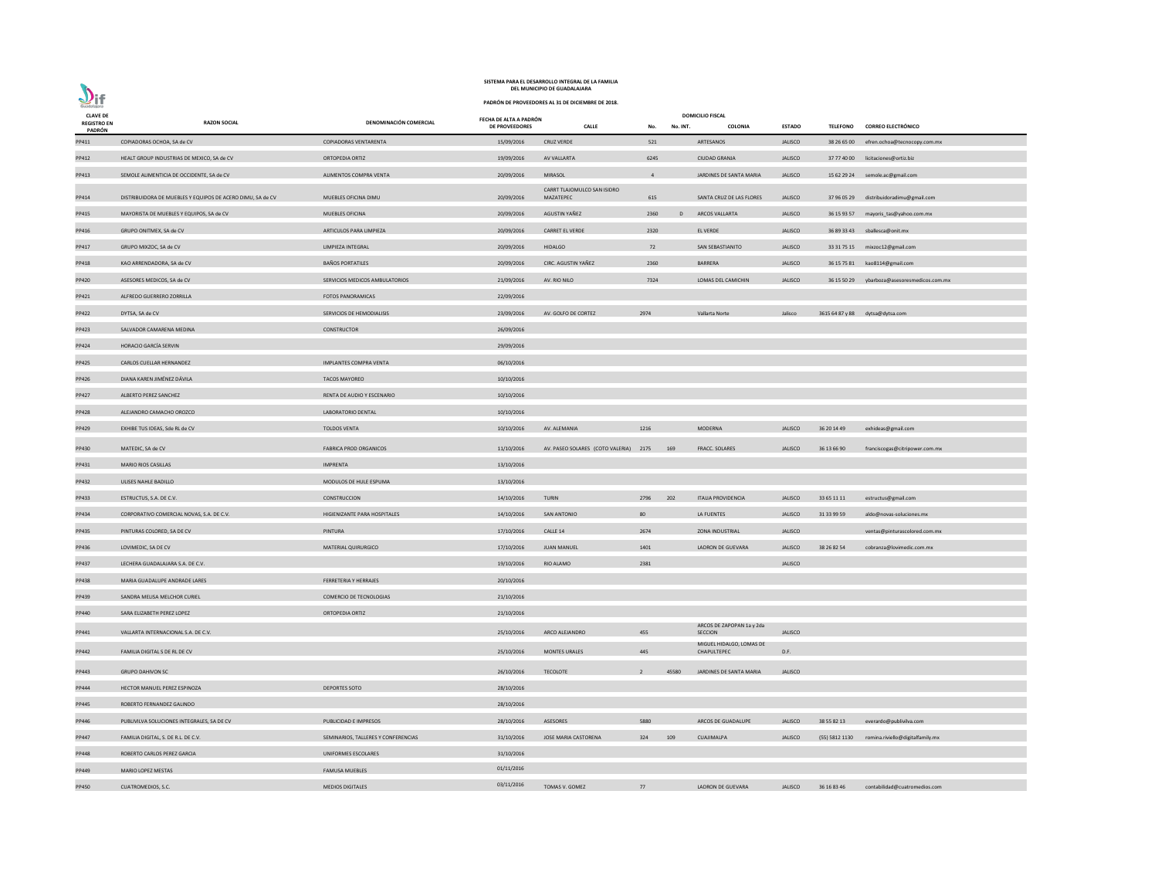|                                       | SISTEMA PARA EL DESARROLLO INTEGRAL DE LA FAMILIA<br>DEL MUNICIPIO DE GUADALAJARA |                                     |                                          |                                                   |                |          |                                         |                |                |                                             |  |  |  |
|---------------------------------------|-----------------------------------------------------------------------------------|-------------------------------------|------------------------------------------|---------------------------------------------------|----------------|----------|-----------------------------------------|----------------|----------------|---------------------------------------------|--|--|--|
| $D$ if<br>Guadalajara                 |                                                                                   |                                     |                                          | PADRÓN DE PROVEEDORES AL 31 DE DICIEMBRE DE 2018. |                |          |                                         |                |                |                                             |  |  |  |
| <b>CLAVE DE</b><br><b>REGISTRO EN</b> | <b>RAZON SOCIAL</b>                                                               | DENOMINACIÓN COMERCIAL              | FECHA DE ALTA A PADRÓN<br>DE PROVEEDORES | <b>CALLE</b>                                      | No.            | No. INT. | <b>DOMICILIO FISCAL</b><br>COLONIA      | <b>ESTADO</b>  |                | TELEFONO CORREO ELECTRÓNICO                 |  |  |  |
| PADRÓN<br>PP411                       | COPIADORAS OCHOA, SA de CV                                                        | <b>COPIADORAS VENTARENTA</b>        | 15/09/2016                               | <b>CRUZ VERDE</b>                                 | 521            |          | ARTESANOS                               | <b>JALISCO</b> |                | 38 26 65 00 efren.ochoa@tecnocopy.com.mx    |  |  |  |
| PP412                                 | HEALT GROUP INDUSTRIAS DE MEXICO, SA de CV                                        | ORTOPEDIA ORTIZ                     | 19/09/2016                               | AV VALLARTA                                       | 6245           |          | <b>CIUDAD GRANJA</b>                    | <b>JALISCO</b> |                | 37 77 40 00 licitaciones@ortiz.biz          |  |  |  |
| PP413                                 | SEMOLE ALIMENTICIA DE OCCIDENTE, SA de CV                                         | ALIMENTOS COMPRA VENTA              | 20/09/2016                               | <b>MIRASOL</b>                                    | $\overline{4}$ |          | JARDINES DE SANTA MARIA                 | <b>JALISCO</b> |                | 15 62 29 24 semole.ac@gmail.com             |  |  |  |
|                                       |                                                                                   |                                     |                                          | CARRT TLAJOMULCO SAN ISIDRO                       |                |          |                                         |                |                |                                             |  |  |  |
| PP414                                 | DISTRIBUIDORA DE MUEBLES Y EQUIPOS DE ACERO DIMU, SA de CV                        | MUEBLES OFICINA DIMU                | 20/09/2016                               | MAZATEPEC                                         | 615            |          | SANTA CRUZ DE LAS FLORES                | <b>JALISCO</b> |                | 37 96 05 29 distribuidoradimu@gmail.com     |  |  |  |
| PP415                                 | MAYORISTA DE MUEBLES Y EQUIPOS, SA de CV                                          | <b>MUEBLES OFICINA</b>              | 20/09/2016                               | AGUSTIN YAÑEZ                                     | 2360           | D        | <b>ARCOS VALLARTA</b>                   | <b>JALISCO</b> |                | 36 15 93 57 mayoris_tas@yahoo.com.mx        |  |  |  |
| PP416                                 | GRUPO ONITMEX, SA de CV                                                           | ARTICULOS PARA LIMPIEZA             | 20/09/2016                               | <b>CARRET EL VERDE</b>                            | 2320           |          | <b>EL VERDE</b>                         | <b>JALISCO</b> |                | 36 89 33 43 sballesca@onit.mx               |  |  |  |
| PP417                                 | GRUPO MIXZOC, SA de CV                                                            | LIMPIEZA INTEGRAL                   | 20/09/2016                               | <b>HIDALGO</b>                                    | 72             |          | SAN SEBASTIANITO                        | <b>JALISCO</b> |                | 33 31 75 15 mixzoc12@gmail.com              |  |  |  |
| PP418                                 | KAO ARRENDADORA, SA de CV                                                         | <b>BAÑOS PORTATILES</b>             | 20/09/2016                               | CIRC. AGUSTIN YAÑEZ                               | 2360           |          | BARRERA                                 | <b>JALISCO</b> |                | 36 15 75 81 kao8114@gmail.com               |  |  |  |
| PP420                                 | ASESORES MEDICOS, SA de CV                                                        | SERVICIOS MEDICOS AMBULATORIOS      | 21/09/2016                               | AV. RIO NILO                                      | 7324           |          | LOMAS DEL CAMICHIN                      | <b>JALISCO</b> |                | 36 15 50 29 ybarboza@asesoresmedicos.com.mx |  |  |  |
| PP421                                 | ALFREDO GUERRERO ZORRILLA                                                         | <b>FOTOS PANORAMICAS</b>            | 22/09/2016                               |                                                   |                |          |                                         |                |                |                                             |  |  |  |
| PP422                                 | DYTSA, SA de CV                                                                   | SERVICIOS DE HEMODIALISIS           | 23/09/2016                               | AV. GOLFO DE CORTEZ                               | 2974           |          | Vallarta Norte                          | Jalisco        |                | 3615 64 87 y 88 dytsa@dytsa.com             |  |  |  |
| PP423                                 | SALVADOR CAMARENA MEDINA                                                          | <b>CONSTRUCTOR</b>                  | 26/09/2016                               |                                                   |                |          |                                         |                |                |                                             |  |  |  |
| PP424                                 | HORACIO GARCÍA SERVIN                                                             |                                     | 29/09/2016                               |                                                   |                |          |                                         |                |                |                                             |  |  |  |
| PP425                                 | CARLOS CUELLAR HERNANDEZ                                                          | IMPLANTES COMPRA VENTA              | 06/10/2016                               |                                                   |                |          |                                         |                |                |                                             |  |  |  |
| PP426                                 | DIANA KAREN JIMÉNEZ DÁVILA                                                        | <b>TACOS MAYOREO</b>                | 10/10/2016                               |                                                   |                |          |                                         |                |                |                                             |  |  |  |
| PP427                                 | ALBERTO PEREZ SANCHEZ                                                             | RENTA DE AUDIO Y ESCENARIO          | 10/10/2016                               |                                                   |                |          |                                         |                |                |                                             |  |  |  |
| PP428                                 | ALEJANDRO CAMACHO OROZCO                                                          | LABORATORIO DENTAL                  | 10/10/2016                               |                                                   |                |          |                                         |                |                |                                             |  |  |  |
| PP429                                 | EXHIBE TUS IDEAS, Sde RL de CV                                                    | <b>TOLDOS VENTA</b>                 | 10/10/2016                               | AV. ALEMANIA                                      | 1216           |          | MODERNA                                 | <b>JALISCO</b> | 36 20 14 49    | exhideas@gmail.com                          |  |  |  |
| PP430                                 | MATEDIC, SA de CV                                                                 | <b>FABRICA PROD ORGANICOS</b>       | 11/10/2016                               | AV. PASEO SOLARES (COTO VALERIA) 2175 169         |                |          | FRACC. SOLARES                          | <b>JALISCO</b> | 36 13 66 90    | franciscogas@citripower.com.mx              |  |  |  |
| PP431                                 | <b>MARIO RIOS CASILLAS</b>                                                        | <b>IMPRENTA</b>                     | 13/10/2016                               |                                                   |                |          |                                         |                |                |                                             |  |  |  |
| PP432                                 | ULISES NAHLE BADILLO                                                              | MODULOS DE HULE ESPUMA              | 13/10/2016                               |                                                   |                |          |                                         |                |                |                                             |  |  |  |
| PP433                                 | ESTRUCTUS, S.A. DE C.V.                                                           | CONSTRUCCION                        | 14/10/2016                               | <b>TURIN</b>                                      | 2796           | 202      | <b>ITALIA PROVIDENCIA</b>               | <b>JALISCO</b> | 33 65 11 11    | estructus@gmail.com                         |  |  |  |
| PP434                                 | CORPORATIVO COMERCIAL NOVAS, S.A. DE C.V.                                         | HIGIENIZANTE PARA HOSPITALES        | 14/10/2016                               | <b>SAN ANTONIO</b>                                | 80             |          | LA FUENTES                              | <b>JALISCO</b> | 31 33 99 59    |                                             |  |  |  |
|                                       |                                                                                   |                                     |                                          |                                                   |                |          | <b>ZONA INDUSTRIAL</b>                  |                |                | aldo@novas-soluciones.mx                    |  |  |  |
| PP435                                 | PINTURAS COLORED, SA DE CV                                                        | PINTURA                             | 17/10/2016                               | CALLE 14                                          | 2674           |          |                                         | <b>JALISCO</b> |                | ventas@pinturascolored.com.mx               |  |  |  |
| PP436                                 | LOVIMEDIC, SA DE CV                                                               | MATERIAL QUIRURGICO                 | 17/10/2016                               | <b>JUAN MANUEL</b>                                | 1401           |          | LADRON DE GUEVARA                       | <b>JALISCO</b> | 38 26 82 54    | cobranza@lovimedic.com.mx                   |  |  |  |
| PP437                                 | LECHERA GUADALAJARA S.A. DE C.V.                                                  |                                     | 19/10/2016                               | <b>RIO ALAMO</b>                                  | 2381           |          |                                         | <b>JALISCO</b> |                |                                             |  |  |  |
| PP438                                 | MARIA GUADALUPE ANDRADE LARES                                                     | FERRETERIA Y HERRAJES               | 20/10/2016                               |                                                   |                |          |                                         |                |                |                                             |  |  |  |
| PP439                                 | SANDRA MELISA MELCHOR CURIEL                                                      | COMERCIO DE TECNOLOGIAS             | 21/10/2016                               |                                                   |                |          |                                         |                |                |                                             |  |  |  |
| PP440                                 | SARA ELIZABETH PEREZ LOPEZ                                                        | ORTOPEDIA ORTIZ                     | 21/10/2016                               |                                                   |                |          | ARCOS DE ZAPOPAN 1a y 2da               |                |                |                                             |  |  |  |
| PP441                                 | VALLARTA INTERNACIONAL S.A. DE C.V.                                               |                                     | 25/10/2016                               | ARCO ALEJANDRO                                    | 455            |          | <b>SECCION</b>                          | <b>JALISCO</b> |                |                                             |  |  |  |
| PP442                                 | FAMILIA DIGITAL S DE RL DE CV                                                     |                                     | 25/10/2016                               | <b>MONTES URALES</b>                              | 445            |          | MIGUEL HIDALGO, LOMAS DE<br>CHAPULTEPEC | D.F.           |                |                                             |  |  |  |
| PP443                                 | <b>GRUPO DAHIVON SC</b>                                                           |                                     | 26/10/2016                               | <b>TECOLOTE</b>                                   | $\overline{2}$ | 45580    | JARDINES DE SANTA MARIA                 | <b>JALISCO</b> |                |                                             |  |  |  |
| PP444                                 | HECTOR MANUEL PEREZ ESPINOZA                                                      | <b>DEPORTES SOTO</b>                | 28/10/2016                               |                                                   |                |          |                                         |                |                |                                             |  |  |  |
| PP445                                 | ROBERTO FERNANDEZ GALINDO                                                         |                                     | 28/10/2016                               |                                                   |                |          |                                         |                |                |                                             |  |  |  |
| PP446                                 | PUBLIVILVA SOLUCIONES INTEGRALES, SA DE CV                                        | PUBLICIDAD E IMPRESOS               | 28/10/2016                               | ASESORES                                          | 5880           |          | ARCOS DE GUADALUPE                      | <b>JALISCO</b> | 38 55 82 13    | everardo@publivilva.com                     |  |  |  |
| PP447                                 | FAMILIA DIGITAL, S. DE R.L. DE C.V.                                               | SEMINARIOS, TALLERES Y CONFERENCIAS | 31/10/2016                               | JOSE MARIA CASTORENA                              | 324            | 109      | <b>CUAJIMALPA</b>                       | <b>JALISCO</b> | (55) 5812 1130 | romina.riviello@digitalfamily.mx            |  |  |  |
| PP448                                 | ROBERTO CARLOS PEREZ GARCIA                                                       | UNIFORMES ESCOLARES                 | 31/10/2016                               |                                                   |                |          |                                         |                |                |                                             |  |  |  |
| PP449                                 | MARIO LOPEZ MESTAS                                                                | <b>FAMUSA MUEBLES</b>               | 01/11/2016                               |                                                   |                |          |                                         |                |                |                                             |  |  |  |
| PP450                                 | CUATROMEDIOS, S.C.                                                                | <b>MEDIOS DIGITALES</b>             | 03/11/2016                               | TOMAS V. GOMEZ                                    | 77             |          | LADRON DE GUEVARA                       | <b>JALISCO</b> | 36 16 83 46    | contabilidad@cuatromedios.com               |  |  |  |
|                                       |                                                                                   |                                     |                                          |                                                   |                |          |                                         |                |                |                                             |  |  |  |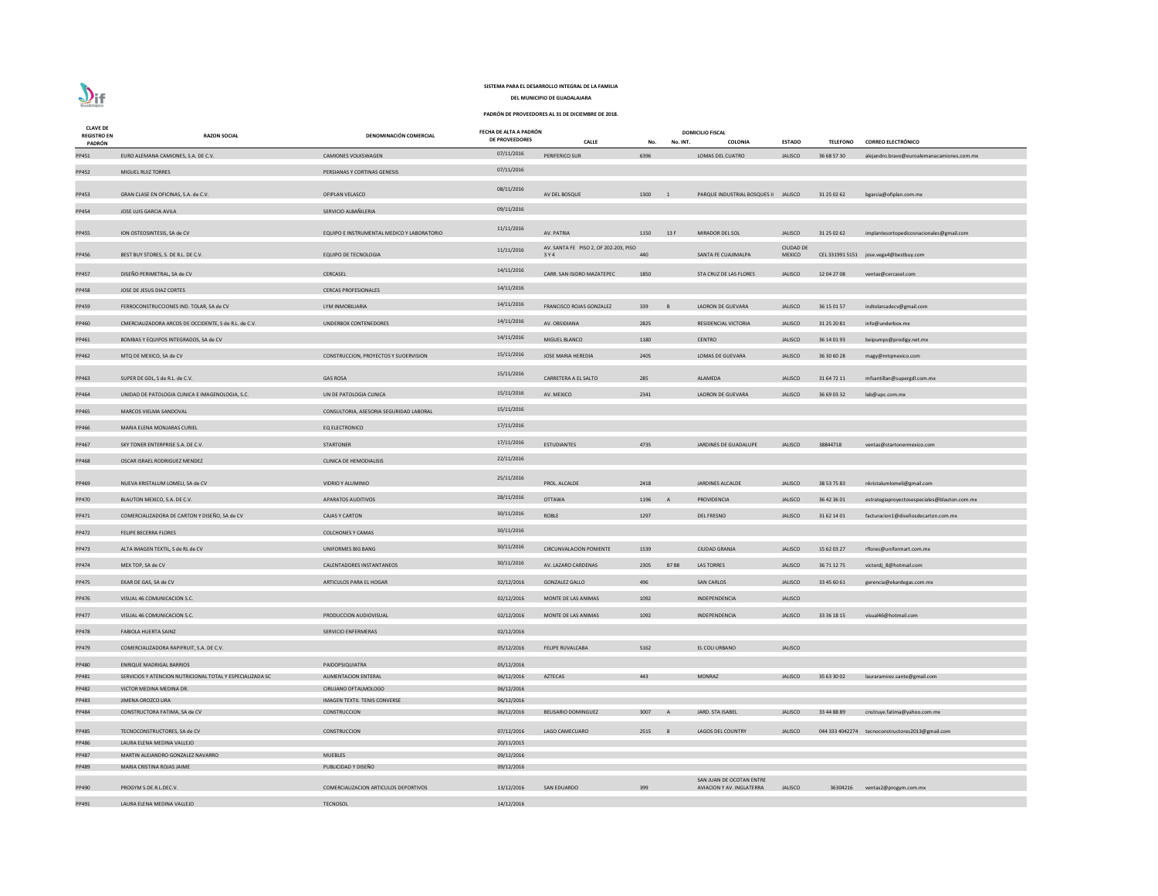| <b>CLAVE DE</b><br><b>REGISTRO EN</b> | <b>RAZON SOCIAL</b>                                       | DENOMINACIÓN COMERCIAL                       | FECHA DE ALTA A PADRÓN<br><b>DE PROVEEDORES</b> |                                                |                                    |                | <b>DOMICILIO FISCAL</b>              |                                   |                 |                                                  |
|---------------------------------------|-----------------------------------------------------------|----------------------------------------------|-------------------------------------------------|------------------------------------------------|------------------------------------|----------------|--------------------------------------|-----------------------------------|-----------------|--------------------------------------------------|
| PADRÓN                                |                                                           |                                              |                                                 | <b>CALLE</b>                                   | No.                                | No. INT.       | <b>COLONIA</b>                       | <b>ESTADO</b>                     | <b>TELEFONO</b> | <b>CORREO ELECTRÓNICO</b>                        |
| PP451                                 | EURO ALEMANA CAMIONES, S.A. DE C.V.                       | <b>CAMIONES VOLKSWAGEN</b>                   | 07/11/2016                                      | <b>PERIFERICO SUR</b>                          | 6396                               |                | LOMAS DEL CUATRO                     | <b>JALISCO</b>                    | 36 68 57 30     | alejandro.bravo@euroalemanacamiones.com.mx       |
| PP452                                 | MIGUEL RUIZ TORRES                                        | PERSIANAS Y CORTINAS GENESIS                 | 07/11/2016                                      |                                                |                                    |                |                                      |                                   |                 |                                                  |
| PP453                                 | GRAN CLASE EN OFICINAS, S.A. de C.V.                      | OFIPLAN VELASCO                              | 08/11/2016                                      | AV DEL BOSQUE                                  | 1300<br>$\overline{\phantom{0}}$ 1 |                | PARQUE INDUSTRIAL BOSQUES II JALISCO |                                   | 31 25 02 62     | bgarcia@ofiplan.com.mx                           |
| PP454                                 | JOSE LUIS GARCIA AVILA                                    | SERVICIO ALBAÑILERIA                         | 09/11/2016                                      |                                                |                                    |                |                                      |                                   |                 |                                                  |
| PP455                                 | ION OSTEOSINTESIS, SA de CV                               | EQUIPO E INSTRUMENTAL MEDICO Y LABORATORIO   | 11/11/2016                                      | AV. PATRIA                                     | 1150                               | 13F            | MIRADOR DEL SOL                      | <b>JALISCO</b>                    | 31 25 02 62     | implantesortopedicosnacionales@gmail.com         |
| PP456                                 | BEST BUY STORES, S. DE R.L. DE C.V.                       | EQUIPO DE TECNOLOGIA                         | 11/11/2016                                      | AV. SANTA FE PISO 2, OF 202-203, PISO<br>3 Y 4 | 440                                |                | SANTA FE CUAJIMALPA                  | <b>CIUDAD DE</b><br><b>MEXICO</b> |                 | CEL 331991 5151 jose.vega4@bestbuy.com           |
| PP457                                 | DISEÑO PERIMETRAL, SA de CV                               | CERCASEL                                     | 14/11/2016                                      | CARR. SAN ISIDRO MAZATEPEC                     | 1850                               |                | STA CRUZ DE LAS FLORES               | <b>JALISCO</b>                    | 12 04 27 08     | ventas@cercasel.com                              |
| PP458                                 | JOSE DE JESUS DIAZ CORTES                                 | <b>CERCAS PROFESIONALES</b>                  | 14/11/2016                                      |                                                |                                    |                |                                      |                                   |                 |                                                  |
| PP459                                 | FERROCONSTRUCCIONES IND. TOLAR, SA de CV                  | LYM INMOBILIARIA                             | 14/11/2016                                      | FRANCISCO ROJAS GONZALEZ                       | 339                                | $\overline{B}$ | <b>LADRON DE GUEVARA</b>             | <b>JALISCO</b>                    | 36 15 01 57     | indtolarsadecv@gmail.com                         |
| PP460                                 | CMERCIALIZADORA ARCOS DE OCCIDENTE, S de R.L. de C.V.     | UNDERBOX CONTENEDORES                        | 14/11/2016                                      | AV. OBSIDIANA                                  | 2825                               |                | RESIDENCIAL VICTORIA                 | <b>JALISCO</b>                    | 31 25 20 81     | info@underbox.mx                                 |
| PP461                                 | BOMBAS Y EQUIPOS INTEGRADOS, SA de CV                     |                                              | 14/11/2016                                      | MIGUEL BLANCO                                  | 1180                               |                | <b>CENTRO</b>                        | <b>JALISCO</b>                    | 36 14 01 93     | beipumps@prodigy.net.mx                          |
| PP462                                 | MTQ DE MEXICO, SA de CV                                   | CONSTRUCCION, PROYECTOS Y SUOERVISION        | 15/11/2016                                      | JOSE MARIA HEREDIA                             | 2405                               |                | <b>LOMAS DE GUEVARA</b>              | <b>JALISCO</b>                    | 36 30 60 28     | magy@mtqmexico.com                               |
|                                       |                                                           |                                              |                                                 |                                                |                                    |                |                                      |                                   |                 |                                                  |
| PP463                                 | SUPER DE GDL, S de R.L. de C.V.                           | <b>GAS ROSA</b>                              | 15/11/2016                                      | CARRETERA A EL SALTO                           | 285                                |                | ALAMEDA                              | <b>JALISCO</b>                    | 31 64 72 11     | mfsantillan@supergdl.com.mx                      |
| PP464                                 | UNIDAD DE PATOLOGIA CLINICA E IMAGENOLOGIA, S.C.          | UN DE PATOLOGIA CLINICA                      | 15/11/2016                                      | AV. MEXICO                                     | 2341                               |                | LADRON DE GUEVARA                    | <b>JALISCO</b>                    | 36 69 03 32     | lab@upc.com.mx                                   |
| PP465                                 | MARCOS VIELMA SANDOVAL                                    | CONSULTORIA, ASESORIA SEGURIDAD LABORAL      | 15/11/2016                                      |                                                |                                    |                |                                      |                                   |                 |                                                  |
| PP466                                 | MARIA ELENA MONJARAS CURIEL                               | <b>EQ ELECTRONICO</b>                        | 17/11/2016                                      |                                                |                                    |                |                                      |                                   |                 |                                                  |
| PP467                                 | SKY TONER ENTERPRISE S.A. DE C.V.                         | <b>STARTONER</b>                             | 17/11/2016                                      | <b>ESTUDIANTES</b>                             | 4735                               |                | JARDINES DE GUADALUPE                | <b>JALISCO</b>                    | 38844718        | ventas@startonermexico.com                       |
| PP468                                 | OSCAR ISRAEL RODRIGUEZ MENDEZ                             | <b>CLINICA DE HEMODIALISIS</b>               | 22/11/2016                                      |                                                |                                    |                |                                      |                                   |                 |                                                  |
| PP469                                 | NUEVA KRISTALUM LOMELI, SA de CV                          | VIDRIO Y ALUMINIO                            | 25/11/2016                                      | PROL. ALCALDE                                  | 2418                               |                | <b>JARDINES ALCALDE</b>              | <b>JALISCO</b>                    | 38 53 75 83     | nkristalumlomeli@gmail.com                       |
| PP470                                 | BLAUTON MEXICO, S.A. DE C.V.                              | APARATOS AUDITIVOS                           | 28/11/2016                                      | <b>OTTAWA</b>                                  | 1196 A                             |                | PROVIDENCIA                          | <b>JALISCO</b>                    | 36 42 36 01     | estrategiaproyectosespeciales@blauton.com.mx     |
| PP471                                 | COMERCIALIZADORA DE CARTON Y DISEÑO, SA de CV             | <b>CAJAS Y CARTON</b>                        | 30/11/2016                                      | ROBLE                                          | 1297                               |                | <b>DEL FRESNO</b>                    | <b>JALISCO</b>                    | 31 62 14 01     | facturacion1@diseñosdecarton.com.mx              |
| PP472                                 | FELIPE BECERRA FLORES                                     | <b>COLCHONES Y CAMAS</b>                     | 30/11/2016                                      |                                                |                                    |                |                                      |                                   |                 |                                                  |
| PP473                                 | ALTA IMAGEN TEXTIL, S de RL de CV                         | UNIFORMES BIG BANG                           | 30/11/2016                                      | <b>CIRCUNVALACION PONIENTE</b>                 | 1539                               |                | <b>CIUDAD GRANJA</b>                 | <b>JALISCO</b>                    | 15 62 03 27     | rflores@uniformart.com.mx                        |
| PP474                                 | MEX TOP, SA de CV                                         | CALENTADORES INSTANTANEOS                    | 30/11/2016                                      | AV. LAZARO CARDENAS                            | 2305                               | <b>B7B8</b>    | LAS TORRES                           | <b>JALISCO</b>                    | 36 71 12 75     | victordj_8@hotmail.com                           |
| PP475                                 | EKAR DE GAS, SA de CV                                     | ARTICULOS PARA EL HOGAR                      | 02/12/2016                                      | <b>GONZALEZ GALLO</b>                          | 496                                |                | <b>SAN CARLOS</b>                    | <b>JALISCO</b>                    | 33 45 60 61     | gerencia@ekardegas.com.mx                        |
| PP476                                 | VISUAL 46 COMUNICACION S.C.                               |                                              | 02/12/2016                                      | MONTE DE LAS ANIMAS                            | 1092                               |                | INDEPENDENCIA                        | <b>JALISCO</b>                    |                 |                                                  |
| PP477                                 | VISUAL 46 COMUNICACION S.C.                               | PRODUCCION AUDIOVISUAL                       | 02/12/2016                                      | MONTE DE LAS ANIMAS                            | 1092                               |                | INDEPENDENCIA                        | <b>JALISCO</b>                    | 33 36 18 15     | visual46@hotmail.com                             |
| PP478                                 | FABIOLA HUERTA SAINZ                                      | SERVICIO ENFERMERAS                          | 02/12/2016                                      |                                                |                                    |                |                                      |                                   |                 |                                                  |
| PP479                                 | COMERCIALIZADORA RAPIFRUIT, S.A. DE C.V.                  |                                              | 05/12/2016                                      | FELIPE RUVALCABA                               | 5162                               |                | EL COLI URBANO                       | <b>JALISCO</b>                    |                 |                                                  |
| PP480                                 | <b>ENRIQUE MADRIGAL BARRIOS</b>                           | PAIDOPSIQUIATRA                              | 05/12/2016                                      |                                                |                                    |                |                                      |                                   |                 |                                                  |
| PP481                                 | SERVICIOS Y ATENCION NUTRICIONAL TOTAL Y ESPECIALIZADA SC | ALIMENTACION ENTERAL                         | 06/12/2016                                      | AZTECAS                                        | 443                                |                | <b>MONRAZ</b>                        | <b>JALISCO</b>                    | 35 63 30 02     | lauraramirez.sante@gmail.com                     |
| PP482                                 | VICTOR MEDINA MEDINA DR.                                  | CIRUJANO OFTALMOLOGO                         | 06/12/2016                                      |                                                |                                    |                |                                      |                                   |                 |                                                  |
| PP483                                 | JIMENA OROZCO LIRA                                        | <b>IMAGEN TEXTIL TENIS CONVERSE</b>          | 06/12/2016                                      |                                                |                                    |                |                                      |                                   |                 |                                                  |
| PP484                                 | CONSTRUCTORA FATIMA, SA de CV                             | <b>CONSTRUCCION</b>                          | 06/12/2016                                      | <b>BELISARIO DOMINGUEZ</b>                     | 3007 A                             |                | JARD. STA ISABEL                     | <b>JALISCO</b>                    | 33 44 88 89     | cnstruye.fatima@yahoo.com.mx                     |
| PP485                                 | TECNOCONSTRUCTORES, SA de CV                              | CONSTRUCCION                                 | 07/12/2016                                      | LAGO CAMECUARO                                 | 2515 8                             |                | LAGOS DEL COUNTRY                    | <b>JALISCO</b>                    |                 | 044 333 4042274 tecnoconstructores2013@gmail.com |
| PP486                                 | LAURA ELENA MEDINA VALLEJO                                |                                              | 20/11/2015                                      |                                                |                                    |                |                                      |                                   |                 |                                                  |
| PP487                                 | MARTIN ALEJANDRO GONZALEZ NAVARRO                         | <b>MUEBLES</b>                               | 09/12/2016                                      |                                                |                                    |                |                                      |                                   |                 |                                                  |
| PP489                                 | MARIA CRISTINA ROJAS JAIME                                | PUBLICIDAD Y DISEÑO                          | 09/12/2016                                      |                                                |                                    |                |                                      |                                   |                 |                                                  |
|                                       |                                                           |                                              |                                                 |                                                |                                    |                | SAN JUAN DE OCOTAN ENTRE             |                                   |                 |                                                  |
| PP490                                 | PROGYM S.DE.R.L.DEC.V.                                    | <b>COMERCIALIZACION ARTICULOS DEPORTIVOS</b> | 13/12/2016                                      | <b>SAN EDUARDO</b>                             | 399                                |                | AVIACION Y AV. INGLATERRA            | <b>JALISCO</b>                    |                 | 36304216 ventas2@progym.com.mx                   |
| PP491                                 | LAURA ELENA MEDINA VALLEJO                                | <b>TECNOSOL</b>                              | 14/12/2016                                      |                                                |                                    |                |                                      |                                   |                 |                                                  |



# **SISTEMA PARA EL DESARROLLO INTEGRAL DE LA FAMILIA**

**DEL MUNICIPIO DE GUADALAJARA**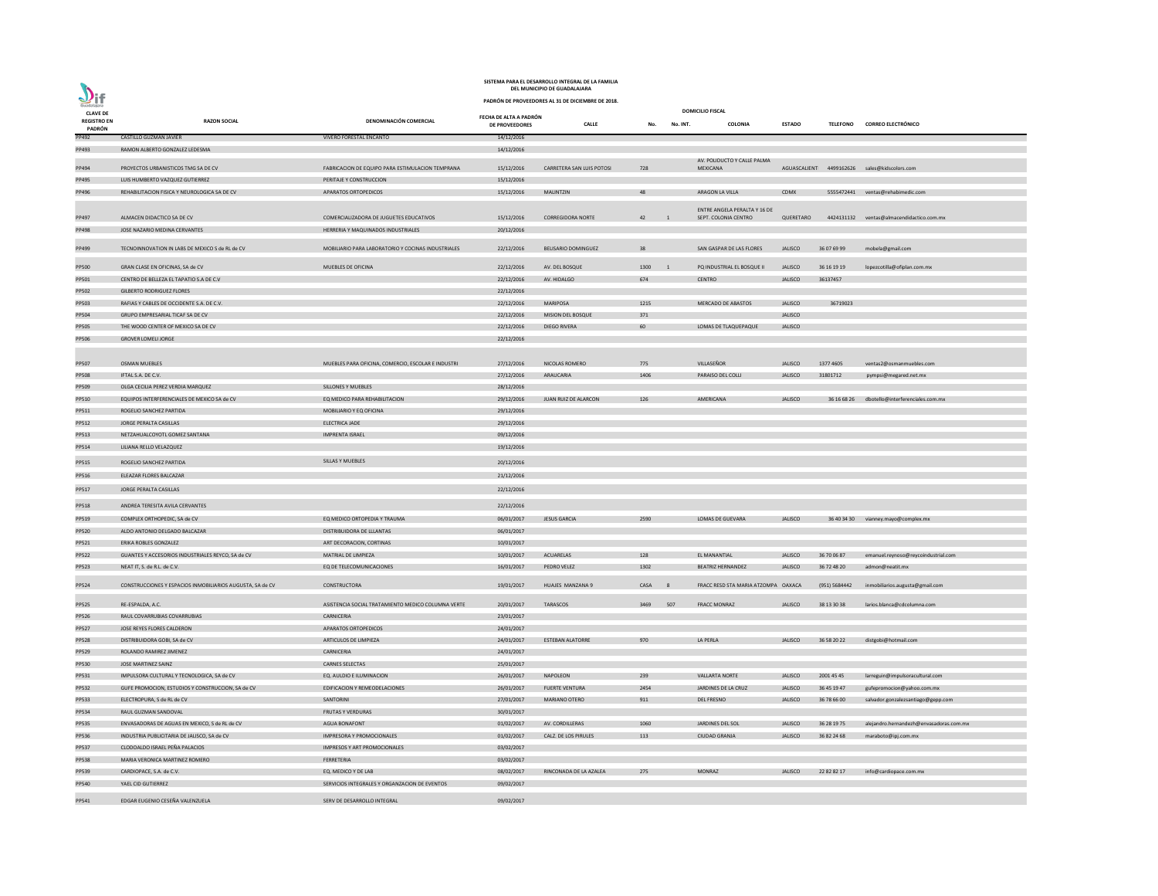| anbloud<br><b>CLAVE DE</b> |                                                           |                                                    |                                                 |                            | <b>DOMICILIO FISCAL</b> |          |                                     |                |                 |                                              |
|----------------------------|-----------------------------------------------------------|----------------------------------------------------|-------------------------------------------------|----------------------------|-------------------------|----------|-------------------------------------|----------------|-----------------|----------------------------------------------|
| <b>REGISTRO EN</b>         | <b>RAZON SOCIAL</b>                                       | <b>DENOMINACIÓN COMERCIAL</b>                      | FECHA DE ALTA A PADRÓN<br><b>DE PROVEEDORES</b> | <b>CALLE</b>               | No.                     | No. INT. | <b>COLONIA</b>                      | <b>ESTADO</b>  | <b>TELEFONO</b> | <b>CORREO ELECTRÓNICO</b>                    |
| PADRÓN<br>PP492            | CASTILLO GUZMAN JAVIER                                    | <b>VIVERO FORESTAL ENCANTO</b>                     | 14/12/2016                                      |                            |                         |          |                                     |                |                 |                                              |
| PP493                      | RAMON ALBERTO GONZALEZ LEDESMA                            |                                                    | 14/12/2016                                      |                            |                         |          |                                     |                |                 |                                              |
|                            |                                                           |                                                    |                                                 |                            |                         |          | AV. POLIDUCTO Y CALLE PALMA         |                |                 |                                              |
| PP494                      | PROYECTOS URBANISTICOS TMG SA DE CV                       | FABRICACION DE EQUIPO PARA ESTIMULACION TEMPRANA   | 15/12/2016                                      | CARRETERA SAN LUIS POTOSI  | 728                     |          | <b>MEXICANA</b>                     |                |                 | AGUASCALIENT 4499162626 sales@kidscolors.com |
| PP495                      | LUIS HUMBERTO VAZQUEZ GUTIERREZ                           | PERITAJE Y CONSTRUCCION                            | 15/12/2016                                      |                            |                         |          |                                     |                |                 |                                              |
| PP496                      | REHABILITACION FISICA Y NEUROLOGICA SA DE CV              | APARATOS ORTOPEDICOS                               | 15/12/2016                                      | <b>MALINTZIN</b>           | 48                      |          | ARAGON LA VILLA                     | <b>CDMX</b>    |                 | 5555472441 ventas@rehabimedic.com            |
|                            |                                                           |                                                    |                                                 |                            |                         |          | ENTRE ANGELA PERALTA Y 16 DE        |                |                 |                                              |
| PP497                      | ALMACEN DIDACTICO SA DE CV                                | COMERCIALIZADORA DE JUGUETES EDUCATIVOS            | 15/12/2016                                      | <b>CORREGIDORA NORTE</b>   | 42 1                    |          | SEPT. COLONIA CENTRO                | QUERETARO      |                 | 4424131132 ventas@almacendidactico.com.mx    |
| PP498                      | JOSE NAZARIO MEDINA CERVANTES                             | HERRERIA Y MAQUINADOS INDUSTRIALES                 | 20/12/2016                                      |                            |                         |          |                                     |                |                 |                                              |
|                            |                                                           |                                                    |                                                 |                            |                         |          |                                     |                |                 |                                              |
| PP499                      | TECNOINNOVATION IN LABS DE MEXICO S de RL de CV           | MOBILIARIO PARA LABORATORIO Y COCINAS INDUSTRIALES | 22/12/2016                                      | <b>BELISARIO DOMINGUEZ</b> | 38                      |          | SAN GASPAR DE LAS FLORES            | <b>JALISCO</b> | 36 07 69 99     | mobela@gmail.com                             |
| PP500                      | GRAN CLASE EN OFICINAS, SA de CV                          | MUEBLES DE OFICINA                                 | 22/12/2016                                      | AV. DEL BOSQUE             | 1300                    |          | PQ INDUSTRIAL EL BOSQUE II          | <b>JALISCO</b> | 36 16 19 19     | lopezcotilla@ofiplan.com.mx                  |
| PP501                      | CENTRO DE BELLEZA EL TAPATIO S.A DE C.V                   |                                                    | 22/12/2016                                      | AV. HIDALGO                | 674                     |          | <b>CENTRO</b>                       | <b>JALISCO</b> | 36137457        |                                              |
| PP502                      | <b>GILBERTO RODRIGUEZ FLORES</b>                          |                                                    | 22/12/2016                                      |                            |                         |          |                                     |                |                 |                                              |
| PP503                      | RAFIAS Y CABLES DE OCCIDENTE S.A. DE C.V.                 |                                                    | 22/12/2016                                      | <b>MARIPOSA</b>            | 1215                    |          | <b>MERCADO DE ABASTOS</b>           | <b>JALISCO</b> | 36719023        |                                              |
| PP504                      | GRUPO EMPRESARIAL TICAF SA DE CV                          |                                                    | 22/12/2016                                      | MISION DEL BOSQUE          | 371                     |          |                                     | <b>JALISCO</b> |                 |                                              |
| <b>PP505</b>               | THE WOOD CENTER OF MEXICO SA DE CV                        |                                                    | 22/12/2016                                      | <b>DIEGO RIVERA</b>        | 60                      |          | LOMAS DE TLAQUEPAQUE                | <b>JALISCO</b> |                 |                                              |
| PP506                      | <b>GROVER LOMELI JORGE</b>                                |                                                    | 22/12/2016                                      |                            |                         |          |                                     |                |                 |                                              |
|                            |                                                           |                                                    |                                                 |                            |                         |          |                                     |                |                 |                                              |
| PP507                      | <b>OSMAN MUEBLES</b>                                      | MUEBLES PARA OFICINA, COMERCIO, ESCOLAR E INDUSTRI | 27/12/2016                                      | NICOLAS ROMERO             | 775                     |          | VILLASEÑOR                          | <b>JALISCO</b> | 1377 4605       | ventas2@osmanmuebles.com                     |
| <b>PP508</b>               | IFTAL S.A. DE C.V.                                        |                                                    | 27/12/2016                                      | ARAUCARIA                  | 1406                    |          | PARAISO DEL COLLI                   | <b>JALISCO</b> | 31801712        | pympsi@megared.net.mx                        |
| PP509                      | OLGA CECILIA PEREZ VERDIA MARQUEZ                         | SILLONES Y MUEBLES                                 | 28/12/2016                                      |                            |                         |          |                                     |                |                 |                                              |
| PP510                      | EQUIPOS INTERFERENCIALES DE MEXICO SA de CV               | EQ MEDICO PARA REHABILITACION                      | 29/12/2016                                      | JUAN RUIZ DE ALARCON       | 126                     |          | AMERICANA                           | <b>JALISCO</b> | 36 16 68 26     | dbotello@interferenciales.com.mx             |
| PP511                      | ROGELIO SANCHEZ PARTIDA                                   | MOBILIARIO Y EQ OFICINA                            | 29/12/2016                                      |                            |                         |          |                                     |                |                 |                                              |
| PP512                      | JORGE PERALTA CASILLAS                                    | ELECTRICA JADE                                     | 29/12/2016                                      |                            |                         |          |                                     |                |                 |                                              |
| PP513                      | NETZAHUALCOYOTL GOMEZ SANTANA                             | <b>IMPRENTA ISRAEL</b>                             | 09/12/2016                                      |                            |                         |          |                                     |                |                 |                                              |
| PP514                      | LILIANA RELLO VELAZQUEZ                                   |                                                    | 19/12/2016                                      |                            |                         |          |                                     |                |                 |                                              |
|                            |                                                           |                                                    |                                                 |                            |                         |          |                                     |                |                 |                                              |
| PP515                      | ROGELIO SANCHEZ PARTIDA                                   | <b>SILLAS Y MUEBLES</b>                            | 20/12/2016                                      |                            |                         |          |                                     |                |                 |                                              |
| PP516                      | ELEAZAR FLORES BALCAZAR                                   |                                                    | 21/12/2016                                      |                            |                         |          |                                     |                |                 |                                              |
| PP517                      | JORGE PERALTA CASILLAS                                    |                                                    | 22/12/2016                                      |                            |                         |          |                                     |                |                 |                                              |
| PP518                      | ANDREA TERESITA AVILA CERVANTES                           |                                                    | 22/12/2016                                      |                            |                         |          |                                     |                |                 |                                              |
| PP519                      | COMPLEX ORTHOPEDIC, SA de CV                              | EQ MEDICO ORTOPEDIA Y TRAUMA                       | 06/01/2017                                      | <b>JESUS GARCIA</b>        | 2590                    |          | LOMAS DE GUEVARA                    | <b>JALISCO</b> |                 |                                              |
| PP520                      | ALDO ANTONIO DELGADO BALCAZAR                             | DISTRIBUIDORA DE LLLANTAS                          | 06/01/2017                                      |                            |                         |          |                                     |                |                 | 36 40 34 30 vianney.mayo@complex.mx          |
|                            | ERIKA ROBLES GONZALEZ                                     | ART DECORACION, CORTINAS                           | 10/01/2017                                      |                            |                         |          |                                     |                |                 |                                              |
| PP521<br><b>PP522</b>      | GUANTES Y ACCESORIOS INDUSTRIALES REYCO, SA de CV         | MATRIAL DE LIMPIEZA                                | 10/01/2017                                      | ACUARELAS                  | 128                     |          | EL MANANTIAL                        | <b>JALISCO</b> | 36 70 06 87     |                                              |
|                            | NEAT IT, S. de R.L. de C.V.                               | EQ DE TELECOMUNICACIONES                           | 16/01/2017                                      | PEDRO VELEZ                | 1302                    |          | <b>BEATRIZ HERNANDEZ</b>            | <b>JALISCO</b> | 36 72 48 20     | emanuel.reynoso@reycoindustrial.com          |
| PP523                      |                                                           |                                                    |                                                 |                            |                         |          |                                     |                |                 | admon@neatit.mx                              |
| PP524                      | CONSTRUCCIONES Y ESPACIOS INMOBILIARIOS AUGUSTA, SA de CV | <b>CONSTRUCTORA</b>                                | 19/01/2017                                      | HUAJES MANZANA 9           | CASA 8                  |          | FRACC RESD STA MARIA ATZOMPA OAXACA |                | (951) 5684442   | inmobiliarios.augusta@gmail.com              |
|                            |                                                           |                                                    |                                                 |                            |                         |          |                                     |                |                 |                                              |
| <b>PP525</b>               | RE-ESPALDA, A.C.                                          | ASISTENCIA SOCIAL TRATAMIENTO MEDICO COLUMNA VERTE | 20/01/2017                                      | <b>TARASCOS</b>            | 3469                    | 507      | <b>FRACC MONRAZ</b>                 | <b>JALISCO</b> | 38 13 30 38     | larios.blanca@cdcolumna.com                  |
| PP526                      | RAUL COVARRUBIAS COVARRUBIAS                              | CARNICERIA                                         | 23/01/2017                                      |                            |                         |          |                                     |                |                 |                                              |
| <b>PP527</b>               | JOSE REYES FLORES CALDERON                                | APARATOS ORTOPEDICOS                               | 24/01/2017                                      |                            |                         |          |                                     |                |                 |                                              |
| <b>PP528</b>               | DISTRIBUIDORA GOBI, SA de CV                              | ARTICULOS DE LIMPIEZA                              | 24/01/2017                                      | <b>ESTEBAN ALATORRE</b>    | 970                     |          | LA PERLA                            | <b>JALISCO</b> | 36 58 20 22     | distgobi@hotmail.com                         |
| PP529                      | ROLANDO RAMIREZ JIMENEZ                                   | CARNICERIA                                         | 24/01/2017                                      |                            |                         |          |                                     |                |                 |                                              |
| PP530                      | JOSE MARTINEZ SAINZ                                       | <b>CARNES SELECTAS</b>                             | 25/01/2017                                      |                            |                         |          |                                     |                |                 |                                              |
| PP531                      | IMPULSORA CULTURAL Y TECNOLOGICA, SA de CV                | EQ. AULDIO E ILUMINACION                           | 26/01/2017                                      | NAPOLEON                   | 239                     |          | <b>VALLARTA NORTE</b>               | <b>JALISCO</b> | 2001 45 45      | larreguin@impulsoracultural.com              |
| <b>PP532</b>               | GUFE PROMOCION, ESTUDIOS Y CONSTRUCCION, SA de CV         | EDIFICACION Y REMEODELACIONES                      | 26/01/2017                                      | <b>FUERTE VENTURA</b>      | 2454                    |          | JARDINES DE LA CRUZ                 | <b>JALISCO</b> | 36 45 19 47     | gufepromocion@yahoo.com.mx                   |
| PP533                      | ELECTROPURA, S de RL de CV                                | SANTORINI                                          | 27/01/2017                                      | MARIANO OTERO              | 911                     |          | <b>DEL FRESNO</b>                   | <b>JALISCO</b> | 36 78 66 00     | salvador.gonzalezsantiago@gepp.com           |
| PP534                      | RAUL GUZMAN SANDOVAL                                      | FRUTAS Y VERDURAS                                  | 30/01/2017                                      |                            |                         |          |                                     |                |                 |                                              |
| <b>PP535</b>               | ENVASADORAS DE AGUAS EN MEXICO, S de RL de CV             | <b>AGUA BONAFONT</b>                               | 01/02/2017                                      | AV. CORDILLERAS            | 1060                    |          | JARDINES DEL SOL                    | <b>JALISCO</b> | 36 28 19 75     | alejandro.hernandezh@envasadoras.com.mx      |
| PP536                      | INDUSTRIA PUBLICITARIA DE JALISCO, SA de CV               | IMPRESORA Y PROMOCIONALES                          | 01/02/2017                                      | CALZ. DE LOS PIRULES       | 113                     |          | <b>CIUDAD GRANJA</b>                | <b>JALISCO</b> | 36 82 24 68     | maraboto@ipj.com.mx                          |
| PP537                      | CLODOALDO ISRAEL PEÑA PALACIOS                            | IMPRESOS Y ART PROMOCIONALES                       | 03/02/2017                                      |                            |                         |          |                                     |                |                 |                                              |
| <b>PP538</b>               | MARIA VERONICA MARTINEZ ROMERO                            | FERRETERIA                                         | 03/02/2017                                      |                            |                         |          |                                     |                |                 |                                              |
| PP539                      | CARDIOPACE, S.A. de C.V.                                  | EQ. MEDICO Y DE LAB                                | 08/02/2017                                      | RINCONADA DE LA AZALEA     | 275                     |          | <b>MONRAZ</b>                       | <b>JALISCO</b> | 22 82 82 17     | info@cardiopace.com.mx                       |
| PP540                      | YAEL CID GUTIERREZ                                        | SERVICIOS INTEGRALES Y ORGANZACION DE EVENTOS      | 09/02/2017                                      |                            |                         |          |                                     |                |                 |                                              |
| PP541                      | EDGAR EUGENIO CESEÑA VALENZUELA                           | SERV DE DESARROLLO INTEGRAL                        | 09/02/2017                                      |                            |                         |          |                                     |                |                 |                                              |

## **DEL MUNICIPIO DE GUADALAJARA SISTEMA PARA EL DESARROLLO INTEGRAL DE LA FAMILIA**

 $\sum_{\text{Guedalign}}$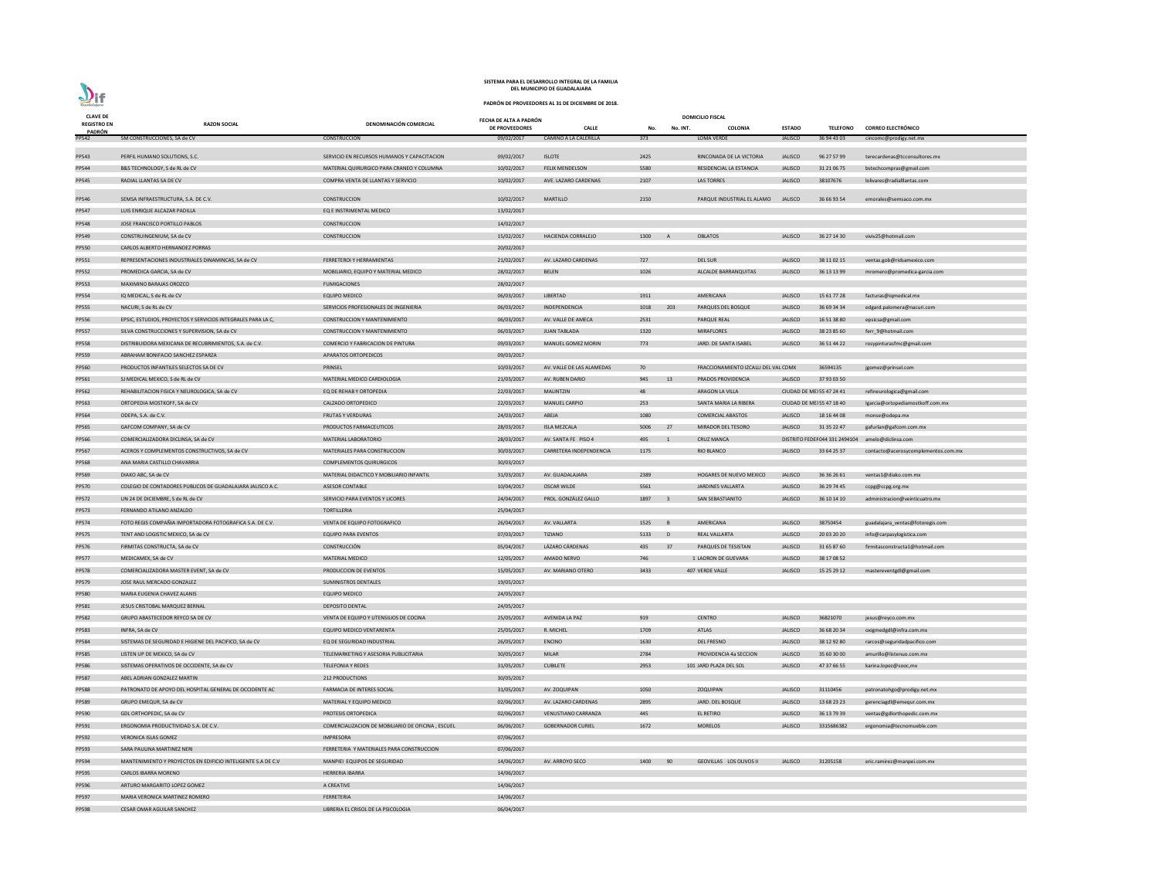| <b>CLAVE DE</b>              |                                                              |                                                   | FECHA DE ALTA A PADRÓN |                           |        |                | <b>DOMICILIO FISCAL</b>              |                |                          |                                                   |
|------------------------------|--------------------------------------------------------------|---------------------------------------------------|------------------------|---------------------------|--------|----------------|--------------------------------------|----------------|--------------------------|---------------------------------------------------|
| <b>REGISTRO EN</b><br>PADRÓN | <b>RAZON SOCIAL</b>                                          | DENOMINACIÓN COMERCIAL                            | DE PROVEEDORES         | <b>CALLE</b>              | No.    | No. INT.       | <b>COLONIA</b>                       | <b>ESTADO</b>  | <b>TELEFONO</b>          | <b>CORREO ELECTRÓNICO</b>                         |
| PP542                        | 5M CONSTRUCCIONES, SA de CV                                  | CONSTRUCCION                                      | 09/02/2017             | CAMINO A LA CALERILLA     | 373    |                | LOMA VERDE                           | <b>JALISCO</b> | 36 94 43 03              | cincomc@prodigy.net.mx                            |
|                              |                                                              |                                                   |                        |                           |        |                |                                      |                |                          |                                                   |
| PP543                        | PERFIL HUMANO SOLUTIONS, S.C.                                | SERVICIO EN RECURSOS HUMANOS Y CAPACITACION       | 09/02/2017             | <b>ISLOTE</b>             | 2425   |                | RINCONADA DE LA VICTORIA             | <b>JALISCO</b> | 96 27 57 99              | terecardenas@tcconsultores.mx                     |
| PP544                        | B&S TECHNOLOGY, S de RL de CV                                | MATERIAL QUIRURGICO PARA CRANEO Y COLUMNA         | 10/02/2017             | <b>FELIX MENDELSON</b>    | 5580   |                | RESIDENCIAL LA ESTANCIA              | <b>JALISCO</b> | 31 21 06 75              | bstechcompras@gmail.com                           |
| PP545                        | RADIAL LLANTAS SA DE CV                                      | COMPRA VENTA DE LLANTAS Y SERVICIO                | 10/02/2017             | AVE. LAZARO CARDENAS      | 2107   |                | <b>LAS TORRES</b>                    | <b>JALISCO</b> | 38107676                 | lolivares@radialllantas.com                       |
| PP546                        | SEMSA INFRAESTRUCTURA, S.A. DE C.V.                          | CONSTRUCCION                                      | 10/02/2017             | <b>MARTILLO</b>           | 2150   |                | PARQUE INDUSTRIAL EL ALAMO           | <b>JALISCO</b> | 36 66 93 54              | emorales@semsaco.com.mx                           |
| PP547                        | LUIS ENRIQUE ALCAZAR PADILLA                                 | EQ E INSTRIMENTAL MEDICO                          | 13/02/2017             |                           |        |                |                                      |                |                          |                                                   |
| <b>PP548</b>                 | JOSE FRANCISCO PORTILLO PABLOS                               | CONSTRUCCION                                      | 14/02/2017             |                           |        |                |                                      |                |                          |                                                   |
| PP549                        | CONSTRUINGENIUM, SA de CV                                    | CONSTRUCCION                                      | 15/02/2017             | <b>HACIENDA CORRALEJO</b> | 1300   | A              | <b>OBLATOS</b>                       | <b>JALISCO</b> | 36 27 14 30              | viviv25@hotmail.com                               |
| <b>PP550</b>                 | CARLOS ALBERTO HERNANDEZ PORRAS                              |                                                   | 20/02/2017             |                           |        |                |                                      |                |                          |                                                   |
| PP551                        | REPRESENTACIONES INDUSTRIALES DINAMINCAS, SA de CV           | FERRETEROI Y HERRAMIENTAS                         | 21/02/2017             | AV. LAZARO CARDENAS       | 727    |                | DEL SUR                              | <b>JALISCO</b> | 38 11 02 15              | ventas.gob@ridsamexico.com                        |
| <b>PP552</b>                 | PROMEDICA GARCIA, SA de CV                                   | MOBILIARIO, EQUIPO Y MATERIAL MEDICO              | 28/02/2017             | <b>BELEN</b>              | 1026   |                | ALCALDE BARRANQUITAS                 | <b>JALISCO</b> | 36 13 13 99              |                                                   |
|                              | MAXIMINO BARAJAS OROZCO                                      | <b>FUMIGACIONES</b>                               | 28/02/2017             |                           |        |                |                                      |                |                          | mromero@promedica-garcia.com                      |
| <b>PP553</b>                 |                                                              |                                                   |                        | LIBERTAD                  |        |                |                                      |                |                          |                                                   |
| <b>PP554</b>                 | IQ MEDICAL, S de RL de CV                                    | <b>EQUIPO MEDICO</b>                              | 06/03/2017             |                           | 1911   |                | AMERICANA                            | <b>JALISCO</b> | 15 61 77 28              | facturas@iqmedical.mx                             |
| <b>PP555</b>                 | NACURI, S de RL de CV                                        | SERVICIOS PROFESIONALES DE INGENIERIA             | 06/03/2017             | INDEPENDENCIA             | 1018   | 203            | PARQUES DEL BOSQUE                   | <b>JALISCO</b> | 36 69 34 34              | edgard.palomera@nacuri.com                        |
| <b>PP556</b>                 | EPSIC, ESTUDIOS, PROYECTOS Y SERVICIOS INTEGRALES PARA LA C, | CONSTRUCCION Y MANTENIMIENTO                      | 06/03/2017             | AV. VALLE DE AMECA        | 2531   |                | PARQUE REAL                          | <b>JALISCO</b> | 16 51 38 80              | epsicsa@gmail.com                                 |
| <b>PP557</b>                 | SILVA CONSTRUCCIONES Y SUPERVISION, SA de CV                 | CONSTRUCCION Y MANTENIMIENTO                      | 06/03/2017             | <b>JUAN TABLADA</b>       | 1320   |                | <b>MIRAFLORES</b>                    | <b>JALISCO</b> | 38 23 85 60              | ferr_9@hotmail.com                                |
| <b>PP558</b>                 | DISTRIBUIDORA MEXICANA DE RECUBRIMIENTOS, S.A. de C.V.       | COMERCIO Y FABRICACION DE PINTURA                 | 09/03/2017             | MANUEL GOMEZ MORIN        | 773    |                | JARD. DE SANTA ISABEL                | <b>JALISCO</b> | 36 51 44 22              | rosypinturasfmc@gmail.com                         |
| PP559                        | ABRAHAM BONIFACIO SANCHEZ ESPARZA                            | APARATOS ORTOPEDICOS                              | 09/03/2017             |                           |        |                |                                      |                |                          |                                                   |
| PP560                        | PRODUCTOS INFANTILES SELECTOS SA DE CV                       | PRINSEL                                           | 10/03/2017             | AV. VALLE DE LAS ALAMEDAS | 70     |                | FRACCIONAMIENTO IZCALLI DEL VAL CDMX |                | 36594135                 | jgomez@prinsel.com                                |
| PP561                        | SJ MEDICAL MEXICO, S de RL de CV                             | MATERIAL MEDICO CARDIOLOGIA                       | 21/03/2017             | AV. RUBEN DARIO           | 945    | 13             | <b>PRADOS PROVIDENCIA</b>            | <b>JALISCO</b> | 37 93 03 50              |                                                   |
| PP562                        | REHABILITACION FISICA Y NEUROLOGICA, SA de CV                | EQ DE REHAB Y ORTOPEDIA                           | 22/03/2017             | <b>MALINTZIN</b>          | 48     |                | ARAGON LA VILLA                      |                | CIUDAD DE ME 55 47 24 41 | refineurologica@gmail.com                         |
| PP563                        | ORTOPEDIA MOSTKOFF, SA de CV                                 | CALZADO ORTOPEDICO                                | 22/03/2017             | <b>MANUEL CARPIO</b>      | 253    |                | SANTA MARIA LA RIBERA                |                | CIUDAD DE ME 55 47 18 40 | Igarcia@ortopediamostkoff.com.mx                  |
| PP564                        | ODEPA, S.A. de C.V.                                          | <b>FRUTAS Y VERDURAS</b>                          | 24/03/2017             | ABEJA                     | 1080   |                | <b>COMERCIAL ABASTOS</b>             | <b>JALISCO</b> | 18 16 44 08              | monse@odepa.mx                                    |
| <b>PP565</b>                 | GAFCOM COMPANY, SA de CV                                     | PRODUCTOS FARMACEUTICOS                           | 28/03/2017             | <b>ISLA MEZCALA</b>       | 5006   | 27             | MIRADOR DEL TESORO                   | <b>JALISCO</b> | 31 35 22 47              | gafurlan@gafcom.com.mx                            |
| PP566                        | COMERCIALIZADORA DICLINSA, SA de CV                          | MATERIAL LABORATORIO                              | 28/03/2017             | AV. SANTA FE PISO 4       | 495    | - 1            | <b>CRUZ MANCA</b>                    |                |                          | DISTRITO FEDEI 044 331 2494104 amelo@diclinsa.com |
| PP567                        | ACEROS Y COMPLEMENTOS CONSTRUCTIVOS, SA de CV                | MATERIALES PARA CONSTRUCCION                      | 30/03/2017             | CARRETERA INDEPENDENCIA   | 1175   |                | RIO BLANCO                           | <b>JALISCO</b> | 33 64 25 37              | contacto@acerosycomplementos.com.mx               |
| <b>PP568</b>                 | ANA MARIA CASTILLO CHAVARRIA                                 | <b>COMPLEMENTOS QUIRURGICOS</b>                   | 30/03/2017             |                           |        |                |                                      |                |                          |                                                   |
| PP569                        | DIAKO ABC, SA de CV                                          | MATERIAL DIDACTICO Y MOBILIARIO INFANTIL          | 31/03/2017             | AV. GUADALAJARA           | 2389   |                | HOGARES DE NUEVO MEXICO              | <b>JALISCO</b> | 36 36 26 61              | ventas1@diako.com.mx                              |
| <b>PP570</b>                 | COLEGIO DE CONTADORES PUBLICOS DE GUADALAJARA JALISCO A.C.   | <b>ASESOR CONTABLE</b>                            | 10/04/2017             | <b>OSCAR WILDE</b>        | 5561   |                | <b>JARDINES VALLARTA</b>             | <b>JALISCO</b> | 36 29 74 45              | ccpg@ccpg.org.mx                                  |
| <b>PP572</b>                 | UN 24 DE DICIEMBRE, S de RL de CV                            | SERVICIO PARA EVENTOS Y LICORES                   | 24/04/2017             | PROL. GONZÁLEZ GALLO      | 1897 3 |                | SAN SEBASTIANITO                     | <b>JALISCO</b> | 36 10 14 10              | administracion@veinticuatro.mx                    |
|                              | FERNANDO ATILANO ANZALDO                                     | <b>TORTILLERIA</b>                                |                        |                           |        |                |                                      |                |                          |                                                   |
| PP573                        |                                                              |                                                   | 25/04/2017             |                           |        |                |                                      |                |                          |                                                   |
| <b>PP574</b>                 | FOTO REGIS COMPAÑIA IMPORTADORA FOTOGRAFICA S.A. DE C.V.     | VENTA DE EQUIPO FOTOGRAFICO                       | 26/04/2017             | AV. VALLARTA              | 1525   | $\overline{B}$ | AMERICANA                            | <b>JALISCO</b> | 38750454                 | guadalajara_ventas@fotoregis.com                  |
| <b>PP575</b>                 | TENT AND LOGISTIC MEXICO, SA de CV                           | <b>EQUIPO PARA EVENTOS</b>                        | 07/03/2017             | TIZIANO                   | 5133 D |                | REAL VALLARTA                        | <b>JALISCO</b> | 20 03 20 20              | info@carpasylogistica.com                         |
| <b>PP576</b>                 | FIRMITAS CONSTRUCTA, SA de CV                                | <b>CONSTRUCCIÓN</b>                               | 05/04/2017             | LÁZARO CÁRDENAS           | 435    | 37             | PARQUES DE TESISTAN                  | <b>JALISCO</b> | 31 65 87 60              | firmitasconstructa1@hotmail.com                   |
| <b>PP577</b>                 | MEDICAMEX, SA de CV                                          | MATERIAL MEDICO                                   | 12/05/2017             | AMADO NERVO               | 746    |                | 1 LADRON DE GUEVARA                  | <b>JALISCO</b> | 38 17 08 52              |                                                   |
| <b>PP578</b>                 | COMERCIALIZADORA MASTER EVENT, SA de CV                      | PRODUCCION DE EVENTOS                             | 15/05/2017             | AV. MARIANO OTERO         | 3433   |                | 407 VERDE VALLE                      | <b>JALISCO</b> | 15 25 29 12              | mastereventgdl@gmail.com                          |
| PP579                        | JOSE RAUL MERCADO GONZALEZ                                   | SUMINISTROS DENTALES                              | 19/05/2017             |                           |        |                |                                      |                |                          |                                                   |
| <b>PP580</b>                 | MARIA EUGENIA CHAVEZ ALANIS                                  | <b>EQUIPO MEDICO</b>                              | 24/05/2017             |                           |        |                |                                      |                |                          |                                                   |
| PP581                        | JESUS CRISTOBAL MARQUEZ BERNAL                               | <b>DEPOSITO DENTAL</b>                            | 24/05/2017             |                           |        |                |                                      |                |                          |                                                   |
| <b>PP582</b>                 | GRUPO ABASTECEDOR REYCO SA DE CV                             | VENTA DE EQUIPO Y UTENSILIOS DE COCINA            | 25/05/2017             | AVENIDA LA PAZ            | 919    |                | <b>CENTRO</b>                        | <b>JALISCO</b> | 36821070                 | jesus@reyco.com.mx                                |
| PP583                        | INFRA, SA de CV                                              | EQUIPO MEDICO VENTARENTA                          | 25/05/2017             | R. MICHEL                 | 1709   |                | ATLAS                                | <b>JALISCO</b> | 36 68 20 34              | oxigmedgdl@infra.com.mx                           |
| PP584                        | SISTEMAS DE SEGURIDAD E HIGIENE DEL PACIFICO, SA de CV       | EQ DE SEGURIDAD INDUSTRIAL                        | 26/05/2017             | <b>ENCINO</b>             | 1630   |                | <b>DEL FRESNO</b>                    | <b>JALISCO</b> | 38 12 92 80              | rarcos@seguridadpacifico.com                      |
| <b>PP585</b>                 | LISTEN UP DE MEXICO, SA de CV                                | TELEMARKETING Y ASESORIA PUBLICITARIA             | 30/05/2017             | <b>MILAR</b>              | 2784   |                | PROVIDENCIA 4a SECCION               | <b>JALISCO</b> | 35 60 30 00              | amurillo@listenuo.com.mx                          |
| <b>PP586</b>                 | SISTEMAS OPERATIVOS DE OCCIDENTE, SA de CV                   | <b>TELEFONIA Y REDES</b>                          | 31/05/2017             | <b>CUBILETE</b>           | 2953   |                | 101 JARD PLAZA DEL SOL               | <b>JALISCO</b> | 47 37 66 55              | karina.lopez@sooc,mx                              |
| <b>PP587</b>                 | ABEL ADRIAN GONZALEZ MARTIN                                  | 212 PRODUCTIONS                                   | 30/05/2017             |                           |        |                |                                      |                |                          |                                                   |
| <b>PP588</b>                 | PATRONATO DE APOYO DEL HOSPITAL GENERAL DE OCCIDENTE AC      | FARMACIA DE INTERES SOCIAL                        | 31/05/2017             | AV. ZOQUIPAN              | 1050   |                | <b>ZOQUIPAN</b>                      | <b>JALISCO</b> | 31110456                 | patronatohgo@prodigy.net.mx                       |
| PP589                        | GRUPO EMEQUR, SA de CV                                       | MATERIAL Y EQUIPO MEDICO                          | 02/06/2017             | AV. LAZARO CARDENAS       | 2895   |                | JARD. DEL BOSQUE                     | JALISCO        | 13 68 23 23              | gerenciagdl@emequr.com.mx                         |
| PP590                        | GDL ORTHOPEDIC, SA de CV                                     | PROTESIS ORTOPEDICA                               | 02/06/2017             | VENUSTIANO CARRANZA       | 445    |                | EL RETIRO                            | <b>JALISCO</b> | 36 13 79 39              | ventas@gdlorthopedic.com.mx                       |
| PP591                        | ERGONOMIA PRODUCTIVIDAD S.A. DE C.V.                         | COMERCIALIZACION DE MOBILIARIO DE OFICINA, ESCUEL | 06/06/2017             | <b>GOBERNADOR CURIEL</b>  | 1672   |                | <b>MORELOS</b>                       | <b>JALISCO</b> | 3315686382               | ergonomia@tecnomueble.com                         |
|                              |                                                              |                                                   |                        |                           |        |                |                                      |                |                          |                                                   |
| PP592                        | VERONICA ISLAS GOMEZ                                         | <b>IMPRESORA</b>                                  | 07/06/2017             |                           |        |                |                                      |                |                          |                                                   |
| PP593                        | SARA PAULINA MARTINEZ NERI                                   | FERRETERIA Y MATERIALES PARA CONSTRUCCION         | 07/06/2017             |                           |        |                |                                      |                |                          |                                                   |
| PP594                        | MANTENIMIENTO Y PROYECTOS EN EDIFICIO INTELIGENTE S.A DE C.V | MANPIEI EQUIPOS DE SEGURIDAD                      | 14/06/2017             | AV. ARROYO SECO           | 1400   | 90             | GEOVILLAS LOS OLIVOS II              | <b>JALISCO</b> | 31205158                 | eric.ramirez@manpei.com.mx                        |
| <b>PP595</b>                 | <b>CARLOS IBARRA MORENO</b>                                  | HERRERIA IBARRA                                   | 14/06/2017             |                           |        |                |                                      |                |                          |                                                   |
| PP596                        | ARTURO MARGARITO LOPEZ GOMEZ                                 | A CREATIVE                                        | 14/06/2017             |                           |        |                |                                      |                |                          |                                                   |
| <b>PP597</b>                 | MARIA VERONICA MARTINEZ ROMERO                               | FERRETERIA                                        | 14/06/2017             |                           |        |                |                                      |                |                          |                                                   |
| PP598                        | CESAR OMAR AGUILAR SANCHEZ                                   | LIBRERIA EL CRISOL DE LA PSICOLOGIA               | 06/04/2017             |                           |        |                |                                      |                |                          |                                                   |

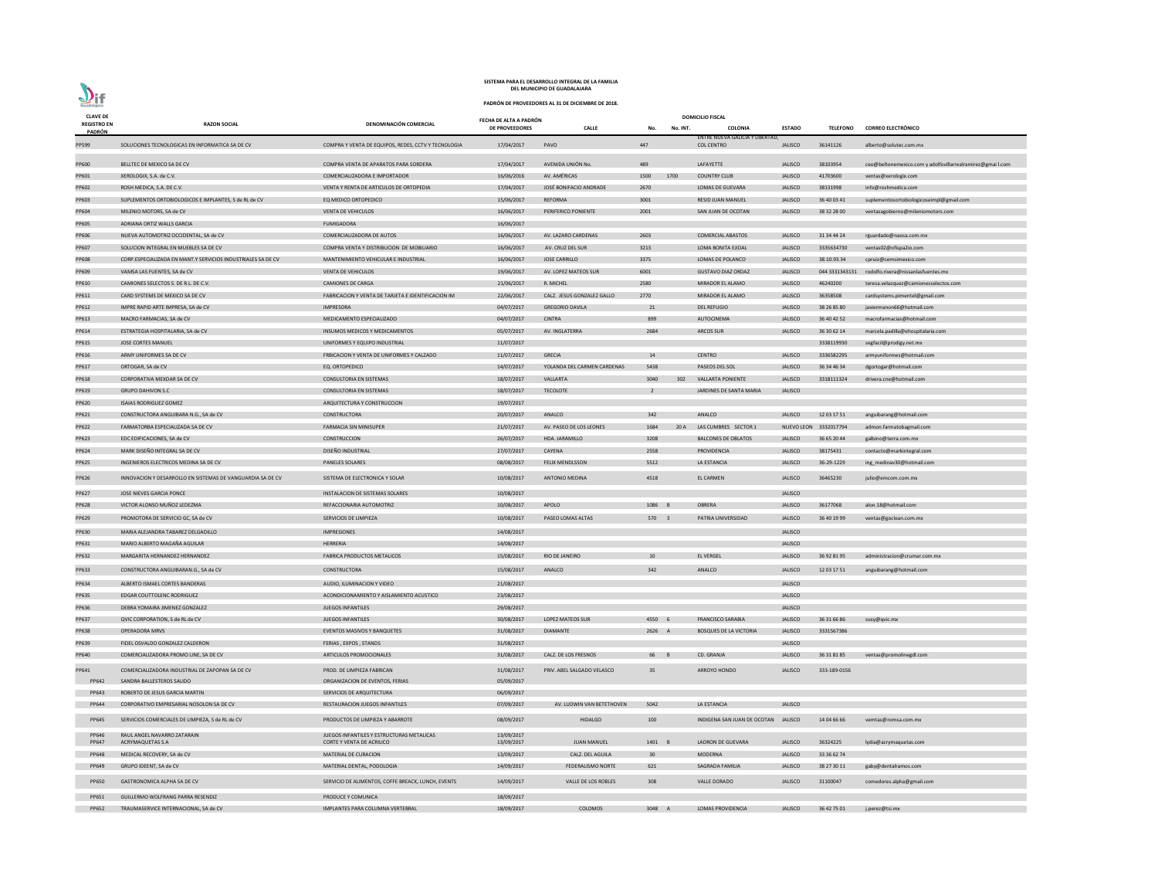| <b>CLAVE DE</b>              |                                                                              |                                                               | FECHA DE ALTA A PADRÓN   |                             |                 |          | <b>DOMICILIO FISCAL</b>                                     |                |                       |                                                            |
|------------------------------|------------------------------------------------------------------------------|---------------------------------------------------------------|--------------------------|-----------------------------|-----------------|----------|-------------------------------------------------------------|----------------|-----------------------|------------------------------------------------------------|
| <b>REGISTRO EN</b><br>PADRÓN | <b>RAZON SOCIAL</b>                                                          | DENOMINACIÓN COMERCIAL                                        | DE PROVEEDORES           | <b>CALLE</b>                | No.             | No. INT. | <b>COLONIA</b>                                              | <b>ESTADO</b>  | <b>TELEFONO</b>       | <b>CORREO ELECTRÓNICO</b>                                  |
| PP599                        | SOLUCIONES TECNOLOGICAS EN INFORMATICA SA DE CV                              | COMPRA Y VENTA DE EQUIPOS, REDES, CCTV Y TECNOLOGIA           | 17/04/2017               | PAVO                        | 447             |          | <b>ENTRE NUEVA GALICIA Y LIBERTAD,</b><br><b>COL CENTRO</b> | <b>JALISCO</b> | 36141126              | alberto@solutec.com.mx                                     |
|                              |                                                                              |                                                               |                          |                             |                 |          |                                                             |                |                       |                                                            |
| PP600                        | BELLTEC DE MEXICO SA DE CV                                                   | COMPRA VENTA DE APARATOS PARA SORDERA                         | 17/04/2017               | AVENIDA UNIÓN No.           | 489             |          | LAFAYETTE                                                   | <b>JALISCO</b> | 38103954              | ceo@beltonemexico.com y adolfovillarrealramirez@gmai l.com |
| PP601                        | XEROLOGIX, S.A. de C.V.                                                      | COMERCIALIZADORA E IMPORTADOR                                 | 16/06/2016               | AV. AMÉRICAS                | 1500            | 1700     | <b>COUNTRY CLUB</b>                                         | <b>JALISCO</b> | 41703600              | ventas@xerologix.com                                       |
| PP602                        | ROSH MEDICA, S.A. DE C.V.                                                    | VENTA Y RENTA DE ARTICULOS DE ORTOPEDIA                       | 17/04/2017               | JOSÉ BONIFACIO ANDRADE      | 2670            |          | LOMAS DE GUEVARA                                            | <b>JALISCO</b> | 38131998              | info@roshmedica.com                                        |
| PP603                        | SUPLEMENTOS ORTOBIOLOGICOS E IMPLANTES, S de RL de CV                        | EQ MEDICO ORTOPEDICO                                          | 15/06/2017               | <b>REFORMA</b>              | 3001            |          | RESID JUAN MANUEL                                           | <b>JALISCO</b> | 36 40 03 41           | suplementosortobiologicoseimpl@gmail.com                   |
| PP604                        | MILENIO MOTORS, SA de CV                                                     | <b>VENTA DE VEHICULOS</b>                                     | 16/06/2017               | PERIFERICO PONIENTE         | 2001            |          | SAN JUAN DE OCOTAN                                          | <b>JALISCO</b> | 38 32 28 00           | ventasagobierno@mileniomotors.com                          |
| PP605                        | ADRIANA ORTIZ WALLS GARCIA                                                   | FUMIGADORA                                                    | 16/06/2017               |                             |                 |          |                                                             |                |                       |                                                            |
| PP606                        | NUEVA AUTOMOTRIZ OCCIDENTAL, SA de CV                                        | COMERCIALIZADORA DE AUTOS                                     | 16/06/2017               | AV. LAZARO CARDENAS         | 2603            |          | <b>COMERCIAL ABASTOS</b>                                    | <b>JALISCO</b> | 31 34 44 24           | rguardado@naosa.com.mx                                     |
| PP607                        | SOLUCION INTEGRAL EN MUEBLES SA DE CV                                        | COMPRA VENTA Y DISTRIBUCION DE MOBILIARIO                     | 16/06/2017               | AV. CRUZ DEL SUR            | 3213            |          | LOMA BONITA EJIDAL                                          | <b>JALISCO</b> | 3335634730            | ventas02@ofispa2io.com                                     |
| <b>PP608</b>                 | CORP.ESPECIALIZADA EN MANT.Y SERVICIOS INDUSTRIALES SA DE CV                 | MANTENIMIENTO VEHICULAR E INDUSTRIAL                          | 16/06/2017               | <b>JOSE CARRILLO</b>        | 3375            |          | LOMAS DE POLANCO                                            | <b>JALISCO</b> | 38.10.93.34           | cpruiz@cemsimexico.com                                     |
| PP609                        | VAMSA LAS FUENTES, SA de CV                                                  | <b>VENTA DE VEHICULOS</b>                                     | 19/06/2017               | AV. LOPEZ MATEOS SUR        | 6001            |          | <b>GUSTAVO DIAZ ORDAZ</b>                                   | <b>JALISCO</b> |                       | 044 3331343131 rodolfo.rivera@nissanlasfuentes.mx          |
| PP610                        | CAMIONES SELECTOS S. DE R.L. DE C.V.                                         | <b>CAMIONES DE CARGA</b>                                      | 21/06/2017               | R. MICHEL                   | 2580            |          | MIRADOR EL ALAMO                                            | <b>JALISCO</b> | 46240200              | teresa.velazquez@camionesselectos.com                      |
| PP611                        | CARD SYSTEMS DE MEXICO SA DE CV                                              | FABRICACION Y VENTA DE TARJETA E IDENTIFICACION IM            | 22/06/2017               | CALZ. JESUS GONZALEZ GALLO  | 2770            |          | MIRADOR EL ALAMO                                            | <b>JALISCO</b> | 36358508              | cardsystems.pimentel@gmail.com                             |
| PP612                        | IMPRE RAPID ARTE IMPRESA, SA de CV                                           | <b>IMPRESORA</b>                                              | 04/07/2017               | <b>GREGORIO DAVILA</b>      | 21              |          | <b>DEL REFUGIO</b>                                          | <b>JALISCO</b> | 38 26 85 80           | javiermanon66@hotmail.com                                  |
| PP613                        | MACRO FARMACIAS, SA de CV                                                    | MEDICAMENTO ESPECIALIZADO                                     | 04/07/2017               | <b>CINTRA</b>               | 899             |          | AUTOCINEMA                                                  | <b>JALISCO</b> | 36 40 42 52           | macrofarmacias@hotmail.com                                 |
| PP614                        | ESTRATEGIA HOSPITALARIA, SA de CV                                            | INSUMOS MEDICOS Y MEDICAMENTOS                                | 05/07/2017               | AV. INGLATERRA              | 2684            |          | ARCOS SUR                                                   | <b>JALISCO</b> | 36 30 62 14           | marcela.padilla@ehospitalaria.com                          |
| PP615                        | JOSE CORTES MANUEL                                                           | UNIFORMES Y EQUIPO INDUSTRIAL                                 | 11/07/2017               |                             |                 |          |                                                             |                | 3338119930            | segfacil@prodigy.net.mx                                    |
| PP616                        | ARMY UNIFORMES SA DE CV                                                      | FRBICACION Y VENTA DE UNIFORMES Y CALZADO                     | 11/07/2017               | <b>GRECIA</b>               | 14              |          | <b>CENTRO</b>                                               | <b>JALISCO</b> | 3336582295            | armyuniformes@hotmail.com                                  |
| PP617                        | ORTOGAR, SA de CV                                                            | EQ. ORTOPEDICO                                                | 14/07/2017               | YOLANDA DEL CARMEN CARDENAS | 5438            |          | PASEOS DEL SOL                                              | <b>JALISCO</b> | 36 34 46 34           | dgortogar@hotmail.com                                      |
| PP618                        | CORPORATIVA MEXDAR SA DE CV                                                  | <b>CONSULTORIA EN SISTEMAS</b>                                | 18/07/2017               | VALLARTA                    | 3040            | 302      | <b>VALLARTA PONIENTE</b>                                    | <b>JALISCO</b> | 3318111324            | drivera.cne@hotmail.com                                    |
| PP619                        | <b>GRUPO DAHIVON S.C</b>                                                     | <b>CONSULTORIA EN SISTEMAS</b>                                | 18/07/2017               | <b>TECOLOTE</b>             | 2               |          | JARDINES DE SANTA MARIA                                     | <b>JALISCO</b> |                       |                                                            |
| PP620                        | <b>ISAIAS RODRIGUEZ GOMEZ</b>                                                | ARQUITECTURA Y CONSTRUCCION                                   | 19/07/2017               |                             |                 |          |                                                             |                |                       |                                                            |
| PP621                        | CONSTRUCTORA ANGUIBARA N.G., SA de CV                                        | CONSTRUCTORA                                                  | 20/07/2017               | ANALCO                      | 342             |          | ANALCO                                                      | <b>JALISCO</b> | 12 03 17 51           | anguibarang@hotmail.com                                    |
| PP622                        | FARMATORBA ESPECIALIZADA SA DE CV                                            | <b>FARMACIA SIN MINISUPER</b>                                 | 21/07/2017               | AV. PASEO DE LOS LEONES     | 1684            |          | 20 A LAS CUMBRES SECTOR 1                                   |                | NUEVO LEON 3332017794 | admon.farmatobagmail.com                                   |
| PP623                        | EDC EDIFICACIONES, SA de CV                                                  | <b>CONSTRUCCION</b>                                           | 26/07/2017               | HDA. JARAMILLO              | 3208            |          | <b>BALCONES DE OBLATOS</b>                                  | <b>JALISCO</b> | 36 65 20 44           | galbino@terra.com.mx                                       |
| PP624                        | MARK DISEÑO INTEGRAL SA DE CV                                                | DISEÑO INDUSTRIAL                                             | 27/07/2017               | CAYENA                      | 2558            |          | PROVIDENCIA                                                 | <b>JALISCO</b> | 38175431              | contacto@markintegral.com                                  |
| <b>PP625</b>                 | INGENIEROS ELECTRICOS MEDINA SA DE CV                                        | <b>PANELES SOLARES</b>                                        | 08/08/2017               | <b>FELIX MENDLSSON</b>      | 5512            |          | LA ESTANCIA                                                 | <b>JALISCO</b> | 36-29-1229            | ing_medinav30@hotmail.com                                  |
| PP626                        | INNOVACION Y DESARROLLO EN SISTEMAS DE VANGUARDIA SA DE CV                   | SISTEMA DE ELECTRONICA Y SOLAR                                | 10/08/2017               | <b>ANTONIO MEDINA</b>       | 4518            |          | <b>EL CARMEN</b>                                            | <b>JALISCO</b> | 36465230              | julio@emcom.com.mx                                         |
|                              |                                                                              |                                                               |                          |                             |                 |          |                                                             |                |                       |                                                            |
| PP627                        | JOSE NIEVES GARCIA PONCE                                                     | INSTALACION DE SISTEMAS SOLARES                               | 10/08/2017               |                             |                 |          |                                                             | <b>JALISCO</b> |                       |                                                            |
| <b>PP628</b>                 | VICTOR ALONSO MUÑOZ LEDEZMA                                                  | REFACCIONARIA AUTOMOTRIZ                                      | 10/08/2017               | APOLO                       | 1086 B          |          | OBRERA                                                      | <b>JALISCO</b> | 36177068              | alon.18@hotmail.com                                        |
| PP629                        | PROMOTORA DE SERVICIO GC, SA de CV                                           | SERVICIOS DE LIMPIEZA                                         | 10/08/2017               | PASEO LOMAS ALTAS           | 570 3           |          | PATRIA UNIVERSIDAD                                          | <b>JALISCO</b> | 36 40 19 99           | ventas@goclean.com.mx                                      |
| PP630                        | MARIA ALEJANDRA TABAREZ DELGADILLO                                           | <b>IMPRESIONES</b>                                            | 14/08/2017               |                             |                 |          |                                                             | <b>JALISCO</b> |                       |                                                            |
| PP631                        | MARIO ALBERTO MAGAÑA AGUILAR                                                 | HERRERIA                                                      | 14/08/2017               |                             |                 |          |                                                             | <b>JALISCO</b> |                       |                                                            |
| PP632                        | MARGARITA HERNANDEZ HERNANDEZ                                                | <b>FABRICA PRODUCTOS METALICOS</b>                            | 15/08/2017               | RIO DE JANEIRO              | 10              |          | <b>EL VERGEL</b>                                            | <b>JALISCO</b> | 36 92 81 95           | administracion@crumar.com.mx                               |
| PP633                        | CONSTRUCTORA ANGUIBARAN.G., SA de CV                                         | <b>CONSTRUCTORA</b>                                           | 15/08/2017               | ANALCO                      | 342             |          | ANALCO                                                      | <b>JALISCO</b> | 12 03 17 51           | anguibarang@hotmail.com                                    |
| PP634                        | ALBERTO ISMAEL CORTES BANDERAS                                               | AUDIO, ILUMINACION Y VIDEO                                    | 21/08/2017               |                             |                 |          |                                                             | <b>JALISCO</b> |                       |                                                            |
| PP635                        | EDGAR COUTTOLENC RODRIGUEZ                                                   | ACONDICIONAMIENTO Y AISLAMIENTO ACUSTICO                      | 23/08/2017               |                             |                 |          |                                                             | <b>JALISCO</b> |                       |                                                            |
| PP636                        | DEBRA YOMAIRA JIMENEZ GONZALEZ                                               | <b>JUEGOS INFANTILES</b>                                      | 29/08/2017               |                             |                 |          |                                                             | <b>JALISCO</b> |                       |                                                            |
| PP637                        | QVIC CORPORATION, S de RL de CV                                              | <b>JUEGOS INFANTILES</b>                                      | 30/08/2017               | LOPEZ MATEOS SUR            | 4550 6          |          | <b>FRANCISCO SARABIA</b>                                    | <b>JALISCO</b> | 36 31 66 86           | susy@qvic.mx                                               |
| PP638                        | <b>OPERADORA MRVS</b>                                                        | <b>EVENTOS MASIVOS Y BANQUETES</b>                            | 31/08/2017               | <b>DIAMANTE</b>             | 2626 A          |          | <b>BOSQUES DE LA VICTORIA</b>                               | <b>JALISCO</b> | 3331567386            |                                                            |
| PP639                        | FIDEL OSVALDO GONZALEZ CALDERON                                              | FERIAS, EXPOS, STANDS                                         | 31/08/2017               |                             |                 |          |                                                             | <b>JALISCO</b> |                       |                                                            |
| PP640                        | COMERCIALIZADORA PROMO LINE, SA DE CV                                        | ARTICULOS PROMOCIONALES                                       | 31/08/2017               | CALZ. DE LOS FRESNOS        | 66 B            |          | CD. GRANJA                                                  | <b>JALISCO</b> | 36 31 81 85           | ventas@promolinegdl.com                                    |
|                              |                                                                              |                                                               |                          |                             |                 |          |                                                             |                |                       |                                                            |
| PP641<br>PP642               | COMERCIALIZADORA INDUSTRIAL DE ZAPOPAN SA DE CV<br>SANDRA BALLESTEROS SALIDO | PROD. DE LIMPIEZA FABRICAN<br>ORGANIZACION DE EVENTOS, FERIAS | 31/08/2017<br>05/09/2017 | PRIV. ABEL SALGADO VELASCO  | 35              |          | ARROYO HONDO                                                | <b>JALISCO</b> | 333-189-0156          |                                                            |
| PP643                        | ROBERTO DE JESUS GARCIA MARTIN                                               | SERVICIOS DE ARQUITECTURA                                     | 06/09/2017               |                             |                 |          |                                                             |                |                       |                                                            |
| PP644                        | CORPORATIVO EMPRESARIAL NOSOLON SA DE CV                                     | RESTAURACION JUEGOS INFANTILES                                | 07/09/2017               | AV. LUDWIN VAN BETETHOVEN   | 5042            |          | LA ESTANCIA                                                 | <b>JALISCO</b> |                       |                                                            |
|                              |                                                                              |                                                               |                          |                             |                 |          |                                                             |                |                       |                                                            |
| PP645                        | SERVICIOS COMERCIALES DE LIMPIEZA, S de RL de CV                             | PRODUCTOS DE LIMPIEZA Y ABARROTE                              | 08/09/2017               | <b>HIDALGO</b>              | 100             |          | INDIGENA SAN JUAN DE OCOTAN JALISCO                         |                | 14 04 66 66           | vemtas@romsa.com.mx                                        |
| PP646                        | RAUL ANGEL NAVARRO ZATARAIN                                                  | JUEGOS INFANTILES Y ESTRUCTURAS METALICAS                     | 13/09/2017               |                             |                 |          |                                                             |                |                       |                                                            |
| PP647                        | <b>ACRYMAQUETAS S.A</b>                                                      | CORTE Y VENTA DE ACRILICO                                     | 13/09/2017               | <b>JUAN MANUEL</b>          | 1401 B          |          | LADRON DE GUEVARA                                           | <b>JALISCO</b> | 36324225              | lydia@acrymaquetas.com                                     |
| PP648                        | MEDICAL RECOVERY, SA de CV                                                   | <b>MATERIAL DE CURACION</b>                                   | 13/09/2017               | CALZ. DEL AGUILA            | 30 <sup>°</sup> |          | <b>MODERNA</b>                                              | <b>JALISCO</b> | 33 36 62 74           |                                                            |
| PP649                        | GRUPO IDEENT, SA de CV                                                       | MATERIAL DENTAL, PODOLOGIA                                    | 14/09/2017               | <b>FEDERALISMO NORTE</b>    | 621             |          | SAGRADA FAMILIA                                             | <b>JALISCO</b> | 38 27 30 11           | gaby@dentalramos.com                                       |
| PP650                        | GASTRONOMICA ALPHA SA DE CV                                                  | SERVICIO DE ALIMENTOS, COFFE BREACK, LUNCH, EVENTS            | 14/09/2017               | VALLE DE LOS ROBLES         | 308             |          | <b>VALLE DORADO</b>                                         | <b>JALISCO</b> | 31100047              | comedores.alpha@gmail.com                                  |
| PP651                        | GUILLERMO WOLFRANG PARRA RESENDIZ                                            | PRODUCE Y COMUNICA                                            | 18/09/2017               |                             |                 |          |                                                             |                |                       |                                                            |
| PP652                        | TRAUMASERVICE INTERNACIONAL, SA de CV                                        | IMPLANTES PARA COLUMNA VERTEBRAL                              | 18/09/2017               | COLOMOS                     | 3048 A          |          | LOMAS PROVIDENCIA                                           | <b>JALISCO</b> | 36 42 75 01           | j.perez@tsi.mx                                             |

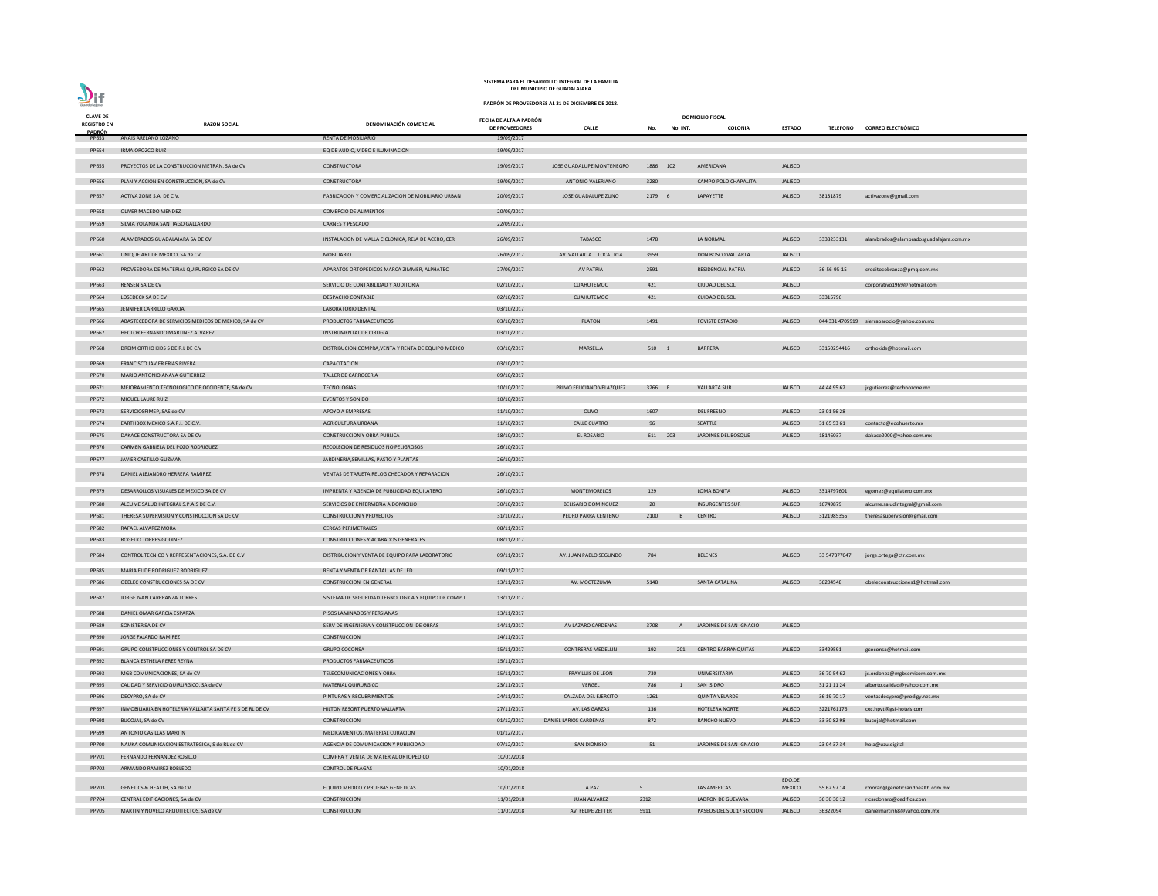# $\sum_{\text{Goodalajara}}$

## **SISTEMA PARA EL DESARROLLO INTEGRAL DE LA FAMILIA DEL MUNICIPIO DE GUADALAJARA**

| <b>CLAVE DE</b>              |                                                           |                                                      | FECHA DE ALTA A PADRÓN |                           |                |              | <b>DOMICILIO FISCAL</b>    |                         |                 |                                            |
|------------------------------|-----------------------------------------------------------|------------------------------------------------------|------------------------|---------------------------|----------------|--------------|----------------------------|-------------------------|-----------------|--------------------------------------------|
| <b>REGISTRO EN</b><br>PADRÓN | <b>RAZON SOCIAL</b>                                       | <b>DENOMINACIÓN COMERCIAL</b>                        | <b>DE PROVEEDORES</b>  | <b>CALLE</b>              | No.            | No. INT.     | <b>COLONIA</b>             | <b>ESTADO</b>           | <b>TELEFONO</b> | <b>CORREO ELECTRÓNICO</b>                  |
| PP653                        | ANAIS ARELANO LOZANO                                      | <b>RENTA DE MOBILIARIO</b>                           | 19/09/2017             |                           |                |              |                            |                         |                 |                                            |
| PP654                        | IRMA OROZCO RUIZ                                          | EQ DE AUDIO, VIDEO E ILUMINACION                     | 19/09/2017             |                           |                |              |                            |                         |                 |                                            |
| <b>PP655</b>                 | PROYECTOS DE LA CONSTRUCCION METRAN, SA de CV             | CONSTRUCTORA                                         | 19/09/2017             | JOSE GUADALUPE MONTENEGRO | 1886 102       |              | AMERICANA                  | JALISCO                 |                 |                                            |
|                              |                                                           |                                                      |                        |                           |                |              |                            |                         |                 |                                            |
| PP656                        | PLAN Y ACCION EN CONSTRUCCION, SA de CV                   | CONSTRUCTORA                                         | 19/09/2017             | ANTONIO VALERIANO         | 3280           |              | CAMPO POLO CHAPALITA       | <b>JALISCO</b>          |                 |                                            |
| <b>PP657</b>                 | ACTIVA ZONE S.A. DE C.V.                                  | FABRICACION Y COMERCIALIZACION DE MOBILIARIO URBAN   | 20/09/2017             | JOSE GUADALUPE ZUNO       | 2179 6         |              | LAPAYETTE                  | <b>JALISCO</b>          | 38131879        | activazone@gmail.com                       |
| <b>PP658</b>                 | OLIVER MACEDO MENDEZ                                      | <b>COMERCIO DE ALIMENTOS</b>                         | 20/09/2017             |                           |                |              |                            |                         |                 |                                            |
| PP659                        | SILVIA YOLANDA SANTIAGO GALLARDO                          | <b>CARNES Y PESCADO</b>                              | 22/09/2017             |                           |                |              |                            |                         |                 |                                            |
| PP660                        | ALAMBRADOS GUADALAJARA SA DE CV                           |                                                      |                        | TABASCO                   | 1478           |              | LA NORMAL                  | <b>JALISCO</b>          | 3338233131      |                                            |
|                              |                                                           | INSTALACION DE MALLA CICLONICA, REJA DE ACERO, CER   | 26/09/2017             |                           |                |              |                            |                         |                 | alambrados@alambradosguadalajara.com.mx    |
| PP661                        | UNIQUE ART DE MEXICO, SA de CV                            | <b>MOBILIARIO</b>                                    | 26/09/2017             | AV. VALLARTA LOCAL R14    | 3959           |              | DON BOSCO VALLARTA         | <b>JALISCO</b>          |                 |                                            |
| PP662                        | PROVEEDORA DE MATERIAL QUIRURGICO SA DE CV                | APARATOS ORTOPEDICOS MARCA ZIMMER, ALPHATEC          | 27/09/2017             | <b>AV PATRIA</b>          | 2591           |              | RESIDENCIAL PATRIA         | <b>JALISCO</b>          | 36-56-95-15     | creditocobranza@pmq.com.mx                 |
| PP663                        | <b>RENSEN SA DE CV</b>                                    | SERVICIO DE CONTABILIDAD Y AUDITORIA                 | 02/10/2017             | <b>CUAHUTEMOC</b>         | 421            |              | CIUDAD DEL SOL             | <b>JALISCO</b>          |                 | corporativo1969@hotmail.com                |
| PP664                        | <b>LOSEDECK SA DE CV</b>                                  | <b>DESPACHO CONTABLE</b>                             | 02/10/2017             | CUAHUTEMOC                | 421            |              | <b>CUIDAD DEL SOL</b>      | <b>JALISCO</b>          | 33315796        |                                            |
| <b>PP665</b>                 | JENNIFER CARRILLO GARCIA                                  | LABORATORIO DENTAL                                   | 03/10/2017             |                           |                |              |                            |                         |                 |                                            |
| PP666                        | ABASTECEDORA DE SERVICIOS MEDICOS DE MEXICO, SA de CV     | PRODUCTOS FARMACEUTICOS                              | 03/10/2017             | <b>PLATON</b>             | 1491           |              | <b>FOVISTE ESTADIO</b>     | <b>JALISCO</b>          |                 | 044 331 4705919 sierrabarocio@yahoo.com.mx |
| PP667                        | HECTOR FERNANDO MARTINEZ ALVAREZ                          | INSTRUMENTAL DE CIRUGIA                              | 03/10/2017             |                           |                |              |                            |                         |                 |                                            |
|                              |                                                           |                                                      |                        |                           |                |              |                            |                         |                 |                                            |
| <b>PP668</b>                 | DREIM ORTHO KIDS S DE R.L DE C.V                          | DISTRIBUCION, COMPRA, VENTA Y RENTA DE EQUIPO MEDICO | 03/10/2017             | MARSELLA                  | 510 1          |              | <b>BARRERA</b>             | <b>JALISCO</b>          | 33150254416     | orthokids@hotmail.com                      |
| PP669                        | FRANCISCO JAVIER FRIAS RIVERA                             | CAPACITACION                                         | 03/10/2017             |                           |                |              |                            |                         |                 |                                            |
| PP670                        | MARIO ANTONIO ANAYA GUTIERREZ                             | TALLER DE CARROCERIA                                 | 09/10/2017             |                           |                |              |                            |                         |                 |                                            |
| PP671                        | MEJORAMIENTO TECNOLOGICO DE OCCIDENTE, SA de CV           | TECNOLOGIAS                                          | 10/10/2017             | PRIMO FELICIANO VELAZQUEZ | 3266 F         |              | <b>VALLARTA SUR</b>        | <b>JALISCO</b>          | 44 44 95 62     | jcgutierrez@technozone.mx                  |
| PP672                        | MIGUEL LAURE RUIZ                                         | <b>EVENTOS Y SONIDO</b>                              | 10/10/2017             |                           |                |              |                            |                         |                 |                                            |
| PP673                        | SERVICIOSFIMEP, SAS de CV                                 | APOYO A EMPRESAS                                     | 11/10/2017             | OLIVO                     | 1607           |              | <b>DEL FRESNO</b>          | <b>JALISCO</b>          | 23 01 56 28     |                                            |
| PP674                        | EARTHBOX MEXICO S.A.P.I. DE C.V.                          | AGRICULTURA URBANA                                   | 11/10/2017             | <b>CALLE CUATRO</b>       | 96             |              | SEATTLE                    | <b>JALISCO</b>          | 31 65 53 61     | contacto@ecohuerto.mx                      |
| <b>PP675</b>                 | DAKACE CONSTRUCTORA SA DE CV                              | <b>CONSTRUCCION Y OBRA PUBLICA</b>                   | 18/10/2017             | <b>EL ROSARIO</b>         | 611 203        |              | JARDINES DEL BOSQUE        | <b>JALISCO</b>          | 18146037        | dakace2000@yahoo.com.mx                    |
| PP676                        | CARMEN GABRIELA DEL POZO RODRIGUEZ                        | RECOLECION DE RESIDUOS NO PELIGROSOS                 | 26/10/2017             |                           |                |              |                            |                         |                 |                                            |
| PP677                        | JAVIER CASTILLO GUZMAN                                    | JARDINERIA, SEMILLAS, PASTO Y PLANTAS                | 26/10/2017             |                           |                |              |                            |                         |                 |                                            |
| <b>PP678</b>                 | DANIEL ALEJANDRO HERRERA RAMIREZ                          | VENTAS DE TARJETA RELOG CHECADOR Y REPARACION        | 26/10/2017             |                           |                |              |                            |                         |                 |                                            |
|                              | DESARROLLOS VISUALES DE MEXICO SA DE CV                   |                                                      |                        |                           |                |              |                            |                         |                 |                                            |
| PP679                        |                                                           | IMPRENTA Y AGENCIA DE PUBLICIDAD EQUILATERO          | 26/10/2017             | <b>MONTEMORELOS</b>       | 129            |              | <b>LOMA BONITA</b>         | <b>JALISCO</b>          | 3314797601      | egomez@equilatero.com.mx                   |
| <b>PP680</b>                 | ALCUME SALUD INTEGRAL S.P.A.S DE C.V.                     | SERVICIOS DE ENFERMERIA A DOMICILIO                  | 30/10/2017             | BELISARIO DOMINGUEZ       | 20             |              | <b>INSURGENTES SUR</b>     | <b>JALISCO</b>          | 16749879        | alcume.saludintegral@gmail.com             |
| PP681                        | THERESA SUPERVISION Y CONSTRUCCION SA DE CV               | <b>CONSTRUCCION Y PROYECTOS</b>                      | 31/10/2017             | PEDRO PARRA CENTENO       | 2100           |              | <b>CENTRO</b>              | <b>JALISCO</b>          | 3121985355      | theresasupervision@gmail.com               |
| PP682                        | RAFAEL ALVAREZ MORA                                       | <b>CERCAS PERIMETRALES</b>                           | 08/11/2017             |                           |                |              |                            |                         |                 |                                            |
| PP683                        | ROGELIO TORRES GODINEZ                                    | CONSTRUCCIONES Y ACABADOS GENERALES                  | 08/11/2017             |                           |                |              |                            |                         |                 |                                            |
| PP684                        | CONTROL TECNICO Y REPRESENTACIONES, S.A. DE C.V.          | DISTRIBUCION Y VENTA DE EQUIPO PARA LABORATORIO      | 09/11/2017             | AV. JUAN PABLO SEGUNDO    | 784            |              | <b>BELENES</b>             | <b>JALISCO</b>          | 33 547377047    | jorge.ortega@ctr.com.mx                    |
| <b>PP685</b>                 | MARIA ELIDE RODRIGUEZ RODRIGUEZ                           | RENTA Y VENTA DE PANTALLAS DE LED                    | 09/11/2017             |                           |                |              |                            |                         |                 |                                            |
| PP686                        | OBELEC CONSTRUCCIONES SA DE CV                            | <b>CONSTRUCCION EN GENERAL</b>                       | 13/11/2017             | AV. MOCTEZUMA             | 5148           |              | <b>SANTA CATALINA</b>      | <b>JALISCO</b>          | 36204548        | obeleconstrucciones1@hotmail.com           |
| PP687                        | JORGE IVAN CARRRANZA TORRES                               | SISTEMA DE SEGURIDAD TEGNOLOGICA Y EQUIPO DE COMPU   | 13/11/2017             |                           |                |              |                            |                         |                 |                                            |
|                              |                                                           |                                                      |                        |                           |                |              |                            |                         |                 |                                            |
| <b>PP688</b>                 | DANIEL OMAR GARCIA ESPARZA                                | PISOS LAMINADOS Y PERSIANAS                          | 13/11/2017             |                           |                |              |                            |                         |                 |                                            |
| PP689                        | SONISTER SA DE CV                                         | SERV DE INGENIERIA Y CONSTRUCCION DE OBRAS           | 14/11/2017             | AV LAZARO CARDENAS        | 3708           | $\mathsf{A}$ | JARDINES DE SAN IGNACIO    | <b>JALISCO</b>          |                 |                                            |
| PP690                        | JORGE FAJARDO RAMIREZ                                     | CONSTRUCCION                                         | 14/11/2017             |                           |                |              |                            |                         |                 |                                            |
| PP691                        | GRUPO CONSTRUCCIONES Y CONTROL SA DE CV                   | <b>GRUPO COCONSA</b>                                 | 15/11/2017             | <b>CONTRERAS MEDELLIN</b> | 192            | 201          | <b>CENTRO BARRANQUITAS</b> | <b>JALISCO</b>          | 33429591        | gcoconsa@hotmail.com                       |
| PP692                        | BLANCA ESTHELA PEREZ REYNA                                | PRODUCTOS FARMACEUTICOS                              | 15/11/2017             |                           |                |              |                            |                         |                 |                                            |
| PP693                        | MGB COMUNICACIONES, SA de CV                              | TELECOMUNICACIONES Y OBRA                            | 15/11/2017             | <b>FRAY LUIS DE LEON</b>  | 730            |              | UNIVERSITARIA              | <b>JALISCO</b>          | 36 70 54 62     | jc.ordonez@mgbservicom.com.mx              |
| <b>PP695</b>                 | CALIDAD Y SERVICIO QUIRURGICO, SA de CV                   | MATERIAL QUIRURGICO                                  | 23/11/2017             | VERGEL                    | 786            |              | SAN ISIDRO                 | <b>JALISCO</b>          | 31 21 11 24     | alberto.calidad@yahoo.com.mx               |
| PP696                        | DECYPRO, SA de CV                                         | PINTURAS Y RECUBRIMIENTOS                            | 24/11/2017             | CALZADA DEL EJERCITO      | 1261           |              | <b>QUINTA VELARDE</b>      | <b>JALISCO</b>          | 36 19 70 17     | ventasdecypro@prodigy.net.mx               |
| PP697                        | INMOBILIARIA EN HOTELERIA VALLARTA SANTA FE S DE RL DE CV | HILTON RESORT PUERTO VALLARTA                        | 27/11/2017             | AV. LAS GARZAS            | 136            |              | <b>HOTELERA NORTE</b>      | <b>JALISCO</b>          | 3221761176      | cxc.hpvt@gsf-hotels.com                    |
| <b>PP698</b>                 | BUCOJAL, SA de CV                                         | CONSTRUCCION                                         | 01/12/2017             | DANIEL LARIOS CARDENAS    | 872            |              | RANCHO NUEVO               | <b>JALISCO</b>          | 33 30 82 98     | bucojal@hotmail.com                        |
| PP699                        | ANTONIO CASILLAS MARTIN                                   | MEDICAMENTOS, MATERIAL CURACION                      | 01/12/2017             |                           |                |              |                            |                         |                 |                                            |
| <b>PP700</b>                 | NAUKA COMUNICACION ESTRATEGICA, S de RL de CV             | AGENCIA DE COMUNICACION Y PUBLICIDAD                 | 07/12/2017             | <b>SAN DIONISIO</b>       | 51             |              | JARDINES DE SAN IGNACIO    | <b>JALISCO</b>          | 23 04 37 34     | hola@uzu.digital                           |
| PP701                        | FERNANDO FERNANDEZ ROSILLO                                | COMPRA Y VENTA DE MATERIAL ORTOPEDICO                | 10/01/2018             |                           |                |              |                            |                         |                 |                                            |
| PP702                        | ARMANDO RAMIREZ ROBLEDO                                   | <b>CONTROL DE PLAGAS</b>                             | 10/01/2018             |                           |                |              |                            |                         |                 |                                            |
| PP703                        | GENETICS & HEALTH, SA de CV                               | EQUIPO MEDICO Y PRUEBAS GENETICAS                    | 10/01/2018             | LA PAZ                    | 5 <sup>5</sup> |              | LAS AMERICAS               | EDO.DE<br><b>MEXICO</b> | 55 62 97 14     | rmoran@geneticsandhealth.com.mx            |
| PP704                        | CENTRAL EDIFICACIONES, SA de CV                           | CONSTRUCCION                                         | 11/01/2018             | JUAN ALVAREZ              | 2312           |              | LADRON DE GUEVARA          | <b>JALISCO</b>          | 36 30 36 12     | ricardoharo@cedifica.com                   |
| PP705                        | MARTIN Y NOVELO ARQUITECTOS, SA de CV                     | CONSTRUCCION                                         | 11/01/2018             | AV. FELIPE ZETTER         | 5911           |              | PASEOS DEL SOL 1ª SECCION  | <b>JALISCO</b>          | 36322094        | danielmartin68@yahoo.com.mx                |
|                              |                                                           |                                                      |                        |                           |                |              |                            |                         |                 |                                            |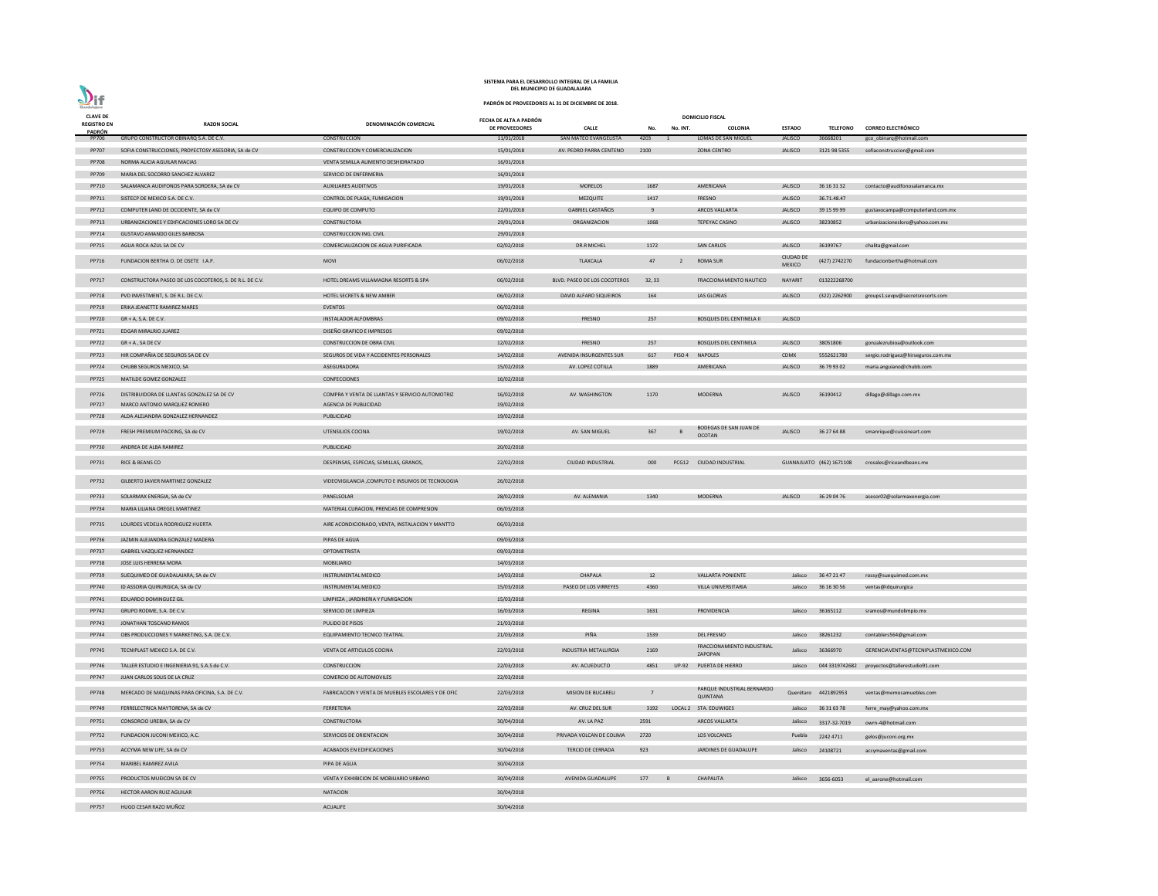| <b>CLAVE DE</b><br><b>REGISTRO EN</b> | <b>RAZON SOCIAL</b>                                                    | DENOMINACIÓN COMERCIAL                                   | FECHA DE ALTA A PADRÓN   |                                            |                |                | <b>DOMICILIO FISCAL</b>                 |                                  |                            |                                                      |
|---------------------------------------|------------------------------------------------------------------------|----------------------------------------------------------|--------------------------|--------------------------------------------|----------------|----------------|-----------------------------------------|----------------------------------|----------------------------|------------------------------------------------------|
| PADRÓN                                |                                                                        |                                                          | DE PROVEEDORES           | <b>CALLE</b>                               | No.            | No. INT.       | <b>COLONIA</b>                          | <b>ESTADO</b>                    | <b>TELEFONO</b>            | <b>CORREO ELECTRÓNICO</b>                            |
| PP706                                 | GRUPO CONSTRUCTOR OBINARQ S.A. DE C.V.                                 | CONSTRUCCION                                             | 11/01/2018               | SAN MATEO EVANGELISTA                      | 4203           |                | <b>LOMAS DE SAN MIGUEL</b>              | <b>JALISCO</b>                   | 36668201                   | gco_obinarq@hotmail.com                              |
| <b>PP707</b>                          | SOFIA CONSTRUCCIONES, PROYECTOSY ASESORIA, SA de CV                    | CONSTRUCCION Y COMERCIALIZACION                          | 15/01/2018               | AV. PEDRO PARRA CENTENO                    | 2100           |                | <b>ZONA CENTRO</b>                      | <b>JALISCO</b>                   | 3121 98 5355               | sofiaconstruccion@gmail.com                          |
| <b>PP708</b>                          | NORMA ALICIA AGUILAR MACIAS                                            | VENTA SEMILLA ALIMENTO DESHIDRATADO                      | 16/01/2018               |                                            |                |                |                                         |                                  |                            |                                                      |
| PP709                                 | MARIA DEL SOCORRO SANCHEZ ALVAREZ                                      | SERVICIO DE ENFERMERIA                                   | 16/01/2018               |                                            |                |                |                                         |                                  |                            |                                                      |
| PP710                                 | SALAMANCA AUDIFONOS PARA SORDERA, SA de CV                             | <b>AUXILIARES AUDITIVOS</b>                              | 19/01/2018               | <b>MORELOS</b>                             | 1687           |                | AMERICANA                               | <b>JALISCO</b><br><b>JALISCO</b> | 36 16 31 32<br>36.71.48.47 | contacto@audifonosalamanca.mx                        |
| PP711<br>PP712                        | SISTECP DE MEXICO S.A. DE C.V.<br>COMPUTER LAND DE OCCIDENTE, SA de CV | CONTROL DE PLAGA, FUMIGACION<br><b>EQUIPO DE COMPUTO</b> | 19/01/2018<br>22/01/2018 | <b>MEZQUITE</b><br><b>GABRIEL CASTAÑOS</b> | 1417<br>-9     |                | <b>FRESNO</b><br><b>ARCOS VALLARTA</b>  | <b>JALISCO</b>                   | 39 15 99 99                | gustavocampa@computerland.com.mx                     |
| PP713                                 | URBANIZACIONES Y EDIFICACIONES LORO SA DE CV                           | CONSTRUCTORA                                             | 29/01/2018               | ORGANIZACION                               | 1068           |                | TEPEYAC CASINO                          | <b>JALISCO</b>                   | 38230852                   | urbanizacionesloro@yahoo.com.mx                      |
| PP714                                 | GUSTAVO AMANDO GILES BARBOSA                                           | CONSTRUCCION ING. CIVIL                                  | 29/01/2018               |                                            |                |                |                                         |                                  |                            |                                                      |
| PP715                                 | AGUA ROCA AZUL SA DE CV                                                | COMERCIALIZACION DE AGUA PURIFICADA                      | 02/02/2018               | <b>DR.R MICHEL</b>                         | 1172           |                | <b>SAN CARLOS</b>                       | <b>JALISCO</b>                   | 36199767                   | chalita@gmail.com                                    |
| PP716                                 | FUNDACION BERTHA O. DE OSETE I.A.P.                                    | <b>MOVI</b>                                              | 06/02/2018               | <b>TLAXCALA</b>                            | 47             | 2              | <b>ROMA SUR</b>                         | <b>CIUDAD DE</b>                 | (427) 2742270              | fundacionbertha@hotmail.com                          |
|                                       |                                                                        |                                                          |                          |                                            |                |                |                                         | <b>MEXICO</b>                    |                            |                                                      |
| PP717                                 | CONSTRUCTORA PASEO DE LOS COCOTEROS, S. DE R.L. DE C.V.                | HOTEL DREAMS VILLAMAGNA RESORTS & SPA                    | 06/02/2018               | BLVD. PASEO DE LOS COCOTEROS               | 32, 33         |                | <b>FRACCIONAMIENTO NAUTICO</b>          | <b>NAYARIT</b>                   | 013222268700               |                                                      |
| PP718                                 | PVD INVESTMENT, S. DE R.L. DE C.V.                                     | <b>HOTEL SECRETS &amp; NEW AMBER</b>                     | 06/02/2018               | DAVID ALFARO SIQUEIROS                     | 164            |                | LAS GLORIAS                             | <b>JALISCO</b>                   | (322) 2262900              | groups1.sevpv@secretsresorts.com                     |
| PP719                                 | ERIKA JEANETTE RAMIREZ MARES                                           | <b>EVENTOS</b>                                           | 06/02/2018               |                                            |                |                |                                         |                                  |                            |                                                      |
| <b>PP720</b>                          | $GR + A$ , S.A. DE C.V.                                                | <b>INSTALADOR ALFOMBRAS</b>                              | 09/02/2018               | FRESNO                                     | 257            |                | <b>BOSQUES DEL CENTINELA II</b>         | <b>JALISCO</b>                   |                            |                                                      |
| PP721                                 | EDGAR MIRALRIO JUAREZ                                                  | DISEÑO GRAFICO E IMPRESOS                                | 09/02/2018               |                                            |                |                |                                         |                                  |                            |                                                      |
| <b>PP722</b>                          | $GR + A$ , SA DE CV                                                    | <b>CONSTRUCCION DE OBRA CIVIL</b>                        | 12/02/2018               | FRESNO                                     | 257            |                | <b>BOSQUES DEL CENTINELA</b>            | <b>JALISCO</b>                   | 38051806                   | gonzalezrubioa@outlook.com                           |
| <b>PP723</b>                          | HIR COMPAÑIA DE SEGUROS SA DE CV                                       | SEGUROS DE VIDA Y ACCIDENTES PERSONALES                  | 14/02/2018               | <b>AVENIDA INSURGENTES SUR</b>             | 617            | PISO 4         | <b>NAPOLES</b>                          | <b>CDMX</b>                      | 5552621780                 | sergio.rodriguez@hirseguros.com.mx                   |
| PP724                                 | CHUBB SEGUROS MEXICO, SA                                               | ASEGURADORA                                              | 15/02/2018               | AV. LOPEZ COTILLA                          | 1889           |                | AMERICANA                               | <b>JALISCO</b>                   | 36 79 93 02                | maria.anguiano@chubb.com                             |
| <b>PP725</b>                          | MATILDE GOMEZ GONZALEZ                                                 | CONFECCIONES                                             | 16/02/2018               |                                            |                |                |                                         |                                  |                            |                                                      |
| <b>PP726</b>                          | DISTRIBUIDORA DE LLANTAS GONZALEZ SA DE CV                             | COMPRA Y VENTA DE LLANTAS Y SERVICIO AUTOMOTRIZ          | 16/02/2018               | AV. WASHINGTON                             | 1170           |                | <b>MODERNA</b>                          | <b>JALISCO</b>                   | 36190412                   | dillago@dillago.com.mx                               |
| <b>PP727</b>                          | MARCO ANTONIO MARQUEZ ROMERO                                           | AGENCIA DE PUBLICIDAD                                    | 19/02/2018               |                                            |                |                |                                         |                                  |                            |                                                      |
| <b>PP728</b>                          | ALDA ALEJANDRA GONZALEZ HERNANDEZ                                      | PUBLICIDAD                                               | 19/02/2018               |                                            |                |                |                                         |                                  |                            |                                                      |
| PP729                                 | FRESH PREMIUM PACKING, SA de CV                                        | UTENSILIOS COCINA                                        | 19/02/2018               | AV. SAN MIGUEL                             | 367            |                | BODEGAS DE SAN JUAN DE<br><b>OCOTAN</b> | <b>JALISCO</b>                   | 36 27 64 88                | smanrique@cuissineart.com                            |
| PP730                                 | ANDREA DE ALBA RAMIREZ                                                 | PUBLICIDAD                                               | 20/02/2018               |                                            |                |                |                                         |                                  |                            |                                                      |
| PP731                                 | RICE & BEANS CO                                                        | DESPENSAS, ESPECIAS, SEMILLAS, GRANOS,                   | 22/02/2018               | <b>CIUDAD INDUSTRIAL</b>                   | 000            |                | PCG12 CIUDAD INDUSTRIAL                 |                                  | GUANAJUATO (462) 1671108   | crosales@riceandbeans.mx                             |
| PP732                                 | GILBERTO JAVIER MARTINEZ GONZALEZ                                      | VIDEOVIGILANCIA , COMPUTO E INSUMOS DE TECNOLOGIA        | 26/02/2018               |                                            |                |                |                                         |                                  |                            |                                                      |
| PP733                                 | SOLARMAX ENERGIA, SA de CV                                             | PANELSOLAR                                               | 28/02/2018               | AV. ALEMANIA                               | 1340           |                | <b>MODERNA</b>                          | <b>JALISCO</b>                   | 36 29 04 76                | asesor02@solarmaxenergia.com                         |
| PP734                                 | MARIA LILIANA OREGEL MARTINEZ                                          | MATERIAL CURACION, PRENDAS DE COMPRESION                 | 06/03/2018               |                                            |                |                |                                         |                                  |                            |                                                      |
| PP735                                 | LOURDES VEDELIA RODRIGUEZ HUERTA                                       | AIRE ACONDICIONADO, VENTA, INSTALACION Y MANTTO          | 06/03/2018               |                                            |                |                |                                         |                                  |                            |                                                      |
| PP736                                 | JAZMIN ALEJANDRA GONZALEZ MADERA                                       | PIPAS DE AGUA                                            | 09/03/2018               |                                            |                |                |                                         |                                  |                            |                                                      |
| <b>PP737</b>                          | <b>GABRIEL VAZQUEZ HERNANDEZ</b>                                       | OPTOMETRISTA                                             | 09/03/2018               |                                            |                |                |                                         |                                  |                            |                                                      |
| <b>PP738</b>                          | JOSE LUIS HERRERA MORA                                                 | <b>MOBILIARIO</b>                                        | 14/03/2018               |                                            |                |                |                                         |                                  |                            |                                                      |
| PP739                                 | SUEQUIMED DE GUADALAJARA, SA de CV                                     | INSTRUMENTAL MEDICO                                      | 14/03/2018               | CHAPALA                                    | 12             |                | <b>VALLARTA PONIENTE</b>                | Jalisco                          | 36 47 21 47                | rossy@suequimed.com.mx                               |
| PP740                                 | ID ASSORIA QUIRURGICA, SA de CV                                        | INSTRUMENTAL MEDICO                                      | 15/03/2018               | PASEO DE LOS VIRREYES                      | 4360           |                | VILLA UNIVERSITARIA                     | Jalisco                          | 36 16 30 56                | ventas@idquirurgica                                  |
| PP741                                 | EDUARDO DOMINGUEZ GIL                                                  | LIMPIEZA, JARDINERIA Y FUMIGACION                        | 15/03/2018               |                                            |                |                |                                         |                                  |                            |                                                      |
| PP742                                 | GRUPO RODME, S.A. DE C.V.                                              | SERVICIO DE LIMPIEZA                                     | 16/03/2018               | <b>REGINA</b>                              | 1631           |                | PROVIDENCIA                             | Jalisco                          | 36165112                   | sramos@mundolimpio.mx                                |
| PP743                                 | JONATHAN TOSCANO RAMOS                                                 | PULIDO DE PISOS                                          | 21/03/2018               |                                            |                |                |                                         |                                  |                            |                                                      |
| PP744                                 | OBS PRODUCCIONES Y MARKETING, S.A. DE C.V.                             | EQUIPAMIENTO TECNICO TEATRAL                             | 21/03/2018               | PIÑA                                       | 1539           |                | <b>DEL FRESNO</b>                       | Jalisco                          | 38261232                   | contablers564@gmail.com                              |
| PP745                                 | TECNIPLAST MEXICO S.A. DE C.V.                                         | VENTA DE ARTICULOS COCINA                                | 22/03/2018               | <b>INDUSTRIA METALURGIA</b>                | 2169           |                | FRACCIONAMIENTO INDUSTRIAL<br>ZAPOPAN   | Jalisco                          | 36366970                   | GERENCIAVENTAS@TECNIPLASTMEXICO.COM                  |
| PP746                                 | TALLER ESTUDIO E INGENIERIA 91, S.A.S de C.V.                          | CONSTRUCCION                                             | 22/03/2018               | AV. ACUEDUCTO                              | 4851           |                | UP-92 PUERTA DE HIERRO                  |                                  |                            | Jalisco 044 3319742682 proyectos@tallerestudio91.com |
| PP747                                 | JUAN CARLOS SOLIS DE LA CRUZ                                           | COMERCIO DE AUTOMOVILES                                  | 22/03/2018               |                                            |                |                |                                         |                                  |                            |                                                      |
| PP748                                 | MERCADO DE MAQUINAS PARA OFICINA, S.A. DE C.V.                         | FABRICACION Y VENTA DE MUEBLES ESCOLARES Y DE OFIC       | 22/03/2018               | <b>MISION DE BUCARELI</b>                  | $\overline{7}$ |                | PARQUE INDUSTRIAL BERNARDO<br>QUINTANA  |                                  | Querétaro 4421892953       | ventas@memosamuebles.com                             |
| PP749                                 | FERRELECTRICA MAYTORENA, SA de CV                                      | FERRETERIA                                               | 22/03/2018               | AV. CRUZ DEL SUR                           | 3192           |                | LOCAL 2 STA. EDUWIGES                   | Jalisco                          | 36 31 63 78                | ferre_may@yahoo.com.mx                               |
| PP751                                 | CONSORCIO UREBIA, SA de CV                                             | CONSTRUCTORA                                             | 30/04/2018               | AV. LA PAZ                                 | 2591           |                | <b>ARCOS VALLARTA</b>                   | Jalisco                          | 3317-32-7019               | owrn-4@hotmail.com                                   |
| <b>PP752</b>                          | FUNDACION JUCONI MEXICO, A.C.                                          | SERVICIOS DE ORIENTACION                                 | 30/04/2018               | PRIVADA VOLCAN DE COLIMA                   | 2720           |                | LOS VOLCANES                            | Puebla                           | 2242 4711                  | gelos@juconi.org.mx                                  |
| <b>PP753</b>                          | ACCYMA NEW LIFE, SA de CV                                              | ACABADOS EN EDIFICACIONES                                | 30/04/2018               | <b>TERCIO DE CERRADA</b>                   | 923            |                | JARDINES DE GUADALUPE                   | Jalisco                          | 24108721                   | accymaventas@gmail.com                               |
| PP754                                 | MARIBEL RAMIREZ AVILA                                                  | PIPA DE AGUA                                             | 30/04/2018               |                                            |                |                |                                         |                                  |                            |                                                      |
| <b>PP755</b>                          | PRODUCTOS MUEICON SA DE CV                                             | VENTA Y EXHIBICION DE MOBILIARIO URBANO                  | 30/04/2018               | AVENIDA GUADALUPE                          | 177            | $\overline{B}$ | CHAPALITA                               | Jalisco                          | 3656-6053                  | el_aarone@hotmail.com                                |
| PP756                                 | HECTOR AARON RUIZ AGUILAR                                              | <b>NATACION</b>                                          | 30/04/2018               |                                            |                |                |                                         |                                  |                            |                                                      |
| <b>PP757</b>                          | HUGO CESAR RAZO MUÑOZ                                                  | <b>ACUALIFE</b>                                          | 30/04/2018               |                                            |                |                |                                         |                                  |                            |                                                      |

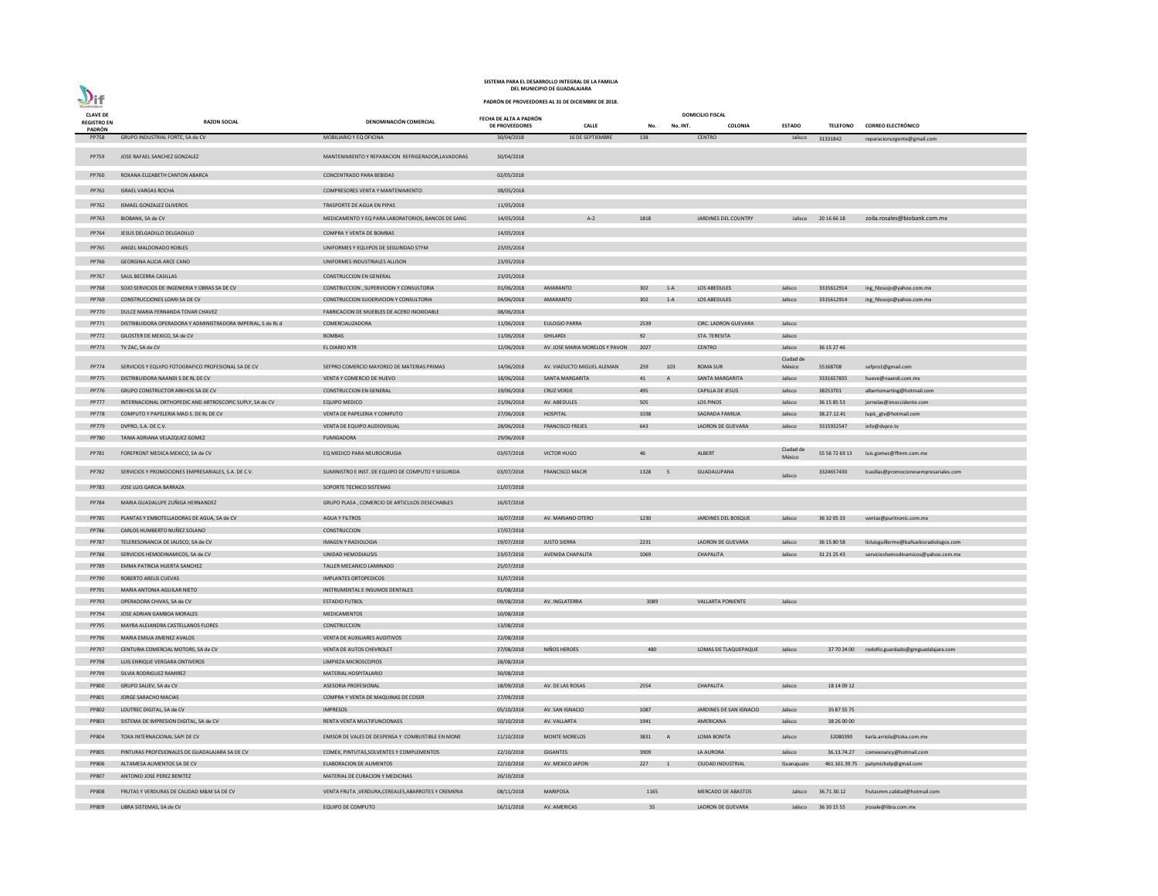|                                | DEL MUNICIPIO DE GUADALAJARA                                 |                                                       |                                          |                                                   |        |          |                             |                     |                 |                                                |
|--------------------------------|--------------------------------------------------------------|-------------------------------------------------------|------------------------------------------|---------------------------------------------------|--------|----------|-----------------------------|---------------------|-----------------|------------------------------------------------|
| $\mathbf{V}$ if<br>Guadalajara |                                                              |                                                       |                                          | PADRÓN DE PROVEEDORES AL 31 DE DICIEMBRE DE 2018. |        |          |                             |                     |                 |                                                |
| <b>CLAVE DE</b>                |                                                              |                                                       |                                          |                                                   |        |          | <b>DOMICILIO FISCAL</b>     |                     |                 |                                                |
| <b>REGISTRO EN</b>             | <b>RAZON SOCIAL</b>                                          | DENOMINACIÓN COMERCIAL                                | FECHA DE ALTA A PADRÓN<br>DE PROVEEDORES | <b>CALLE</b>                                      | No.    | No. INT. | <b>COLONIA</b>              | <b>ESTADO</b>       | <b>TELEFONO</b> | <b>CORREO ELECTRÓNICO</b>                      |
| PADRÓN<br><b>PP758</b>         | GRUPO INDUSTRIAL FORTE, SA de CV                             | MOBILIARIO Y EQ OFICINA                               | 30/04/2018                               | 16 DE SEPTIEMBRE                                  | 138    |          | <b>CENTRO</b>               | Jalisco             | 31331842        | reparacionurgente@gmail.com                    |
| PP759                          | JOSE RAFAEL SANCHEZ GONZALEZ                                 | MANTENIMIENTO Y REPARACION REFRIGERADOR, LAVADORAS    | 30/04/2018                               |                                                   |        |          |                             |                     |                 |                                                |
| <b>PP760</b>                   | ROXANA ELIZABETH CANTON ABARCA                               | <b>CONCENTRADO PARA BEBIDAS</b>                       | 02/05/2018                               |                                                   |        |          |                             |                     |                 |                                                |
| PP761                          | <b>ISRAEL VARGAS ROCHA</b>                                   | COMPRESORES VENTA Y MANTENIMIENTO                     | 08/05/2018                               |                                                   |        |          |                             |                     |                 |                                                |
|                                |                                                              |                                                       |                                          |                                                   |        |          |                             |                     |                 |                                                |
| PP762                          | ISMAEL GONZALEZ OLIVEROS                                     | TRASPORTE DE AGUA EN PIPAS                            | 11/05/2018                               |                                                   |        |          |                             |                     |                 |                                                |
| PP763                          | BIOBANK, SA de CV                                            | MEDICAMENTO Y EQ PARA LABORATORIOS, BANCOS DE SANG    | 14/05/2018                               | $A-2$                                             | 1818   |          | JARDINES DEL COUNTRY        | Jalisco             | 20 16 66 18     | zoila.rosales@biobank.com.mx                   |
| PP764                          | JESUS DELGADILLO DELGADILLO                                  | COMPRA Y VENTA DE BOMBAS                              | 14/05/2018                               |                                                   |        |          |                             |                     |                 |                                                |
| PP765                          | ANGEL MALDONADO ROBLES                                       | UNIFORMES Y EQUIPOS DE SEGURIDAD STYM                 | 23/05/2018                               |                                                   |        |          |                             |                     |                 |                                                |
| PP766                          | <b>GEORGINA ALICIA ARCE CANO</b>                             | UNIFORMES INDUSTRIALES ALLISON                        | 23/05/2018                               |                                                   |        |          |                             |                     |                 |                                                |
| PP767                          | SAUL BECERRA CASILLAS                                        | <b>CONSTRUCCION EN GENERAL</b>                        | 23/05/2018                               |                                                   |        |          |                             |                     |                 |                                                |
| <b>PP768</b>                   | SOJO SERVICIOS DE INGENIERIA Y OBRAS SA DE CV                | CONSTRUCCION, SUPERVICION Y CONSULTORIA               | 01/06/2018                               | AMARANTO                                          | 302    | $1-A$    | <b>LOS ABEDULES</b>         | Jalisco             | 3315612914      | ing_fdosojo@yahoo.com.mx                       |
| PP769                          | CONSTRUCCIONES LOARI SA DE CV                                | CONSTRUCCION SUOERVICION Y CONSULTORIA                | 04/06/2018                               | AMARANTO                                          | 302    | $1-A$    | LOS ABEDULES                | Jalisco             | 3315612914      | ing_fdosojo@yahoo.com.mx                       |
| <b>PP770</b>                   | DULCE MARIA FERNANDA TOVAR CHAVEZ                            | FABRICACION DE MUEBLES DE ACERO INOXIDABLE            | 08/06/2018                               |                                                   |        |          |                             |                     |                 |                                                |
| PP771                          | DISTRIBUIDORA OPERADORA Y ADMINISTRADORA IMPERIAL, S de RL d | COMERCIALIZADORA                                      | 11/06/2018                               | <b>EULOGIO PARRA</b>                              | 2539   |          | <b>CIRC. LADRON GUEVARA</b> | Jalisco             |                 |                                                |
| PP772                          | GILOSTER DE MEXICO, SA de CV                                 | <b>BOMBAS</b>                                         | 11/06/2018                               | <b>GHILARDI</b>                                   | 92     |          | STA. TERESITA               | Jalisco             |                 |                                                |
| PP773                          | TV ZAC, SA de CV                                             | <b>EL DIARIO NTR</b>                                  | 12/06/2018                               | AV. JOSE MARIA MORELOS Y PAVON                    | 2027   |          | <b>CENTRO</b>               | Jalisco             | 36 15 27 46     |                                                |
|                                |                                                              |                                                       |                                          |                                                   |        |          |                             | Ciudad de           |                 |                                                |
| PP774                          | SERVICIOS Y EQUIPO FOTOGRAFICO PROFESIONAL SA DE CV          | SEFPRO COMERCIO MAYOREO DE MATERIAS PRIMAS            | 14/06/2018                               | AV. VIADUCTO MIGUEL ALEMAN                        | 259    | 103      | <b>ROMA SUR</b>             | México              | 55168708        | sefpro1@gmail.com                              |
| <b>PP775</b>                   | DISTRIBUIDORA NAANDI S DE RL DE CV                           | VENTA Y COMERCIO DE HUEVO                             | 18/06/2018                               | SANTA MARGARITA                                   | 41     | A        | SANTA MARGARITA             | Jalisco             | 3331657835      | huevo@naandi.com.mx                            |
| PP776                          | GRUPO CONSTRUCTOR ARKHOS SA DE CV                            | <b>CONSTRUCCION EN GENERAL</b>                        | 19/06/2018                               | <b>CRUZ VERDE</b>                                 | 495    |          | <b>CAPILLA DE JESUS</b>     | Jalisco             | 38253701        | albertomarting@hotmail.com                     |
| <b>PP777</b>                   | INTERNACIONAL ORTHOPEDIC AND ARTROSCOPIC SUPLY, SA de CV     | <b>EQUIPO MEDICO</b>                                  | 21/06/2018                               | AV. ABEDULES                                      | 505    |          | LOS PINOS                   | Jalisco             | 36 15 85 53     | jornelas@imoccidente.com                       |
| <b>PP778</b>                   | COMPUTO Y PAPELERIA MAD S. DE RL DE CV                       | VENTA DE PAPELERIA Y COMPUTO                          | 27/06/2018                               | HOSPITAL                                          | 1038   |          | SAGRADA FAMILIA             | Jalisco             | 38.27.12.41     | lupís_gtv@hotmail.com                          |
| PP779                          | DVPRO, S.A. DE C.V.                                          | VENTA DE EQUIPO AUDIOVISUAL                           | 28/06/2018                               | <b>FRANCISCO FREJES</b>                           | 643    |          | LADRON DE GUEVARA           | Jalisco             | 3315932547      | info@dvpro.tv                                  |
| <b>PP780</b>                   | TANIA ADRIANA VELAZQUEZ GOMEZ                                | <b>FUMIGADORA</b>                                     | 29/06/2018                               |                                                   |        |          |                             |                     |                 |                                                |
| PP781                          | FOREFRONT MEDICA MEXICO, SA de CV                            | EQ MEDICO PARA NEUROCIRUGIA                           | 03/07/2018                               | <b>VICTOR HUGO</b>                                | 46     |          | ALBERT                      | Ciudad de<br>México | 55 56 72 69 13  | luis.gomez@ffmm.com.mx                         |
| PP782                          | SERVICIOS Y PROMOCIONES EMPRESARIALES, S.A. DE C.V.          | SUMINISTRO E INST. DE EQUIPO DE COMPUTO Y SEGURIDA    | 03/07/2018                               | <b>FRANCISCO MACIR</b>                            | 1328   | $-5$     | GUADALUPANA                 | Jalisco             | 3324657430      | lcasillas@promocionesempresariales.com         |
| PP783                          | JOSE LUIS GARCIA BARRAZA                                     | SOPORTE TECNICO SISTEMAS                              | 11/07/2018                               |                                                   |        |          |                             |                     |                 |                                                |
| PP784                          | MARIA GUADALUPE ZUÑIGA HERNANDEZ                             | GRUPO PLASA, COMERCIO DE ARTICULOS DESECHABLES        | 16/07/2018                               |                                                   |        |          |                             |                     |                 |                                                |
| <b>PP785</b>                   | PLANTAS Y EMBOTELLADORAS DE AGUA, SA de CV                   | <b>AGUA Y FILTROS</b>                                 | 16/07/2018                               | AV. MARIANO OTERO                                 | 1230   |          | JARDINES DEL BOSQUE         | Jalisco             | 36 32 05 33     | ventas@puritronic.com.mx                       |
| <b>PP786</b>                   | CARLOS HUMBERTO NUÑEZ SOLANO                                 | CONSTRUCCION                                          | 17/07/2018                               |                                                   |        |          |                             |                     |                 |                                                |
| <b>PP787</b>                   | TELERESONANCIA DE JALISCO, SA de CV                          | <b>IMAGEN Y RADIOLOGIA</b>                            | 19/07/2018                               | <b>JUSTO SIERRA</b>                               | 2231   |          | LADRON DE GUEVARA           | Jalisco             | 36 15 80 58     | licluisguillermo@bañuelosradiologos.com        |
| <b>PP788</b>                   | SERVICIOS HEMODINAMICOS, SA de CV                            | UNIDAD HEMODIALISIS                                   | 23/07/2018                               | AVENIDA CHAPALITA                                 | 1069   |          | <b>CHAPALITA</b>            | Jalisco             | 31 21 25 43     | servicioshemodinamicos@yahoo.com.mx            |
| PP789                          | EMMA PATRICIA HUERTA SANCHEZ                                 | TALLER MECANICO LAMINADO                              | 25/07/2018                               |                                                   |        |          |                             |                     |                 |                                                |
| PP790                          | ROBERTO ARELIS CUEVAS                                        | <b>IMPLANTES ORTOPEDICOS</b>                          | 31/07/2018                               |                                                   |        |          |                             |                     |                 |                                                |
| PP791                          | MARIA ANTONIA AGUILAR NIETO                                  | INSTRUMENTAL E INSUMOS DENTALES                       | 01/08/2018                               |                                                   |        |          |                             |                     |                 |                                                |
| PP793                          | OPERADORA CHIVAS, SA de CV                                   | <b>ESTADIO FUTBOL</b>                                 | 09/08/2018                               | AV. INGLATERRA                                    | 3089   |          | <b>VALLARTA PONIENTE</b>    | Jalisco             |                 |                                                |
| PP794                          | JOSE ADRIAN GAMBOA MORALES                                   | MEDICAMENTOS                                          | 10/08/2018                               |                                                   |        |          |                             |                     |                 |                                                |
| <b>PP795</b>                   | MAYRA ALEJANDRA CASTELLANOS FLORES                           | CONSTRUCCION                                          | 13/08/2018                               |                                                   |        |          |                             |                     |                 |                                                |
| PP796                          | MARIA EMILIA JIMENEZ AVALOS                                  | VENTA DE AUXILIARES AUDITIVOS                         | 22/08/2018                               |                                                   |        |          |                             |                     |                 |                                                |
| PP797                          | CENTURIA COMERCIAL MOTORS, SA de CV                          | VENTA DE AUTOS CHEVROLET                              | 27/08/2018                               | NIÑOS HEROES                                      | 480    |          | LOMAS DE TLAQUEPAQUE        | Jalisco             |                 | 37 70 24 00 rodolfo.guardado@gmguadalajara.com |
| PP798                          | LUIS ENRIQUE VERGARA ONTIVEROS                               | LIMPIEZA MICROSCOPIOS                                 | 28/08/2018                               |                                                   |        |          |                             |                     |                 |                                                |
| PP799                          | SILVIA RODRIGUEZ RAMIREZ                                     | MATERIAL HOSPITALARIO                                 | 30/08/2018                               |                                                   |        |          |                             |                     |                 |                                                |
| <b>PP800</b>                   | GRUPO SALIEV, SA de CV                                       | <b>ASESORIA PROFESIONAL</b>                           | 18/09/2018                               | AV. DE LAS ROSAS                                  | 2554   |          | CHAPALITA                   | Jalisco             | 18 14 09 12     |                                                |
| PP801                          | JORGE SARACHO MACIAS                                         | COMPRA Y VENTA DE MAQUINAS DE COSER                   | 27/09/2018                               |                                                   |        |          |                             |                     |                 |                                                |
| PP802                          | LOUTREC DIGITAL, SA de CV                                    | <b>IMPRESOS</b>                                       | 05/10/2018                               | AV. SAN IGNACIO                                   | 1087   |          | JARDINES DE SAN IGNACIO     | Jalisco             | 35 87 55 75     |                                                |
| PP803                          | SISTEMA DE IMPRESION DIGITAL, SA de CV                       | RENTA VENTA MULTIFUNCIONAES                           | 10/10/2018                               | AV. VALLARTA                                      | 1941   |          | AMERICANA                   | Jalisco             | 38 26 00 00     |                                                |
| PP804                          | TOKA INTERNACIONAL SAPI DE CV                                | EMISOR DE VALES DE DESPENSA Y COMBUSTIBLE EN MONE     | 11/10/2018                               | <b>MONTE MORELOS</b>                              | 3831 A |          | LOMA BONITA                 | Jalisco             | 32080390        | karla.arriola@toka.com.mx                      |
| <b>PP805</b>                   | PINTURAS PROFESIONALES DE GUADALAJARA SA DE CV               | COMEX, PINTUTAS, SOLVENTES Y COMPLEMENTOS             | 22/10/2018                               | <b>GIGANTES</b>                                   | 3909   |          | LA AURORA                   | Jalisco             | 36.13.74.27     | comexnancy@hotmail.com                         |
| <b>PP806</b>                   | ALTAMESA ALIMENTOS SA DE CV                                  | <b>ELABORACION DE ALIMENTOS</b>                       | 22/10/2018                               | AV. MEXICO JAPON                                  | 227    |          | <b>CIUDAD INDUSTRIAL</b>    | Guanajuato          |                 | 461.161.39.75 patymichelp@gmail.com            |
| <b>PP807</b>                   | ANTONIO JOSE PEREZ BENITEZ                                   | MATERIAL DE CURACION Y MEDICINAS                      | 26/10/2018                               |                                                   |        |          |                             |                     |                 |                                                |
| <b>PP808</b>                   | FRUTAS Y VERDURAS DE CALIDAD M&M SA DE CV                    | VENTA FRUTA , VERDURA, CEREALES, ABARROTES Y CREMERIA | 08/11/2018                               | <b>MARIPOSA</b>                                   | 1165   |          | <b>MERCADO DE ABASTOS</b>   | Jalisco             | 36.71.30.12     | frutasmm.calidad@hotmail.com                   |
|                                | PP809 LIBRA SISTEMAS, SA de CV                               | <b>EQUIPO DE COMPUTO</b>                              | 16/11/2018 AV. AMERICAS                  |                                                   | 55     |          | LADRON DE GUEVARA           |                     |                 | Jalisco 36 30 15 55 jrosale@libra.com.mx       |